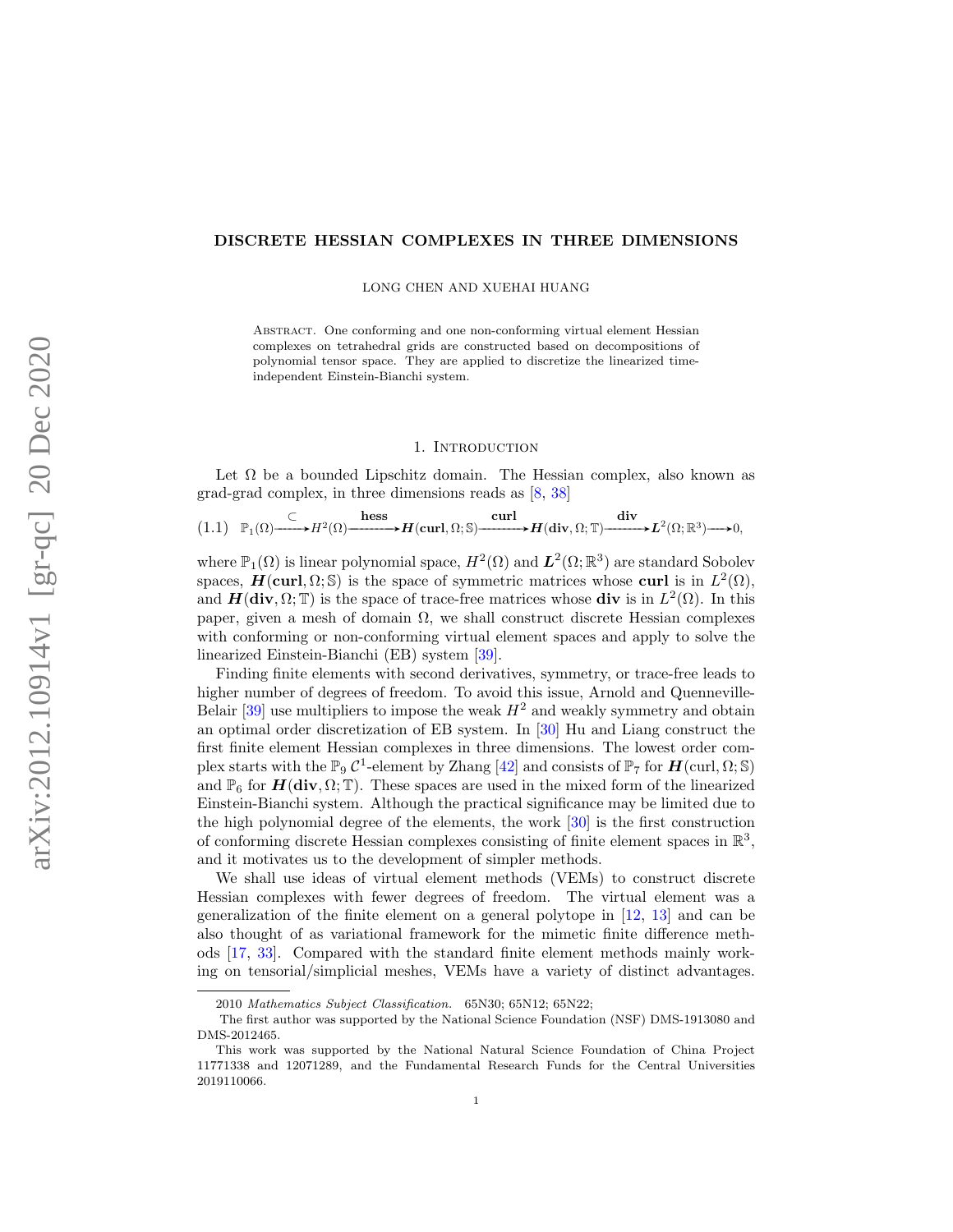### DISCRETE HESSIAN COMPLEXES IN THREE DIMENSIONS

LONG CHEN AND XUEHAI HUANG

Abstract. One conforming and one non-conforming virtual element Hessian complexes on tetrahedral grids are constructed based on decompositions of polynomial tensor space. They are applied to discretize the linearized timeindependent Einstein-Bianchi system.

#### 1. INTRODUCTION

Let  $\Omega$  be a bounded Lipschitz domain. The Hessian complex, also known as grad-grad complex, in three dimensions reads as [\[8,](#page-36-0) [38\]](#page-37-0)

$$
(1.1) \quad \mathbb{P}_1(\Omega) \xrightarrow{\subset} H^2(\Omega) \xrightarrow{\text{hess}} H(\text{curl}, \Omega; \mathbb{S}) \xrightarrow{\text{curl}} H(\text{div}, \Omega; \mathbb{T}) \xrightarrow{\text{div}} L^2(\Omega; \mathbb{R}^3) \longrightarrow 0,
$$

where  $\mathbb{P}_1(\Omega)$  is linear polynomial space,  $H^2(\Omega)$  and  $\mathbf{L}^2(\Omega;\mathbb{R}^3)$  are standard Sobolev spaces,  $\mathbf{H}(\text{curl}, \Omega; \mathbb{S})$  is the space of symmetric matrices whose curl is in  $L^2(\Omega)$ , and  $H(\text{div}, \Omega; \mathbb{T})$  is the space of trace-free matrices whose div is in  $L^2(\Omega)$ . In this paper, given a mesh of domain  $\Omega$ , we shall construct discrete Hessian complexes with conforming or non-conforming virtual element spaces and apply to solve the linearized Einstein-Bianchi (EB) system [\[39\]](#page-37-1).

Finding finite elements with second derivatives, symmetry, or trace-free leads to higher number of degrees of freedom. To avoid this issue, Arnold and Quenneville-Belair  $[39]$  use multipliers to impose the weak  $H^2$  and weakly symmetry and obtain an optimal order discretization of EB system. In [\[30\]](#page-37-2) Hu and Liang construct the first finite element Hessian complexes in three dimensions. The lowest order complex starts with the  $\mathbb{P}_9 C^1$ -element by Zhang [\[42\]](#page-37-3) and consists of  $\mathbb{P}_7$  for  $H(\text{curl}, \Omega; \mathbb{S})$ and  $\mathbb{P}_6$  for  $H(\text{div}, \Omega; \mathbb{T})$ . These spaces are used in the mixed form of the linearized Einstein-Bianchi system. Although the practical significance may be limited due to the high polynomial degree of the elements, the work [\[30\]](#page-37-2) is the first construction of conforming discrete Hessian complexes consisting of finite element spaces in  $\mathbb{R}^3$ , and it motivates us to the development of simpler methods.

We shall use ideas of virtual element methods (VEMs) to construct discrete Hessian complexes with fewer degrees of freedom. The virtual element was a generalization of the finite element on a general polytope in [\[12,](#page-36-1) [13\]](#page-36-2) and can be also thought of as variational framework for the mimetic finite difference methods [\[17,](#page-36-3) [33\]](#page-37-4). Compared with the standard finite element methods mainly working on tensorial/simplicial meshes, VEMs have a variety of distinct advantages.

<sup>2010</sup> Mathematics Subject Classification. 65N30; 65N12; 65N22;

The first author was supported by the National Science Foundation (NSF) DMS-1913080 and DMS-2012465.

This work was supported by the National Natural Science Foundation of China Project 11771338 and 12071289, and the Fundamental Research Funds for the Central Universities 2019110066.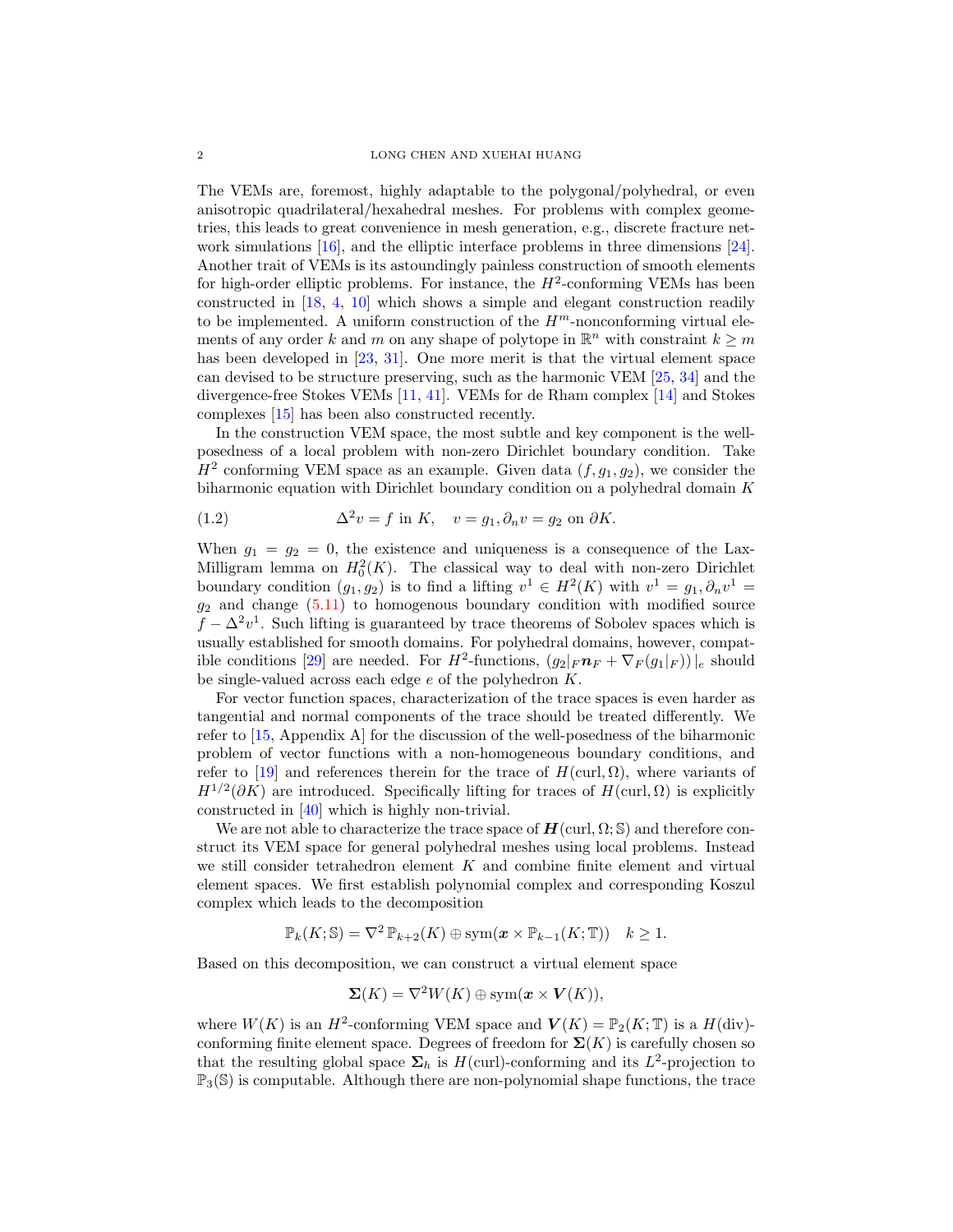The VEMs are, foremost, highly adaptable to the polygonal/polyhedral, or even anisotropic quadrilateral/hexahedral meshes. For problems with complex geometries, this leads to great convenience in mesh generation, e.g., discrete fracture network simulations [\[16\]](#page-36-4), and the elliptic interface problems in three dimensions [\[24\]](#page-37-5). Another trait of VEMs is its astoundingly painless construction of smooth elements for high-order elliptic problems. For instance, the  $H^2$ -conforming VEMs has been constructed in [\[18,](#page-37-6) [4,](#page-36-5) [10\]](#page-36-6) which shows a simple and elegant construction readily to be implemented. A uniform construction of the  $H^m$ -nonconforming virtual elements of any order k and m on any shape of polytope in  $\mathbb{R}^n$  with constraint  $k \geq m$ has been developed in [\[23,](#page-37-7) [31\]](#page-37-8). One more merit is that the virtual element space can devised to be structure preserving, such as the harmonic VEM [\[25,](#page-37-9) [34\]](#page-37-10) and the divergence-free Stokes VEMs [\[11,](#page-36-7) [41\]](#page-37-11). VEMs for de Rham complex [\[14\]](#page-36-8) and Stokes complexes [\[15\]](#page-36-9) has been also constructed recently.

In the construction VEM space, the most subtle and key component is the wellposedness of a local problem with non-zero Dirichlet boundary condition. Take  $H<sup>2</sup>$  conforming VEM space as an example. Given data  $(f, g<sub>1</sub>, g<sub>2</sub>)$ , we consider the biharmonic equation with Dirichlet boundary condition on a polyhedral domain K

(1.2) 
$$
\Delta^2 v = f \text{ in } K, \quad v = g_1, \partial_n v = g_2 \text{ on } \partial K.
$$

When  $g_1 = g_2 = 0$ , the existence and uniqueness is a consequence of the Lax-Milligram lemma on  $H_0^2(K)$ . The classical way to deal with non-zero Dirichlet boundary condition  $(g_1, g_2)$  is to find a lifting  $v^1 \in H^2(K)$  with  $v^1 = g_1, \partial_n v^1 =$  $g_2$  and change  $(5.11)$  to homogenous boundary condition with modified source  $f - \Delta^2 v^1$ . Such lifting is guaranteed by trace theorems of Sobolev spaces which is usually established for smooth domains. For polyhedral domains, however, compat-ible conditions [\[29\]](#page-37-12) are needed. For  $H^2$ -functions,  $(g_2|_F n_F + \nabla_F(g_1|_F))|_e$  should be single-valued across each edge  $e$  of the polyhedron  $K$ .

For vector function spaces, characterization of the trace spaces is even harder as tangential and normal components of the trace should be treated differently. We refer to [\[15,](#page-36-9) Appendix A] for the discussion of the well-posedness of the biharmonic problem of vector functions with a non-homogeneous boundary conditions, and refer to [\[19\]](#page-37-13) and references therein for the trace of  $H(\text{curl}, \Omega)$ , where variants of  $H^{1/2}(\partial K)$  are introduced. Specifically lifting for traces of  $H(\text{curl}, \Omega)$  is explicitly constructed in [\[40\]](#page-37-14) which is highly non-trivial.

We are not able to characterize the trace space of  $H(\text{curl}, \Omega; \mathbb{S})$  and therefore construct its VEM space for general polyhedral meshes using local problems. Instead we still consider tetrahedron element  $K$  and combine finite element and virtual element spaces. We first establish polynomial complex and corresponding Koszul complex which leads to the decomposition

$$
\mathbb{P}_k(K; \mathbb{S}) = \nabla^2 \, \mathbb{P}_{k+2}(K) \oplus \mathrm{sym}(\boldsymbol{x} \times \mathbb{P}_{k-1}(K; \mathbb{T})) \quad k \geq 1.
$$

Based on this decomposition, we can construct a virtual element space

$$
\Sigma(K) = \nabla^2 W(K) \oplus \text{sym}(\mathbf{x} \times \mathbf{V}(K)),
$$

where  $W(K)$  is an  $H^2$ -conforming VEM space and  $V(K) = \mathbb{P}_2(K; \mathbb{T})$  is a  $H(\text{div})$ conforming finite element space. Degrees of freedom for  $\Sigma(K)$  is carefully chosen so that the resulting global space  $\Sigma_h$  is  $H(\text{curl})$ -conforming and its  $L^2$ -projection to  $\mathbb{P}_3(\mathbb{S})$  is computable. Although there are non-polynomial shape functions, the trace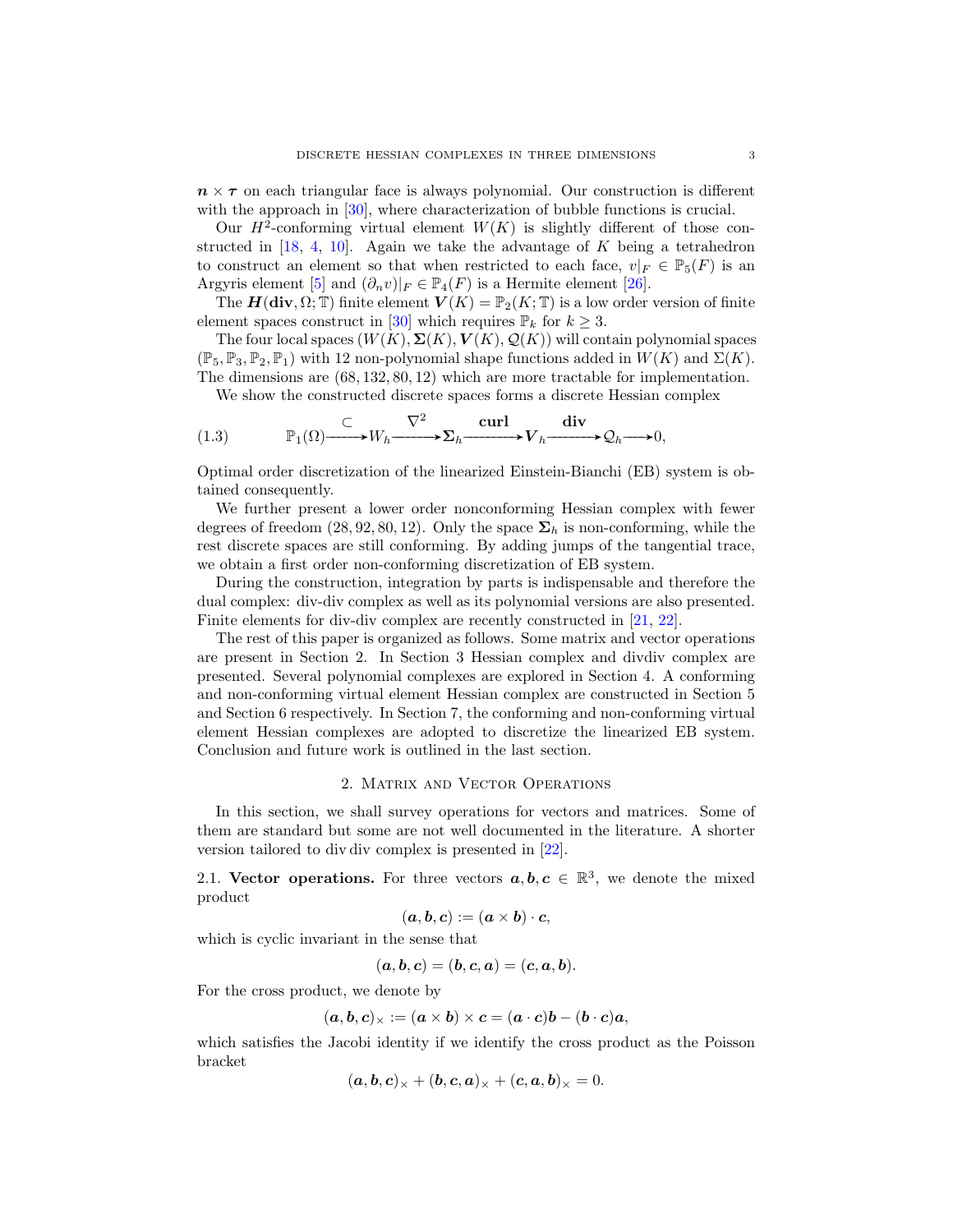$n \times \tau$  on each triangular face is always polynomial. Our construction is different with the approach in [\[30\]](#page-37-2), where characterization of bubble functions is crucial.

Our  $H^2$ -conforming virtual element  $W(K)$  is slightly different of those constructed in  $[18, 4, 10]$  $[18, 4, 10]$  $[18, 4, 10]$  $[18, 4, 10]$  $[18, 4, 10]$ . Again we take the advantage of K being a tetrahedron to construct an element so that when restricted to each face,  $v|_F \in \mathbb{P}_5(F)$  is an Argyris element [\[5\]](#page-36-10) and  $(\partial_n v)|_F \in \mathbb{P}_4(F)$  is a Hermite element [\[26\]](#page-37-15).

The  $H(\text{div}, \Omega; \mathbb{T})$  finite element  $V(K) = \mathbb{P}_2(K; \mathbb{T})$  is a low order version of finite element spaces construct in [\[30\]](#page-37-2) which requires  $\mathbb{P}_k$  for  $k \geq 3$ .

The four local spaces  $(W(K), \Sigma(K), V(K), \mathcal{Q}(K))$  will contain polynomial spaces  $(\mathbb{P}_5, \mathbb{P}_3, \mathbb{P}_2, \mathbb{P}_1)$  with 12 non-polynomial shape functions added in  $W(K)$  and  $\Sigma(K)$ . The dimensions are (68, 132, 80, 12) which are more tractable for implementation.

We show the constructed discrete spaces forms a discrete Hessian complex

(1.3) 
$$
\mathbb{P}_1(\Omega) \xrightarrow{\subset} W_h \xrightarrow{\nabla^2} \Sigma_h \xrightarrow{\operatorname{curl}} V_h \xrightarrow{\operatorname{div}} \mathcal{Q}_h \longrightarrow 0,
$$

Optimal order discretization of the linearized Einstein-Bianchi (EB) system is obtained consequently.

We further present a lower order nonconforming Hessian complex with fewer degrees of freedom  $(28, 92, 80, 12)$ . Only the space  $\Sigma_h$  is non-conforming, while the rest discrete spaces are still conforming. By adding jumps of the tangential trace, we obtain a first order non-conforming discretization of EB system.

During the construction, integration by parts is indispensable and therefore the dual complex: div-div complex as well as its polynomial versions are also presented. Finite elements for div-div complex are recently constructed in [\[21,](#page-37-16) [22\]](#page-37-17).

The rest of this paper is organized as follows. Some matrix and vector operations are present in Section 2. In Section 3 Hessian complex and divdiv complex are presented. Several polynomial complexes are explored in Section 4. A conforming and non-conforming virtual element Hessian complex are constructed in Section 5 and Section 6 respectively. In Section 7, the conforming and non-conforming virtual element Hessian complexes are adopted to discretize the linearized EB system. Conclusion and future work is outlined in the last section.

#### 2. Matrix and Vector Operations

In this section, we shall survey operations for vectors and matrices. Some of them are standard but some are not well documented in the literature. A shorter version tailored to div div complex is presented in [\[22\]](#page-37-17).

2.1. Vector operations. For three vectors  $a, b, c \in \mathbb{R}^3$ , we denote the mixed product

$$
(\boldsymbol{a},\boldsymbol{b},\boldsymbol{c}):=(\boldsymbol{a}\times\boldsymbol{b})\cdot\boldsymbol{c},
$$

which is cyclic invariant in the sense that

$$
(\mathbf{a},\mathbf{b},\mathbf{c})=(\mathbf{b},\mathbf{c},\mathbf{a})=(\mathbf{c},\mathbf{a},\mathbf{b}).
$$

For the cross product, we denote by

$$
(\bm{a},\bm{b},\bm{c})_{\times}:=(\bm{a}\times\bm{b})\times\bm{c}=(\bm{a}\cdot\bm{c})\bm{b}-(\bm{b}\cdot\bm{c})\bm{a},
$$

which satisfies the Jacobi identity if we identify the cross product as the Poisson bracket

$$
(\boldsymbol{a},\boldsymbol{b},\boldsymbol{c})_{\times}+(\boldsymbol{b},\boldsymbol{c},\boldsymbol{a})_{\times}+(\boldsymbol{c},\boldsymbol{a},\boldsymbol{b})_{\times}=0.
$$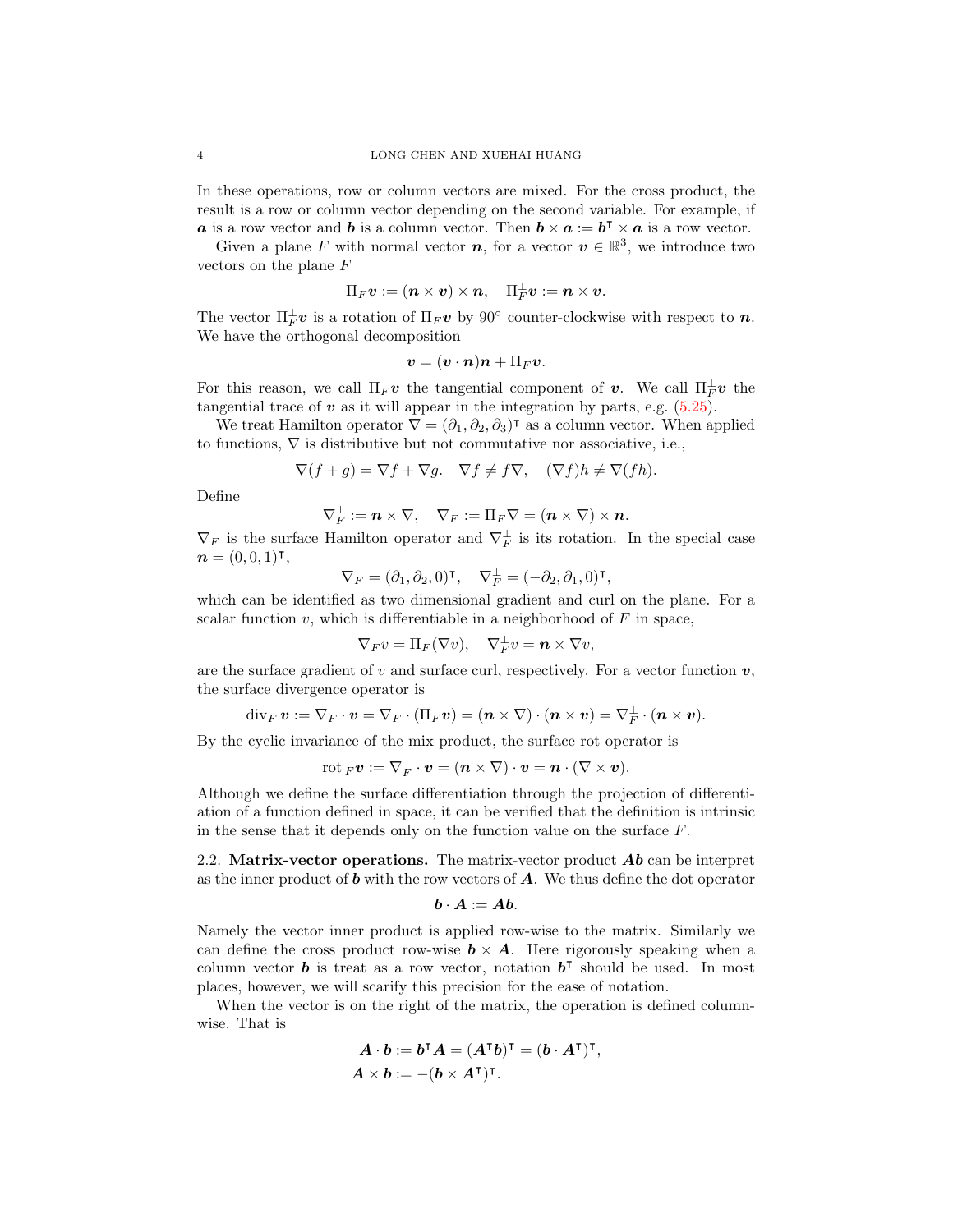In these operations, row or column vectors are mixed. For the cross product, the result is a row or column vector depending on the second variable. For example, if **a** is a row vector and **b** is a column vector. Then  $\mathbf{b} \times \mathbf{a} := \mathbf{b}^{\mathsf{T}} \times \mathbf{a}$  is a row vector.

Given a plane F with normal vector  $n$ , for a vector  $v \in \mathbb{R}^3$ , we introduce two vectors on the plane F

$$
\Pi_F\boldsymbol v:=(\boldsymbol n\times \boldsymbol v)\times \boldsymbol n,\quad \Pi_F^\perp\boldsymbol v:=\boldsymbol n\times \boldsymbol v.
$$

The vector  $\Pi_F^{\perp}$  *v* is a rotation of  $\Pi_F v$  by 90° counter-clockwise with respect to *n*. We have the orthogonal decomposition

$$
\boldsymbol{v} = (\boldsymbol{v}\cdot \boldsymbol{n})\boldsymbol{n} + \Pi_F \boldsymbol{v}.
$$

For this reason, we call  $\Pi_F \nu$  the tangential component of  $\nu$ . We call  $\Pi_F^{\perp} \nu$  the tangential trace of  $v$  as it will appear in the integration by parts, e.g.  $(5.25)$ .

We treat Hamilton operator  $\vec{\nabla} = (\partial_1, \partial_2, \partial_3)^T$  as a column vector. When applied to functions,  $\nabla$  is distributive but not commutative nor associative, i.e.,

$$
\nabla(f+g) = \nabla f + \nabla g. \quad \nabla f \neq f \nabla, \quad (\nabla f)h \neq \nabla (fh).
$$

Define

$$
\nabla_F^{\perp}:=\boldsymbol{n}\times\nabla,\quad \nabla_F:=\Pi_F\nabla=(\boldsymbol{n}\times\nabla)\times\boldsymbol{n}.
$$

 $\nabla_F$  is the surface Hamilton operator and  $\nabla_F^{\perp}$  is its rotation. In the special case  $n = (0, 0, 1)$ t,

$$
\nabla_F=(\partial_1,\partial_2,0)^{\rm T},\quad \nabla_F^{\perp}=(-\partial_2,\partial_1,0)^{\rm T},
$$

which can be identified as two dimensional gradient and curl on the plane. For a scalar function v, which is differentiable in a neighborhood of  $F$  in space,

$$
\nabla_F v = \Pi_F(\nabla v), \quad \nabla_F^{\perp} v = \mathbf{n} \times \nabla v,
$$

are the surface gradient of v and surface curl, respectively. For a vector function  $v$ , the surface divergence operator is

$$
\operatorname{div}_F\boldsymbol v:=\nabla_F\cdot\boldsymbol v=\nabla_F\cdot(\Pi_F\boldsymbol v)=(\boldsymbol n\times\nabla)\cdot(\boldsymbol n\times\boldsymbol v)=\nabla_F^{\perp}\cdot(\boldsymbol n\times\boldsymbol v).
$$

By the cyclic invariance of the mix product, the surface rot operator is

 $\mathrm{rot\,}_F\boldsymbol{v}:=\nabla_F^{\perp}\cdot\boldsymbol{v}=(\boldsymbol{n}\times\nabla)\cdot\boldsymbol{v}=\boldsymbol{n}\cdot(\nabla\times\boldsymbol{v}).$ 

Although we define the surface differentiation through the projection of differentiation of a function defined in space, it can be verified that the definition is intrinsic in the sense that it depends only on the function value on the surface  $F$ .

2.2. Matrix-vector operations. The matrix-vector product  $\boldsymbol{Ab}$  can be interpret as the inner product of  $\boldsymbol{b}$  with the row vectors of  $\boldsymbol{A}$ . We thus define the dot operator

$$
\boldsymbol{b} \cdot \boldsymbol{A} := \boldsymbol{A} \boldsymbol{b}.
$$

Namely the vector inner product is applied row-wise to the matrix. Similarly we can define the cross product row-wise  $\mathbf{b} \times \mathbf{A}$ . Here rigorously speaking when a column vector **b** is treat as a row vector, notation  $\mathbf{b}^{\mathsf{T}}$  should be used. In most places, however, we will scarify this precision for the ease of notation.

When the vector is on the right of the matrix, the operation is defined columnwise. That is

$$
A \cdot b := b^{\mathsf{T}} A = (A^{\mathsf{T}} b)^{\mathsf{T}} = (b \cdot A^{\mathsf{T}})^{\mathsf{T}},
$$
  

$$
A \times b := -(b \times A^{\mathsf{T}})^{\mathsf{T}}.
$$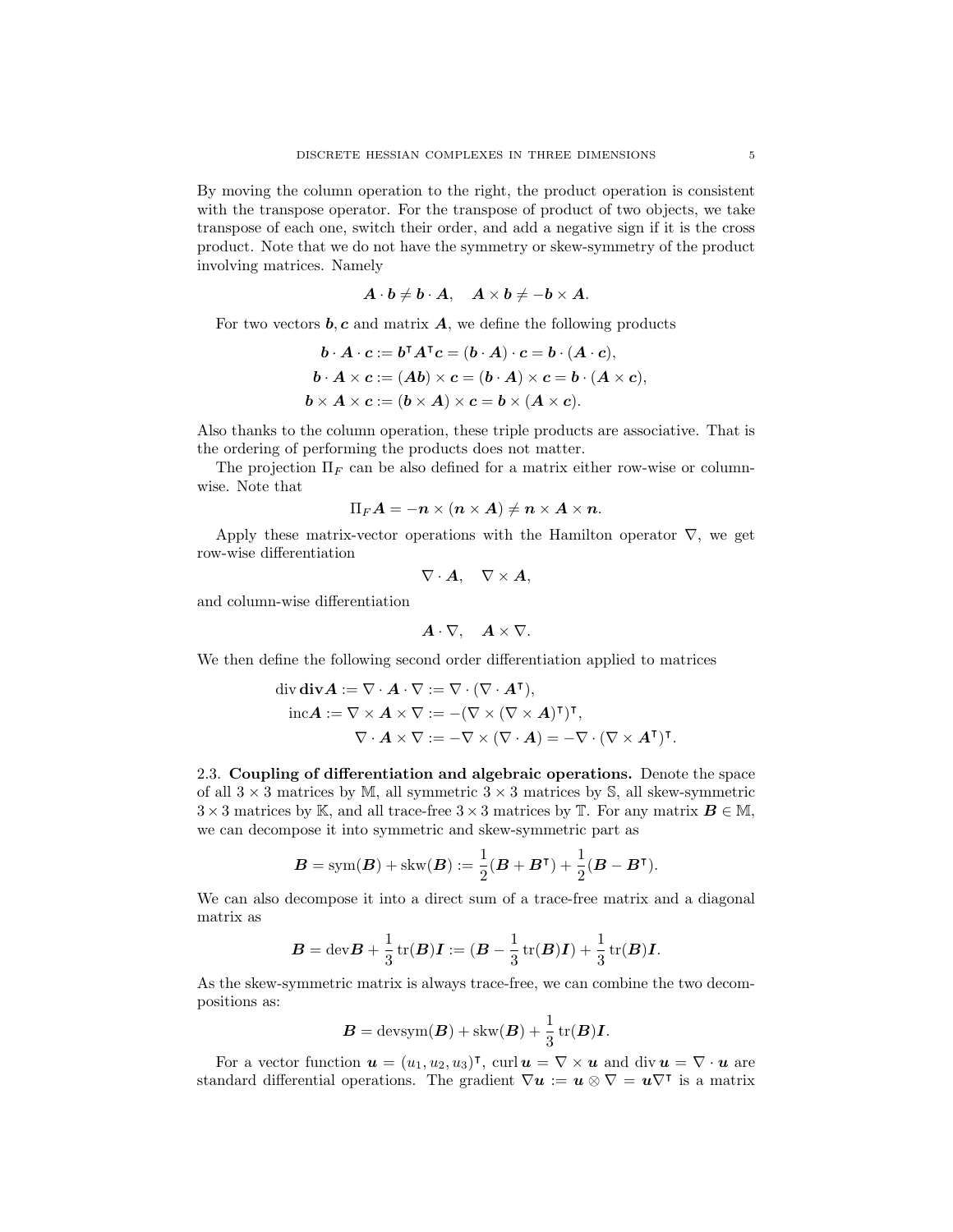By moving the column operation to the right, the product operation is consistent with the transpose operator. For the transpose of product of two objects, we take transpose of each one, switch their order, and add a negative sign if it is the cross product. Note that we do not have the symmetry or skew-symmetry of the product involving matrices. Namely

$$
A\cdot b\neq b\cdot A,\quad A\times b\neq -b\times A.
$$

For two vectors  $\mathbf{b}, \mathbf{c}$  and matrix  $\mathbf{A}$ , we define the following products

$$
\mathbf{b} \cdot \mathbf{A} \cdot \mathbf{c} := \mathbf{b}^\mathsf{T} A^\mathsf{T} \mathbf{c} = (\mathbf{b} \cdot \mathbf{A}) \cdot \mathbf{c} = \mathbf{b} \cdot (\mathbf{A} \cdot \mathbf{c}),
$$
  
\n
$$
\mathbf{b} \cdot \mathbf{A} \times \mathbf{c} := (\mathbf{A}\mathbf{b}) \times \mathbf{c} = (\mathbf{b} \cdot \mathbf{A}) \times \mathbf{c} = \mathbf{b} \cdot (\mathbf{A} \times \mathbf{c}),
$$
  
\n
$$
\mathbf{b} \times \mathbf{A} \times \mathbf{c} := (\mathbf{b} \times \mathbf{A}) \times \mathbf{c} = \mathbf{b} \times (\mathbf{A} \times \mathbf{c}).
$$

Also thanks to the column operation, these triple products are associative. That is the ordering of performing the products does not matter.

The projection  $\Pi_F$  can be also defined for a matrix either row-wise or columnwise. Note that

$$
\Pi_F \bm{A} = -\bm{n}\times(\bm{n}\times\bm{A}) \neq \bm{n}\times\bm{A}\times\bm{n}.
$$

Apply these matrix-vector operations with the Hamilton operator  $\nabla$ , we get row-wise differentiation

$$
\nabla\cdot\bm{A},\quad\nabla\times\bm{A},
$$

and column-wise differentiation

$$
\boldsymbol{A}\cdot\nabla,\quad \boldsymbol{A}\times\nabla.
$$

We then define the following second order differentiation applied to matrices

div div 
$$
\mathbf{A} := \nabla \cdot \mathbf{A} \cdot \nabla := \nabla \cdot (\nabla \cdot \mathbf{A}^{\mathsf{T}}),
$$
  
\ninc $\mathbf{A} := \nabla \times \mathbf{A} \times \nabla := -(\nabla \times (\nabla \times \mathbf{A})^{\mathsf{T}})^{\mathsf{T}},$   
\n
$$
\nabla \cdot \mathbf{A} \times \nabla := -\nabla \times (\nabla \cdot \mathbf{A}) = -\nabla \cdot (\nabla \times \mathbf{A}^{\mathsf{T}})^{\mathsf{T}}.
$$

2.3. Coupling of differentiation and algebraic operations. Denote the space of all  $3 \times 3$  matrices by M, all symmetric  $3 \times 3$  matrices by S, all skew-symmetric  $3 \times 3$  matrices by K, and all trace-free  $3 \times 3$  matrices by T. For any matrix  $\mathbf{B} \in \mathbb{M}$ , we can decompose it into symmetric and skew-symmetric part as

$$
\boldsymbol{B} = \text{sym}(\boldsymbol{B}) + \text{skw}(\boldsymbol{B}) := \frac{1}{2}(\boldsymbol{B} + \boldsymbol{B}^{\mathsf{T}}) + \frac{1}{2}(\boldsymbol{B} - \boldsymbol{B}^{\mathsf{T}}).
$$

We can also decompose it into a direct sum of a trace-free matrix and a diagonal matrix as

$$
\boldsymbol{B}=\mathrm{dev}\boldsymbol{B}+\frac{1}{3}\operatorname{tr}(\boldsymbol{B})\boldsymbol{I}:= (\boldsymbol{B}-\frac{1}{3}\operatorname{tr}(\boldsymbol{B})\boldsymbol{I})+\frac{1}{3}\operatorname{tr}(\boldsymbol{B})\boldsymbol{I}.
$$

As the skew-symmetric matrix is always trace-free, we can combine the two decompositions as:

$$
B = \text{devsym}(B) + \text{skw}(B) + \frac{1}{3}\text{tr}(B)I.
$$

For a vector function  $\mathbf{u} = (u_1, u_2, u_3)^\mathsf{T}$ , curl  $\mathbf{u} = \nabla \times \mathbf{u}$  and div  $\mathbf{u} = \nabla \cdot \mathbf{u}$  are standard differential operations. The gradient  $\nabla u := u \otimes \nabla = u \nabla^{\intercal}$  is a matrix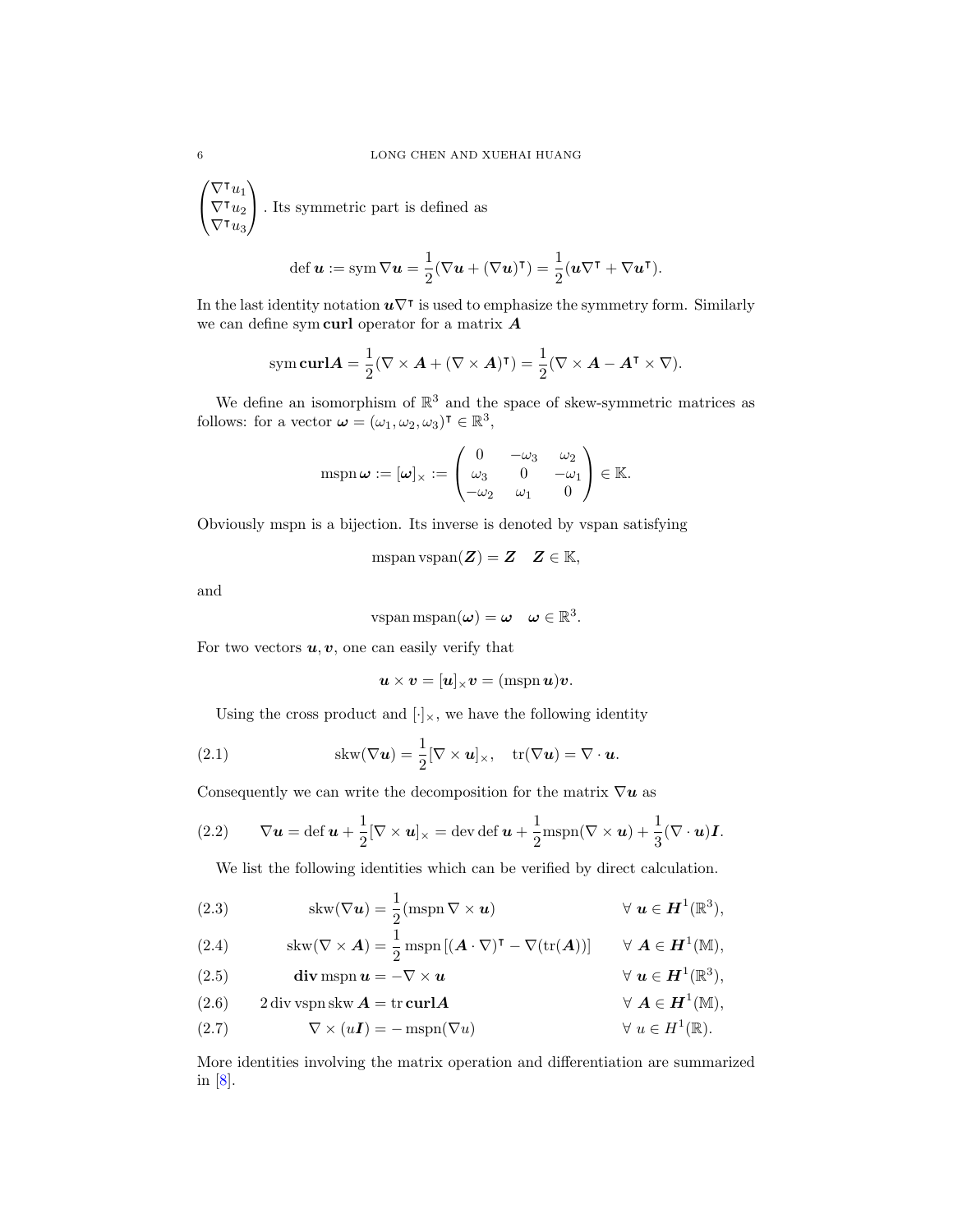$\sqrt{ }$  $\mathcal{L}$  $\nabla^{\intercal}u_1$  $\nabla^{\intercal}u_2$  $\nabla^\intercal u_3^\intercal$  $\setminus$ . Its symmetric part is defined as

$$
\operatorname{def} \boldsymbol{u} := \operatorname{sym} \nabla \boldsymbol{u} = \frac{1}{2} (\nabla \boldsymbol{u} + (\nabla \boldsymbol{u})^{\intercal}) = \frac{1}{2} (\boldsymbol{u} \nabla^{\intercal} + \nabla \boldsymbol{u}^{\intercal}).
$$

In the last identity notation  $u\nabla^{\dagger}$  is used to emphasize the symmetry form. Similarly we can define symcurl operator for a matrix  $A$ 

sym curl
$$
\mathbf{A} = \frac{1}{2} (\nabla \times \mathbf{A} + (\nabla \times \mathbf{A})^{\mathsf{T}}) = \frac{1}{2} (\nabla \times \mathbf{A} - \mathbf{A}^{\mathsf{T}} \times \nabla).
$$

We define an isomorphism of  $\mathbb{R}^3$  and the space of skew-symmetric matrices as follows: for a vector  $\boldsymbol{\omega} = (\omega_1, \omega_2, \omega_3)^\intercal \in \mathbb{R}^3$ ,

$$
\mathrm{mspn}\,\boldsymbol{\omega} := [\boldsymbol{\omega}]_{\times} := \begin{pmatrix} 0 & -\omega_3 & \omega_2 \\ \omega_3 & 0 & -\omega_1 \\ -\omega_2 & \omega_1 & 0 \end{pmatrix} \in \mathbb{K}.
$$

Obviously mspn is a bijection. Its inverse is denoted by vspan satisfying

$$
\operatorname{mspan} \operatorname{vspan} (\boldsymbol{Z}) = \boldsymbol{Z} \quad \boldsymbol{Z} \in \mathbb{K},
$$

and

$$
\text{vspan mspan}(\boldsymbol{\omega}) = \boldsymbol{\omega} \quad \boldsymbol{\omega} \in \mathbb{R}^3.
$$

For two vectors  $u, v$ , one can easily verify that

$$
\boldsymbol{u}\times\boldsymbol{v}=[\boldsymbol{u}]_{\times}\boldsymbol{v}=(\mathrm{mspn}\,\boldsymbol{u})\boldsymbol{v}.
$$

Using the cross product and  $[\cdot]_{\times}$ , we have the following identity

(2.1) 
$$
skw(\nabla u) = \frac{1}{2} [\nabla \times u]_{\times}, \quad tr(\nabla u) = \nabla \cdot u.
$$

Consequently we can write the decomposition for the matrix  $\nabla u$  as

(2.2) 
$$
\nabla \mathbf{u} = \det \mathbf{u} + \frac{1}{2} [\nabla \times \mathbf{u}]_{\times} = \det \det \mathbf{u} + \frac{1}{2} m \operatorname{spn}(\nabla \times \mathbf{u}) + \frac{1}{3} (\nabla \cdot \mathbf{u}) \mathbf{I}.
$$

We list the following identities which can be verified by direct calculation.

<span id="page-5-1"></span>(2.3) 
$$
\text{skw}(\nabla \mathbf{u}) = \frac{1}{2}(\text{mspn}\,\nabla \times \mathbf{u}) \qquad \forall \mathbf{u} \in \mathbf{H}^{1}(\mathbb{R}^{3}),
$$

<span id="page-5-4"></span>(2.4) 
$$
\operatorname{skw}(\nabla \times \mathbf{A}) = \frac{1}{2} \operatorname{mspn}[(\mathbf{A} \cdot \nabla)^{\mathsf{T}} - \nabla(\operatorname{tr}(\mathbf{A}))] \qquad \forall \mathbf{A} \in \mathbf{H}^{1}(\mathbb{M}),
$$

<span id="page-5-2"></span><span id="page-5-0"></span>(2.5) **div** mspn 
$$
u = -\nabla \times u
$$
  $\forall$   $u \in H^1(\mathbb{R}^3)$ ,  
\n(2.6) 2 div vspn skw  $A = \text{tr} \operatorname{curl} A$   $\forall$   $A \in H^1(\mathbb{M})$ ,

<span id="page-5-3"></span>(2.7)  $\nabla \times (u\mathbf{I}) = -\operatorname{mspn}(\nabla u) \quad \forall u \in H^1(\mathbb{R}).$ 

More identities involving the matrix operation and differentiation are summarized in [\[8\]](#page-36-0).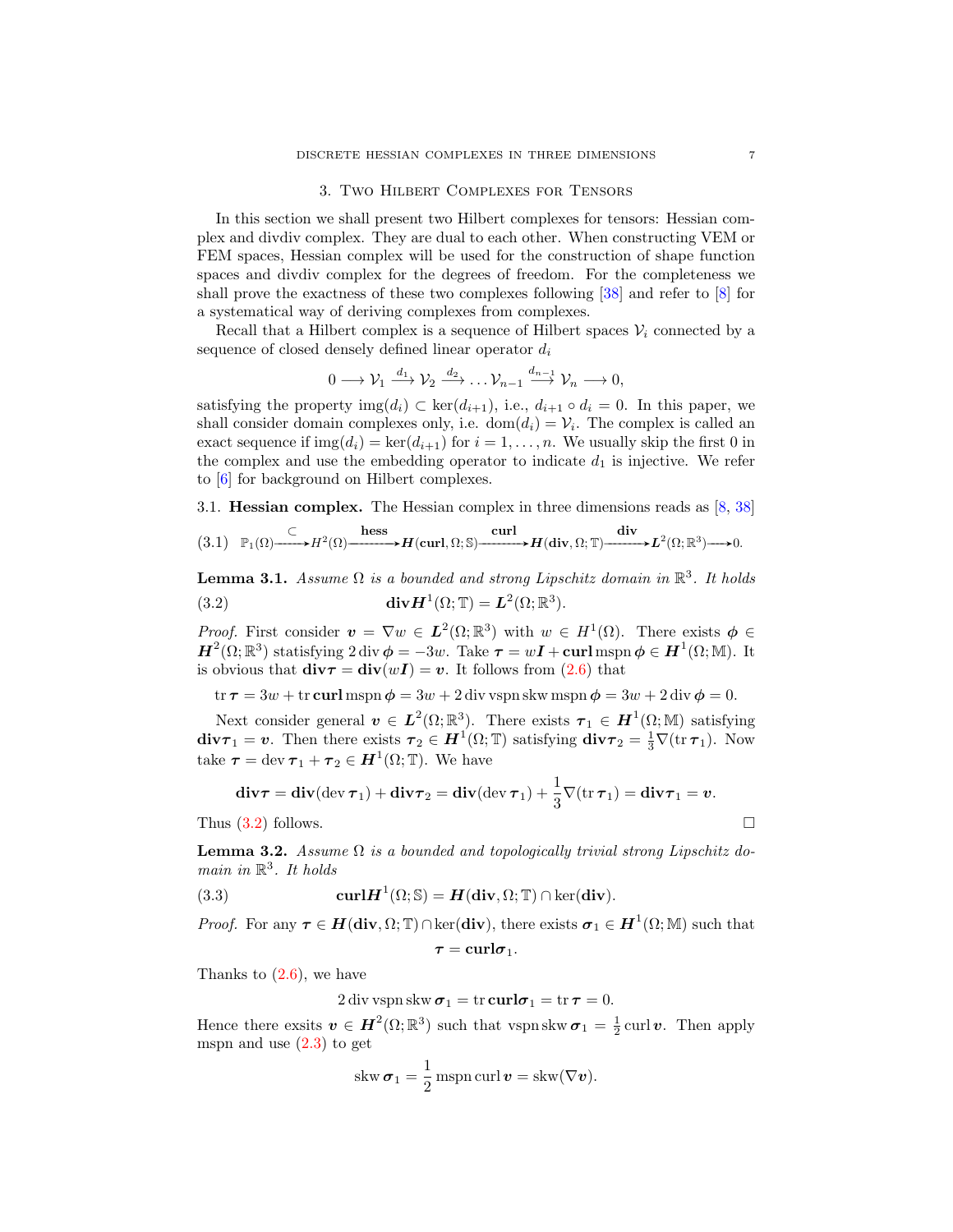## 3. Two Hilbert Complexes for Tensors

In this section we shall present two Hilbert complexes for tensors: Hessian complex and divdiv complex. They are dual to each other. When constructing VEM or FEM spaces, Hessian complex will be used for the construction of shape function spaces and divdiv complex for the degrees of freedom. For the completeness we shall prove the exactness of these two complexes following [\[38\]](#page-37-0) and refer to [\[8\]](#page-36-0) for a systematical way of deriving complexes from complexes.

Recall that a Hilbert complex is a sequence of Hilbert spaces  $V_i$  connected by a sequence of closed densely defined linear operator  $d_i$ 

$$
0 \longrightarrow \mathcal{V}_1 \stackrel{d_1}{\longrightarrow} \mathcal{V}_2 \stackrel{d_2}{\longrightarrow} \dots \mathcal{V}_{n-1} \stackrel{d_{n-1}}{\longrightarrow} \mathcal{V}_n \longrightarrow 0,
$$

satisfying the property img $(d_i) \subset \text{ker}(d_{i+1}),$  i.e.,  $d_{i+1} \circ d_i = 0$ . In this paper, we shall consider domain complexes only, i.e.  $dom(d_i) = V_i$ . The complex is called an exact sequence if  $\text{img}(d_i) = \text{ker}(d_{i+1})$  for  $i = 1, ..., n$ . We usually skip the first 0 in the complex and use the embedding operator to indicate  $d_1$  is injective. We refer to [\[6\]](#page-36-11) for background on Hilbert complexes.

3.1. Hessian complex. The Hessian complex in three dimensions reads as [\[8,](#page-36-0) [38\]](#page-37-0)

<span id="page-6-1"></span>
$$
(3.1) \quad \mathbb{P}_1(\Omega) \xrightarrow{\subset} H^2(\Omega) \xrightarrow{\text{hess}} H(\text{curl}, \Omega; \mathbb{S}) \xrightarrow{\text{curl}} H(\text{div}, \Omega; \mathbb{T}) \xrightarrow{\text{div}} L^2(\Omega; \mathbb{R}^3) \longrightarrow 0.
$$

<span id="page-6-0"></span>**Lemma 3.1.** Assume  $\Omega$  is a bounded and strong Lipschitz domain in  $\mathbb{R}^3$ . It holds (3.2)  $\mathbf{div}\mathbf{H}^1(\Omega;\mathbb{T})=\mathbf{L}^2(\Omega;\mathbb{R}^3).$ 

*Proof.* First consider  $v = \nabla w \in L^2(\Omega;\mathbb{R}^3)$  with  $w \in H^1(\Omega)$ . There exists  $\phi \in$  $H^2(\Omega;\mathbb{R}^3)$  statisfying 2 div  $\phi = -3w$ . Take  $\tau = wI + \text{curl}$  mspn  $\phi \in H^1(\Omega;\mathbb{M})$ . It is obvious that  $div\tau = div(wI) = v$ . It follows from [\(2.6\)](#page-5-0) that

 $\text{tr } \tau = 3w + \text{tr } \textbf{curl} \text{ mspn } \phi = 3w + 2 \text{ div } \text{vspn } \text{skw } \text{mspn } \phi = 3w + 2 \text{ div } \phi = 0.$ 

Next consider general  $v \in L^2(\Omega;\mathbb{R}^3)$ . There exists  $\tau_1 \in H^1(\Omega;\mathbb{M})$  satisfying  $div\tau_1 = v$ . Then there exists  $\tau_2 \in H^1(\Omega; \mathbb{T})$  satisfying  $div\tau_2 = \frac{1}{3}\nabla(\text{tr }\tau_1)$ . Now take  $\tau = \text{dev } \tau_1 + \tau_2 \in H^1(\Omega; \mathbb{T})$ . We have

$$
\mathbf{div}\boldsymbol{\tau} = \mathbf{div}(\mathrm{dev}\,\boldsymbol{\tau}_1) + \mathbf{div}\boldsymbol{\tau}_2 = \mathbf{div}(\mathrm{dev}\,\boldsymbol{\tau}_1) + \frac{1}{3}\nabla(\mathrm{tr}\,\boldsymbol{\tau}_1) = \mathbf{div}\boldsymbol{\tau}_1 = \boldsymbol{v}.
$$

Thus  $(3.2)$  follows.

**Lemma 3.2.** Assume  $\Omega$  is a bounded and topologically trivial strong Lipschitz domain in  $\mathbb{R}^3$ . It holds

(3.3) 
$$
\mathbf{curl}\mathbf{H}^{1}(\Omega;\mathbb{S})=\mathbf{H}(\mathbf{div},\Omega;\mathbb{T})\cap\ker(\mathbf{div}).
$$

*Proof.* For any  $\tau \in H(\text{div}, \Omega; \mathbb{T}) \cap \text{ker}(\text{div}),$  there exists  $\sigma_1 \in H^1(\Omega; \mathbb{M})$  such that

$$
\tau = \mathrm{curl}\sigma_1.
$$

Thanks to  $(2.6)$ , we have

<span id="page-6-2"></span>
$$
2 \operatorname{div} \operatorname{vspn} \operatorname{skw} \sigma_1 = \operatorname{tr} \operatorname{curl} \sigma_1 = \operatorname{tr} \tau = 0.
$$

Hence there exsits  $\mathbf{v} \in \mathbf{H}^2(\Omega;\mathbb{R}^3)$  such that vspnskw $\sigma_1 = \frac{1}{2}$ curl  $\mathbf{v}$ . Then apply mspn and use  $(2.3)$  to get

skw
$$
\sigma_1 = \frac{1}{2}
$$
mspn curl  $v = \text{skw}(\nabla v)$ .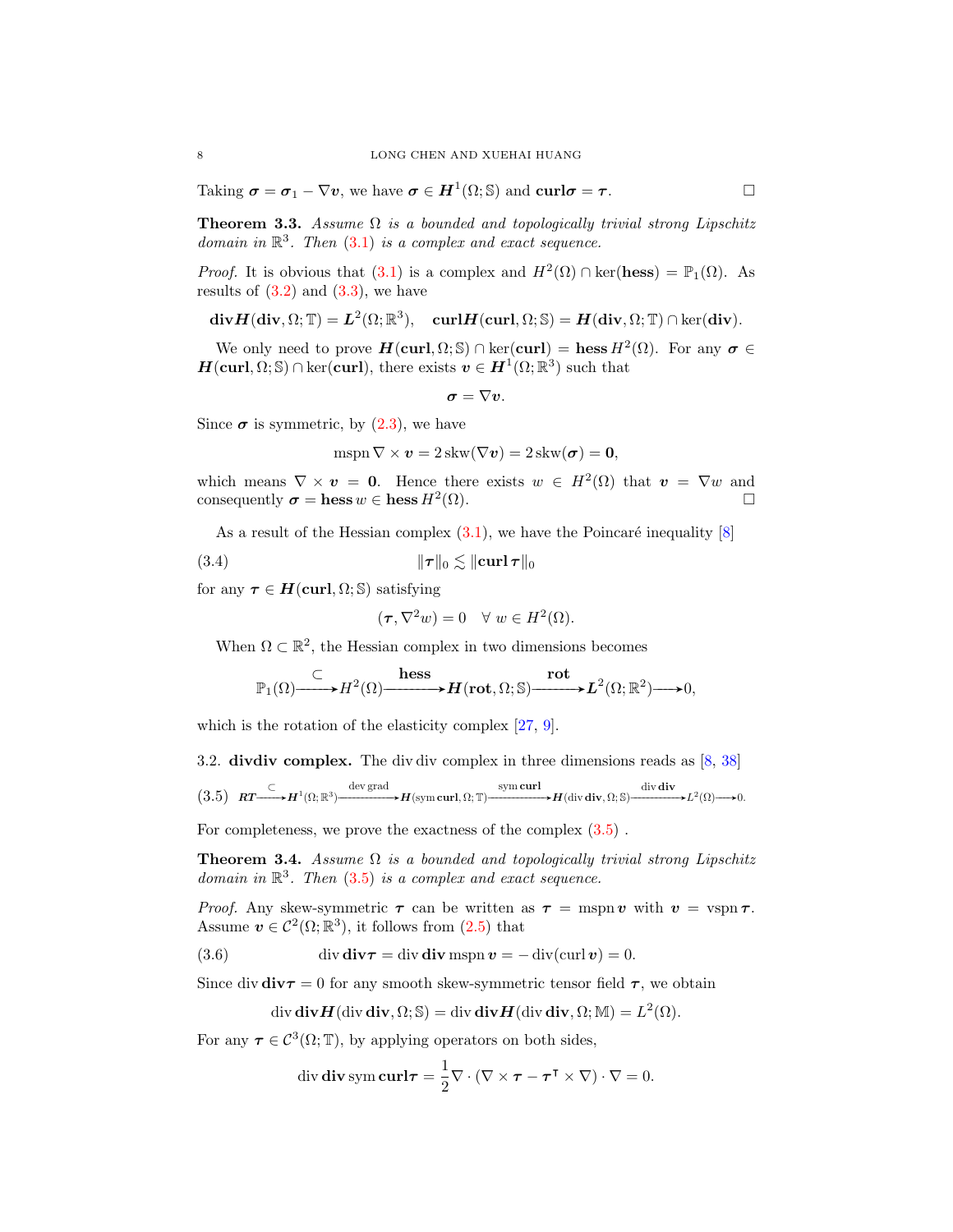Taking  $\sigma = \sigma_1 - \nabla v$ , we have  $\sigma \in H^1(\Omega; \mathbb{S})$  and  $\operatorname{curl} \sigma = \tau$ .

**Theorem 3.3.** Assume  $\Omega$  is a bounded and topologically trivial strong Lipschitz domain in  $\mathbb{R}^3$ . Then [\(3.1\)](#page-6-1) is a complex and exact sequence.

*Proof.* It is obvious that [\(3.1\)](#page-6-1) is a complex and  $H^2(\Omega) \cap \text{ker}(\text{hess}) = \mathbb{P}_1(\Omega)$ . As results of  $(3.2)$  and  $(3.3)$ , we have

$$
\mathbf{div}\boldsymbol{H}(\mathbf{div},\Omega;\mathbb{T})=\boldsymbol{L}^2(\Omega;\mathbb{R}^3),\quad \mathbf{curl}\boldsymbol{H}(\mathbf{curl},\Omega;\mathbb{S})=\boldsymbol{H}(\mathbf{div},\Omega;\mathbb{T})\cap\ker(\mathbf{div}).
$$

We only need to prove  $H(\text{curl}, \Omega; \mathbb{S}) \cap \text{ker}(\text{curl}) = \text{hess } H^2(\Omega)$ . For any  $\sigma \in$  $H(\text{curl}, \Omega; \mathbb{S}) \cap \text{ker}(\text{curl})$ , there exists  $v \in H^1(\Omega; \mathbb{R}^3)$  such that

$$
\boldsymbol{\sigma}=\nabla \boldsymbol{v}.
$$

Since  $\sigma$  is symmetric, by [\(2.3\)](#page-5-1), we have

$$
\mathrm{mspn}\,\nabla \times \mathbf{v} = 2\,\mathrm{skw}(\nabla \mathbf{v}) = 2\,\mathrm{skw}(\boldsymbol{\sigma}) = \mathbf{0},
$$

which means  $\nabla \times \mathbf{v} = \mathbf{0}$ . Hence there exists  $w \in H^2(\Omega)$  that  $\mathbf{v} = \nabla w$  and consequently  $\sigma = \text{hess } w \in \text{hess } H^2(\Omega)$ .  $(\Omega)$ .

As a result of the Hessian complex  $(3.1)$ , we have the Poincaré inequality  $[8]$ 

(3.4) kτ k<sup>0</sup> . kcurl τ k<sup>0</sup>

for any  $\tau \in H(\text{curl}, \Omega; \mathbb{S})$  satisfying

$$
(\tau, \nabla^2 w) = 0 \quad \forall \ w \in H^2(\Omega).
$$

When  $\Omega \subset \mathbb{R}^2$ , the Hessian complex in two dimensions becomes

$$
\mathbb{P}_1(\Omega) \xrightarrow{\subset} H^2(\Omega) \xrightarrow{\text{hess}} H(\text{rot}, \Omega; \mathbb{S}) \xrightarrow{\text{rot}} L^2(\Omega; \mathbb{R}^2) \longrightarrow 0,
$$

which is the rotation of the elasticity complex [\[27,](#page-37-18) [9\]](#page-36-12).

3.2. divdiv complex. The div div complex in three dimensions reads as [\[8,](#page-36-0) [38\]](#page-37-0)

<span id="page-7-0"></span>
$$
(3.5) \quad RT \xrightarrow{\subset} H^1(\Omega; \mathbb{R}^3) \xrightarrow{\text{dev grad}} H(\text{sym curl}, \Omega; \mathbb{T}) \xrightarrow{\text{sym curl}} H(\text{div div}, \Omega; \mathbb{S}) \xrightarrow{\text{div div } \mathbf{div}} L^2(\Omega) \longrightarrow 0.
$$

For completeness, we prove the exactness of the complex  $(3.5)$ .

Theorem 3.4. Assume  $\Omega$  is a bounded and topologically trivial strong Lipschitz domain in  $\mathbb{R}^3$ . Then [\(3.5\)](#page-7-0) is a complex and exact sequence.

*Proof.* Any skew-symmetric  $\tau$  can be written as  $\tau = \text{mspn } v$  with  $v = \text{vspn } \tau$ . Assume  $v \in C^2(\Omega;\mathbb{R}^3)$ , it follows from  $(2.5)$  that

(3.6) div  $div \tau = div div \text{ mspn } v = - div(curl v) = 0.$ 

Since div  $div \tau = 0$  for any smooth skew-symmetric tensor field  $\tau$ , we obtain

<span id="page-7-1"></span>
$$
\operatorname{div} \mathbf{div}\mathbf{H}(\operatorname{div} \mathbf{div}, \Omega; \mathbb{S}) = \operatorname{div} \mathbf{div}\mathbf{H}(\operatorname{div} \mathbf{div}, \Omega; \mathbb{M}) = L^2(\Omega).
$$

For any  $\tau \in C^3(\Omega; \mathbb{T})$ , by applying operators on both sides,

div div sym curl
$$
\tau = \frac{1}{2} \nabla \cdot (\nabla \times \tau - \tau^{\mathsf{T}} \times \nabla) \cdot \nabla = 0.
$$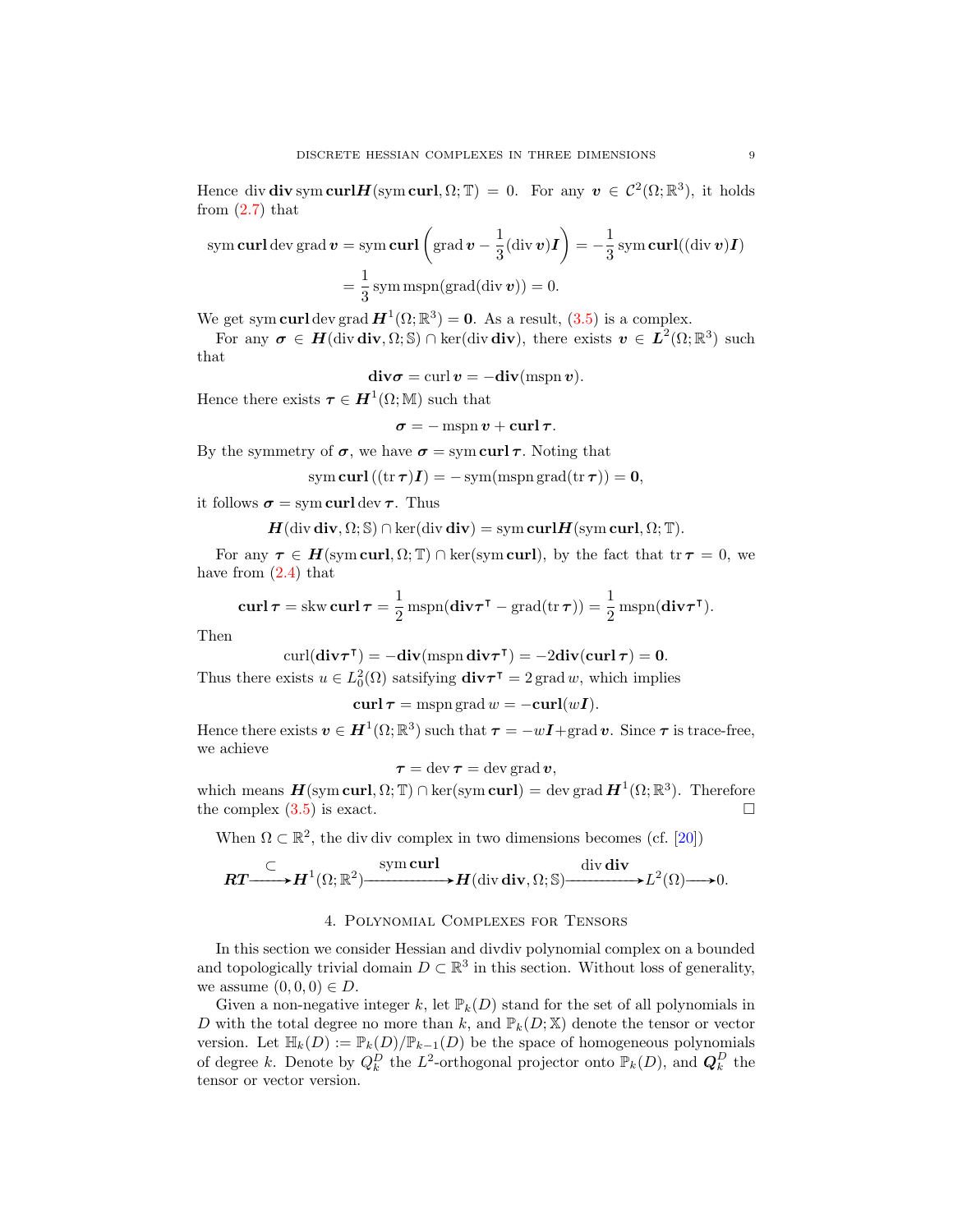Hence div div sym curlH(sym curl,  $\Omega$ ; T) = 0. For any  $v \in C^2(\Omega;\mathbb{R}^3)$ , it holds from  $(2.7)$  that

sym curl dev grad 
$$
\mathbf{v} = \text{sym curl}\left(\text{grad }\mathbf{v} - \frac{1}{3}(\text{div }\mathbf{v})\mathbf{I}\right) = -\frac{1}{3}\text{sym curl}((\text{div }\mathbf{v})\mathbf{I})
$$
  
=  $\frac{1}{3}\text{sym mspn}(\text{grad}(\text{div }\mathbf{v})) = 0.$ 

We get sym curl dev grad  $H^1(\Omega;\mathbb{R}^3) = 0$ . As a result,  $(3.5)$  is a complex.

For any  $\sigma \in H(\text{div div}, \Omega; \mathbb{S}) \cap \text{ker}(\text{div div}),$  there exists  $v \in L^2(\Omega; \mathbb{R}^3)$  such that

$$
\mathbf{div}\boldsymbol{\sigma} = \operatorname{curl}\boldsymbol{v} = -\mathbf{div}(\operatorname{mspn}\boldsymbol{v}).
$$

Hence there exists  $\boldsymbol{\tau} \in \boldsymbol{H}^1(\Omega;\mathbb{M})$  such that

$$
\sigma = -\operatorname{mspn} v + \operatorname{curl} \tau.
$$

By the symmetry of  $\sigma$ , we have  $\sigma = \text{sym} \operatorname{curl} \tau$ . Noting that

sym curl  $((tr \tau)I) = -sym(mspn grad(tr \tau)) = 0,$ 

it follows  $\sigma = \text{sym curl} \text{ dev } \tau$ . Thus

$$
H(\operatorname{div} \operatorname{div}, \Omega; \mathbb{S}) \cap \ker(\operatorname{div} \operatorname{div}) = \operatorname{sym} \operatorname{curl} H(\operatorname{sym} \operatorname{curl}, \Omega; \mathbb{T}).
$$

For any  $\tau \in H(\text{sym curl}, \Omega; \mathbb{T}) \cap \text{ker}(\text{sym curl})$ , by the fact that  $\text{tr} \tau = 0$ , we have from  $(2.4)$  that

$$
\operatorname{curl} \boldsymbol{\tau} = \operatorname{skw} \operatorname{curl} \boldsymbol{\tau} = \frac{1}{2} \operatorname{mspn}(\operatorname{div} \boldsymbol{\tau}^{\intercal} - \operatorname{grad}(\operatorname{tr} \boldsymbol{\tau})) = \frac{1}{2} \operatorname{mspn}(\operatorname{div} \boldsymbol{\tau}^{\intercal}).
$$

Then

$$
\operatorname{curl}(\operatorname{\mathbf{div}} \boldsymbol{\tau}^{\intercal}) = -\operatorname{\mathbf{div}}(\operatorname{mspn}\operatorname{\mathbf{div}} \boldsymbol{\tau}^{\intercal}) = -2\operatorname{\mathbf{div}}(\operatorname{\mathbf{curl}} \boldsymbol{\tau}) = 0.
$$

Thus there exists  $u \in L_0^2(\Omega)$  satsifying  $\text{div}\tau^{\intercal} = 2 \text{ grad } w$ , which implies

$$
\operatorname{\mathbf{curl}} \boldsymbol{\tau} = \operatorname{mspn}\operatorname{grad} w = -\operatorname{\mathbf{curl}}(w\boldsymbol{I}).
$$

Hence there exists  $v \in H^1(\Omega;\mathbb{R}^3)$  such that  $\tau = -wI + \text{grad } v$ . Since  $\tau$  is trace-free, we achieve

$$
\boldsymbol{\tau} = \operatorname{dev} \boldsymbol{\tau} = \operatorname{dev} \operatorname{grad} \boldsymbol{v},
$$

which means  $\mathbf{H}(\text{sym}\,\text{curl},\Omega;\mathbb{T})\cap \text{ker}(\text{sym}\,\text{curl}) = \text{dev}\,\text{grad}\,\mathbf{H}^1(\Omega;\mathbb{R}^3)$ . Therefore the complex  $(3.5)$  is exact.

When  $\Omega \subset \mathbb{R}^2$ , the div div complex in two dimensions becomes (cf. [\[20\]](#page-37-19))

$$
\boldsymbol{RT} \xrightarrow{\subset} \boldsymbol{H}^1(\Omega; \mathbb{R}^2) \xrightarrow{\text{sym curl}} \boldsymbol{H}(\text{div } \text{div}, \Omega; \mathbb{S}) \xrightarrow{\text{div } \text{div}} L^2(\Omega) \longrightarrow 0.
$$

#### 4. Polynomial Complexes for Tensors

In this section we consider Hessian and divdiv polynomial complex on a bounded and topologically trivial domain  $D \subset \mathbb{R}^3$  in this section. Without loss of generality, we assume  $(0, 0, 0) \in D$ .

Given a non-negative integer k, let  $\mathbb{P}_k(D)$  stand for the set of all polynomials in D with the total degree no more than k, and  $\mathbb{P}_k(D; \mathbb{X})$  denote the tensor or vector version. Let  $\mathbb{H}_k(D) := \mathbb{P}_k(D)/\mathbb{P}_{k-1}(D)$  be the space of homogeneous polynomials of degree k. Denote by  $Q_k^D$  the  $L^2$ -orthogonal projector onto  $\mathbb{P}_k(D)$ , and  $\mathbf{Q}_k^D$  the tensor or vector version.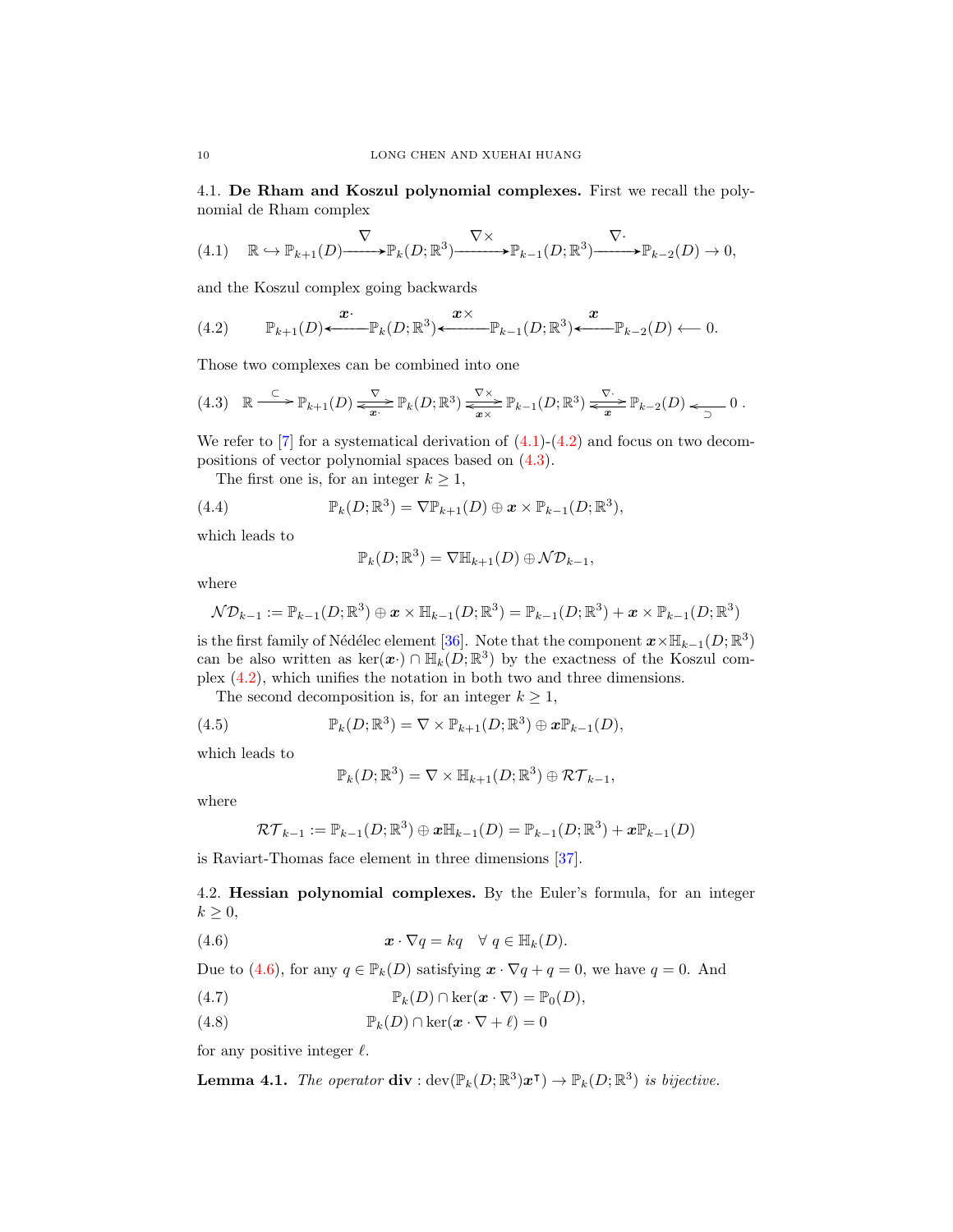4.1. De Rham and Koszul polynomial complexes. First we recall the polynomial de Rham complex

<span id="page-9-0"></span>
$$
(4.1) \quad \mathbb{R} \hookrightarrow \mathbb{P}_{k+1}(D) \xrightarrow{\nabla} \mathbb{P}_k(D;\mathbb{R}^3) \xrightarrow{\nabla \times} \mathbb{P}_{k-1}(D;\mathbb{R}^3) \xrightarrow{\nabla} \mathbb{P}_{k-2}(D) \to 0,
$$

and the Koszul complex going backwards

<span id="page-9-1"></span>(4.2) 
$$
\mathbb{P}_{k+1}(D) \xleftarrow{\boldsymbol{x}} \mathbb{P}_k(D; \mathbb{R}^3) \xleftarrow{\boldsymbol{x} \times} \mathbb{P}_{k-1}(D; \mathbb{R}^3) \xleftarrow{\boldsymbol{x}} \mathbb{P}_{k-2}(D) \longleftarrow 0.
$$

Those two complexes can be combined into one

<span id="page-9-2"></span>
$$
(4.3) \quad \mathbb{R} \xrightarrow{\subset} \mathbb{P}_{k+1}(D) \xrightarrow{\nabla} \mathbb{P}_k(D; \mathbb{R}^3) \xrightarrow{\nabla \times} \mathbb{P}_{k-1}(D; \mathbb{R}^3) \xrightarrow{\nabla \cdot} \mathbb{P}_{k-2}(D) \xrightarrow{\nabla \cdot} 0 \ .
$$

We refer to  $[7]$  for a systematical derivation of  $(4.1)-(4.2)$  $(4.1)-(4.2)$  $(4.1)-(4.2)$  and focus on two decompositions of vector polynomial spaces based on [\(4.3\)](#page-9-2).

The first one is, for an integer  $k \geq 1$ ,

(4.4) 
$$
\mathbb{P}_k(D;\mathbb{R}^3) = \nabla \mathbb{P}_{k+1}(D) \oplus \mathbf{x} \times \mathbb{P}_{k-1}(D;\mathbb{R}^3),
$$

which leads to

$$
\mathbb{P}_k(D;\mathbb{R}^3) = \nabla \mathbb{H}_{k+1}(D) \oplus \mathcal{ND}_{k-1},
$$

where

$$
\mathcal{ND}_{k-1} := \mathbb{P}_{k-1}(D;\mathbb{R}^3) \oplus \mathbf{x} \times \mathbb{H}_{k-1}(D;\mathbb{R}^3) = \mathbb{P}_{k-1}(D;\mathbb{R}^3) + \mathbf{x} \times \mathbb{P}_{k-1}(D;\mathbb{R}^3)
$$

is the first family of Nédélec element [\[36\]](#page-37-20). Note that the component  $\mathbf{x} \times \mathbb{H}_{k-1}(D;\mathbb{R}^3)$ can be also written as  $\ker(x) \cap \mathbb{H}_k(D;\mathbb{R}^3)$  by the exactness of the Koszul complex [\(4.2\)](#page-9-1), which unifies the notation in both two and three dimensions.

The second decomposition is, for an integer  $k \geq 1$ ,

(4.5) 
$$
\mathbb{P}_k(D;\mathbb{R}^3) = \nabla \times \mathbb{P}_{k+1}(D;\mathbb{R}^3) \oplus \mathbf{x} \mathbb{P}_{k-1}(D),
$$

which leads to

<span id="page-9-7"></span><span id="page-9-3"></span>
$$
\mathbb{P}_k(D;\mathbb{R}^3) = \nabla \times \mathbb{H}_{k+1}(D;\mathbb{R}^3) \oplus \mathcal{RT}_{k-1},
$$

where

$$
\mathcal{RT}_{k-1} := \mathbb{P}_{k-1}(D;\mathbb{R}^3) \oplus \boldsymbol{x} \mathbb{H}_{k-1}(D) = \mathbb{P}_{k-1}(D;\mathbb{R}^3) + \boldsymbol{x} \mathbb{P}_{k-1}(D)
$$

is Raviart-Thomas face element in three dimensions [\[37\]](#page-37-21).

4.2. Hessian polynomial complexes. By the Euler's formula, for an integer  $k \geq 0$ ,

(4.6)  $\mathbf{x} \cdot \nabla q = kq \quad \forall \ q \in \mathbb{H}_k(D).$ 

Due to [\(4.6\)](#page-9-3), for any  $q \in \mathbb{P}_k(D)$  satisfying  $\mathbf{x} \cdot \nabla q + q = 0$ , we have  $q = 0$ . And

<span id="page-9-4"></span>(4.7) 
$$
\mathbb{P}_k(D) \cap \ker(\mathbf{x} \cdot \nabla) = \mathbb{P}_0(D),
$$

<span id="page-9-5"></span>(4.8) 
$$
\mathbb{P}_k(D) \cap \ker(\mathbf{x} \cdot \nabla + \ell) = 0
$$

for any positive integer  $\ell$ .

<span id="page-9-6"></span>**Lemma 4.1.** The operator  $\textbf{div} : \text{dev}(\mathbb{P}_k(D;\mathbb{R}^3)\boldsymbol{x}^{\text{T}}) \to \mathbb{P}_k(D;\mathbb{R}^3)$  is bijective.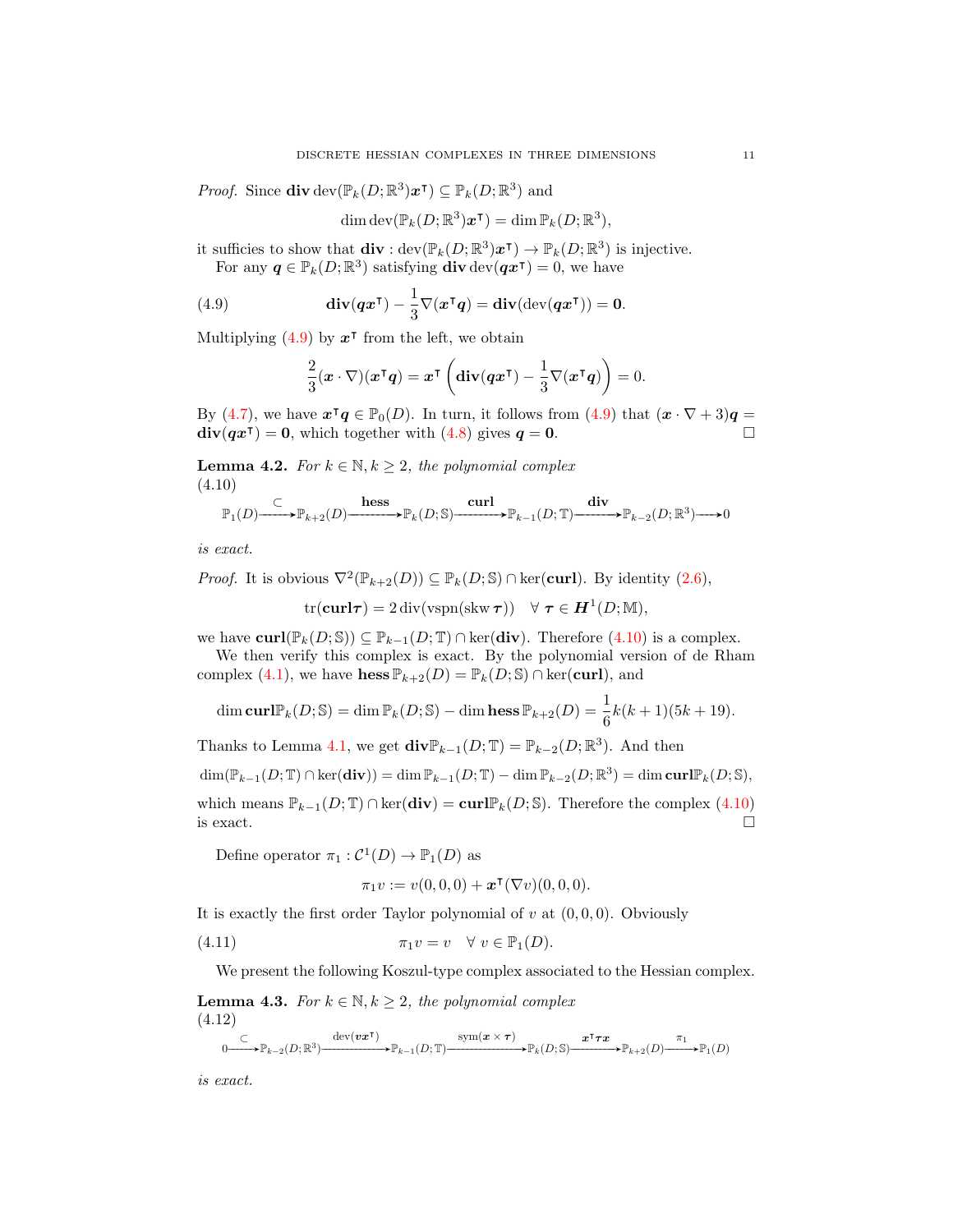*Proof.* Since  $\text{div}\,\text{dev}(\mathbb{P}_k(D;\mathbb{R}^3)\boldsymbol{x}^{\mathsf{T}}) \subseteq \mathbb{P}_k(D;\mathbb{R}^3)$  and

$$
\dim \operatorname{dev}(\mathbb{P}_k(D;\mathbb{R}^3)\boldsymbol{x}^{\mathsf{T}}) = \dim \mathbb{P}_k(D;\mathbb{R}^3),
$$

it sufficies to show that  $\mathbf{div} : \text{dev}(\mathbb{P}_k(D;\mathbb{R}^3)\boldsymbol{x}^{\mathsf{T}}) \to \mathbb{P}_k(D;\mathbb{R}^3)$  is injective. For any  $q \in \mathbb{P}_k(D;\mathbb{R}^3)$  satisfying  $\textbf{div} \text{ dev}(\boldsymbol{q} \boldsymbol{x}^{\text{T}}) = 0$ , we have

(4.9) 
$$
\mathbf{div}(\boldsymbol{q}\boldsymbol{x}^{\mathsf{T}})-\frac{1}{3}\nabla(\boldsymbol{x}^{\mathsf{T}}\boldsymbol{q})=\mathbf{div}(\mathrm{dev}(\boldsymbol{q}\boldsymbol{x}^{\mathsf{T}}))=\mathbf{0}.
$$

Multiplying  $(4.9)$  by  $x^{\dagger}$  from the left, we obtain

<span id="page-10-0"></span>
$$
\frac{2}{3}(\mathbf{x}\cdot\nabla)(\mathbf{x}^\intercal\mathbf{q}) = \mathbf{x}^\intercal \left(\mathbf{div}(\mathbf{q}\mathbf{x}^\intercal)-\frac{1}{3}\nabla(\mathbf{x}^\intercal\mathbf{q})\right)=0.
$$

By [\(4.7\)](#page-9-4), we have  $\mathbf{x}^{\mathsf{T}}\mathbf{q} \in \mathbb{P}_{0}(D)$ . In turn, it follows from [\(4.9\)](#page-10-0) that  $(\mathbf{x} \cdot \nabla + 3)\mathbf{q} =$  $\text{div}(qx^{\intercal}) = 0$ , which together with [\(4.8\)](#page-9-5) gives  $q = 0$ .

**Lemma 4.2.** For  $k \in \mathbb{N}, k \geq 2$ , the polynomial complex (4.10)

<span id="page-10-1"></span>
$$
\mathbb{P}_1(D) \xrightarrow{\subset} \mathbb{P}_{k+2}(D) \xrightarrow{\text{hess}} \mathbb{P}_k(D; \mathbb{S}) \xrightarrow{\text{curl}} \mathbb{P}_{k-1}(D; \mathbb{T}) \xrightarrow{\text{div}} \mathbb{P}_{k-2}(D; \mathbb{R}^3) \longrightarrow 0
$$

is exact.

*Proof.* It is obvious  $\nabla^2(\mathbb{P}_{k+2}(D)) \subseteq \mathbb{P}_k(D; \mathbb{S}) \cap \text{ker}(\text{curl})$ . By identity  $(2.6)$ ,

$$
\text{tr}(\mathbf{curl}\boldsymbol{\tau}) = 2\operatorname{div}(\text{vspn}(\text{skw }\boldsymbol{\tau})) \quad \forall \ \boldsymbol{\tau} \in \boldsymbol{H}^1(D;\mathbb{M}),
$$

we have  $\text{curl}(\mathbb{P}_k(D;\mathbb{S})) \subseteq \mathbb{P}_{k-1}(D;\mathbb{T}) \cap \text{ker}(\text{div}).$  Therefore  $(4.10)$  is a complex.

We then verify this complex is exact. By the polynomial version of de Rham complex [\(4.1\)](#page-9-0), we have hess  $\mathbb{P}_{k+2}(D) = \mathbb{P}_k(D; \mathbb{S}) \cap \text{ker}(\text{curl})$ , and

$$
\dim \operatorname{curl} \mathbb{P}_k(D; \mathbb{S}) = \dim \mathbb{P}_k(D; \mathbb{S}) - \dim \operatorname{hess} \mathbb{P}_{k+2}(D) = \frac{1}{6}k(k+1)(5k+19).
$$

Thanks to Lemma [4.1,](#page-9-6) we get  $\text{div}\mathbb{P}_{k-1}(D;\mathbb{T}) = \mathbb{P}_{k-2}(D;\mathbb{R}^3)$ . And then  $\dim(\mathbb{P}_{k-1}(D; \mathbb{T}) \cap \ker(\mathbf{div})) = \dim \mathbb{P}_{k-1}(D; \mathbb{T}) - \dim \mathbb{P}_{k-2}(D; \mathbb{R}^3) = \dim \mathbf{curl} \mathbb{P}_k(D; \mathbb{S}),$ which means  $\mathbb{P}_{k-1}(D;\mathbb{T}) \cap \text{ker}(\text{div}) = \text{curl} \mathbb{P}_k(D;\mathbb{S})$ . Therefore the complex [\(4.10\)](#page-10-1) is exact.  $\Box$ 

Define operator  $\pi_1 : C^1(D) \to \mathbb{P}_1(D)$  as

<span id="page-10-3"></span>
$$
\pi_1 v := v(0,0,0) + \boldsymbol{x}^{\intercal}(\nabla v)(0,0,0).
$$

It is exactly the first order Taylor polynomial of  $v$  at  $(0, 0, 0)$ . Obviously

(4.11) 
$$
\pi_1 v = v \quad \forall \ v \in \mathbb{P}_1(D).
$$

We present the following Koszul-type complex associated to the Hessian complex.

**Lemma 4.3.** For  $k \in \mathbb{N}, k \geq 2$ , the polynomial complex (4.12)

<span id="page-10-2"></span>
$$
0\xrightarrow{\subset} \mathbb{P}_{k-2}(D;\mathbb{R}^3)\xrightarrow{\mathrm{dev}(v\boldsymbol{x}^\mathsf{T})} \mathbb{P}_{k-1}(D;\mathbb{T})\xrightarrow{\mathrm{sym}(\boldsymbol{x}\times \boldsymbol{\tau})} \mathbb{P}_{k}(D;\mathbb{S})\xrightarrow{\boldsymbol{x}^\mathsf{T}\boldsymbol{\tau}\boldsymbol{x}} \mathbb{P}_{k+2}(D)\xrightarrow{\pi_1} \mathbb{P}_1(D)
$$

is exact.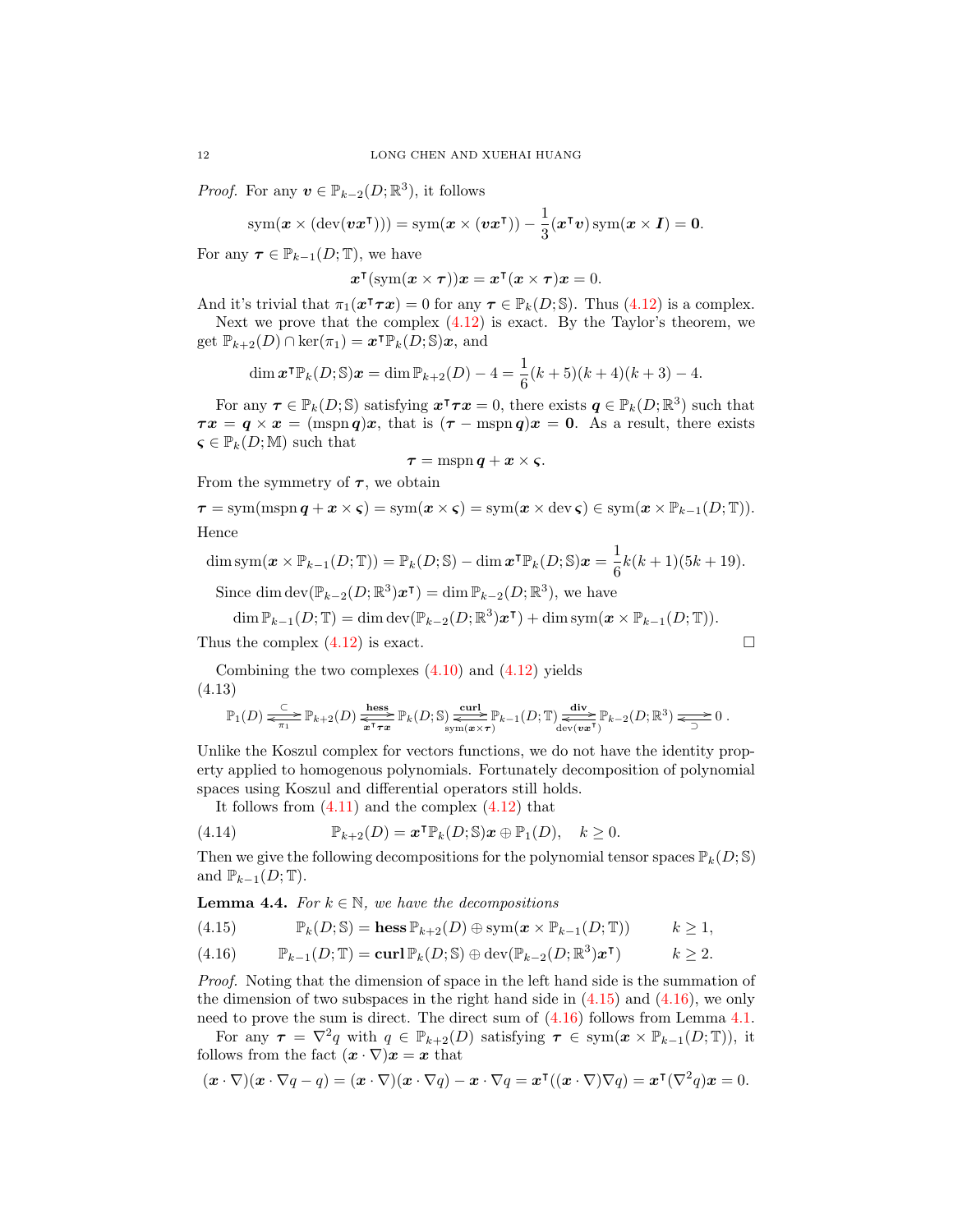*Proof.* For any  $\mathbf{v} \in \mathbb{P}_{k-2}(D;\mathbb{R}^3)$ , it follows

$$
sym(\boldsymbol{x} \times (\text{dev}(\boldsymbol{v}\boldsymbol{x}^{\mathsf{T}}))) = sym(\boldsymbol{x} \times (\boldsymbol{v}\boldsymbol{x}^{\mathsf{T}})) - \frac{1}{3}(\boldsymbol{x}^{\mathsf{T}}\boldsymbol{v}) \text{sym}(\boldsymbol{x} \times \boldsymbol{I}) = \mathbf{0}.
$$

For any  $\tau \in \mathbb{P}_{k-1}(D;\mathbb{T})$ , we have

$$
\boldsymbol{x}^{\intercal}(\operatorname{sym}(\boldsymbol{x}\times\boldsymbol{\tau}))\boldsymbol{x} = \boldsymbol{x}^{\intercal}(\boldsymbol{x}\times\boldsymbol{\tau})\boldsymbol{x} = 0.
$$

And it's trivial that  $\pi_1(\mathbf{x}^\intercal \boldsymbol{\tau} \mathbf{x}) = 0$  for any  $\boldsymbol{\tau} \in \mathbb{P}_k(D; \mathbb{S})$ . Thus  $(4.12)$  is a complex. Next we prove that the complex  $(4.12)$  is exact. By the Taylor's theorem, we get  $\mathbb{P}_{k+2}(D) \cap \ker(\pi_1) = \boldsymbol{x}^\intercal \mathbb{P}_k(D; \mathbb{S})\boldsymbol{x}$ , and

$$
\dim \mathbf{x}^\mathsf{T} \mathbb{P}_k(D; \mathbb{S}) \mathbf{x} = \dim \mathbb{P}_{k+2}(D) - 4 = \frac{1}{6}(k+5)(k+4)(k+3) - 4.
$$

For any  $\tau \in \mathbb{P}_k(D; \mathbb{S})$  satisfying  $\mathbf{x}^\intercal \tau \mathbf{x} = 0$ , there exists  $\mathbf{q} \in \mathbb{P}_k(D; \mathbb{R}^3)$  such that  $\tau x = q \times x = (m s p q)x$ , that is  $(\tau - m s p q)x = 0$ . As a result, there exists  $\varsigma \in \mathbb{P}_k(D;\mathbb{M})$  such that

$$
\tau = \mathrm{mspn}\, q + x \times \varsigma.
$$

From the symmetry of  $\tau$ , we obtain

$$
\tau = \text{sym}(\text{mspn } q + x \times \varsigma) = \text{sym}(\boldsymbol{x} \times \varsigma) = \text{sym}(\boldsymbol{x} \times \text{dev } \varsigma) \in \text{sym}(\boldsymbol{x} \times \mathbb{P}_{k-1}(D; \mathbb{T})).
$$
  
Hence

Hence

$$
\dim \mathrm{sym}(\boldsymbol{x}\times\mathbb{P}_{k-1}(D;\mathbb{T}))=\mathbb{P}_{k}(D;\mathbb{S})-\dim\boldsymbol{x}^{\intercal}\mathbb{P}_{k}(D;\mathbb{S})\boldsymbol{x}=\frac{1}{6}k(k+1)(5k+19).
$$

Since dim  $\text{dev}(\mathbb{P}_{k-2}(D;\mathbb{R}^3)\boldsymbol{x}^{\mathsf{T}}) = \dim \mathbb{P}_{k-2}(D;\mathbb{R}^3)$ , we have

$$
\dim \mathbb{P}_{k-1}(D; \mathbb{T}) = \dim \operatorname{dev}(\mathbb{P}_{k-2}(D; \mathbb{R}^3) \mathbf{x}^{\mathsf{T}}) + \dim \operatorname{sym}(\mathbf{x} \times \mathbb{P}_{k-1}(D; \mathbb{T})).
$$

Thus the complex  $(4.12)$  is exact.

Combining the two complexes  $(4.10)$  and  $(4.12)$  yields (4.13)

$$
\mathbb{P}_1(D) \xrightarrow[\pi_1]{\subset} \mathbb{P}_{k+2}(D) \xrightarrow[\pi^{\tau} \pi]{\text{hess}} \mathbb{P}_k(D; \mathbb{S}) \xrightarrow[\text{sym}(x \times \tau)]{\text{sym}} \mathbb{P}_{k-1}(D; \mathbb{T}) \xrightarrow[\text{dev}(v \bar{x}^{\tau})]{\text{div}} \mathbb{P}_{k-2}(D; \mathbb{R}^3) \xrightarrow[\frown]{\sim} 0.
$$

Unlike the Koszul complex for vectors functions, we do not have the identity property applied to homogenous polynomials. Fortunately decomposition of polynomial spaces using Koszul and differential operators still holds.

It follows from  $(4.11)$  and the complex  $(4.12)$  that

(4.14) 
$$
\mathbb{P}_{k+2}(D) = \boldsymbol{x}^{\mathsf{T}} \mathbb{P}_k(D; \mathbb{S}) \boldsymbol{x} \oplus \mathbb{P}_1(D), \quad k \geq 0.
$$

Then we give the following decompositions for the polynomial tensor spaces  $\mathbb{P}_k(D; \mathbb{S})$ and  $\mathbb{P}_{k-1}(D;\mathbb{T})$ .

**Lemma 4.4.** For  $k \in \mathbb{N}$ , we have the decompositions

<span id="page-11-0"></span>(4.15) 
$$
\mathbb{P}_k(D; \mathbb{S}) = \text{hess}\, \mathbb{P}_{k+2}(D) \oplus \text{sym}(\boldsymbol{x} \times \mathbb{P}_{k-1}(D; \mathbb{T})) \qquad k \geq 1,
$$

<span id="page-11-1"></span>(4.16) 
$$
\mathbb{P}_{k-1}(D; \mathbb{T}) = \mathbf{curl} \, \mathbb{P}_k(D; \mathbb{S}) \oplus \mathbf{dev}(\mathbb{P}_{k-2}(D; \mathbb{R}^3) \mathbf{x}^{\mathsf{T}}) \qquad k \geq 2.
$$

Proof. Noting that the dimension of space in the left hand side is the summation of the dimension of two subspaces in the right hand side in  $(4.15)$  and  $(4.16)$ , we only need to prove the sum is direct. The direct sum of [\(4.16\)](#page-11-1) follows from Lemma [4.1.](#page-9-6)

For any  $\tau = \nabla^2 q$  with  $q \in \mathbb{P}_{k+2}(D)$  satisfying  $\tau \in \text{sym}(\boldsymbol{x} \times \mathbb{P}_{k-1}(D;\mathbb{T}))$ , it follows from the fact  $(\mathbf{x} \cdot \nabla)\mathbf{x} = \mathbf{x}$  that

$$
(\boldsymbol{x}\cdot\nabla)(\boldsymbol{x}\cdot\nabla q-q)=(\boldsymbol{x}\cdot\nabla)(\boldsymbol{x}\cdot\nabla q)-\boldsymbol{x}\cdot\nabla q=\boldsymbol{x}^\intercal((\boldsymbol{x}\cdot\nabla)\nabla q)=\boldsymbol{x}^\intercal(\nabla^2q)\boldsymbol{x}=0.
$$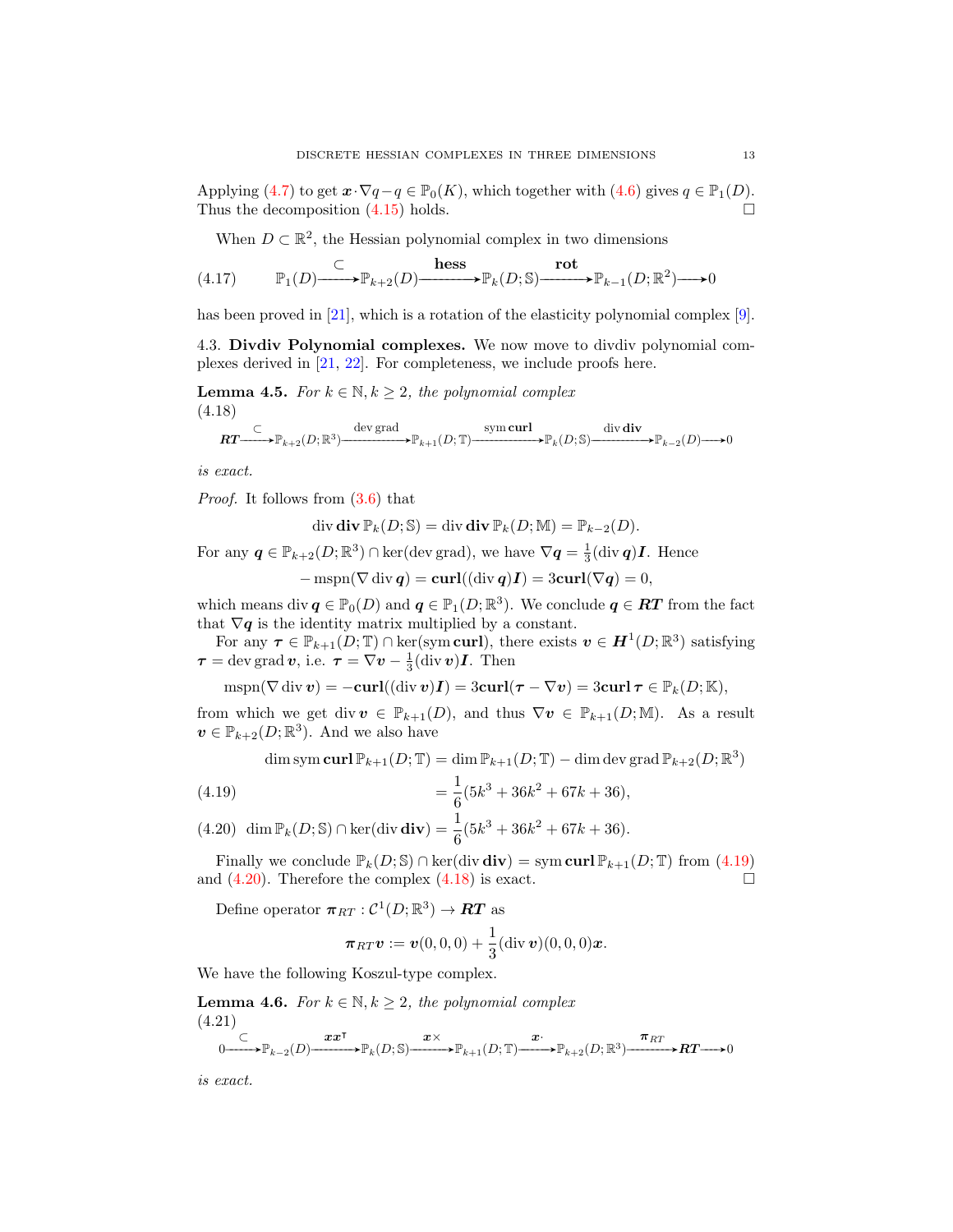Applying [\(4.7\)](#page-9-4) to get  $\mathbf{x} \cdot \nabla q - q \in \mathbb{P}_0(K)$ , which together with [\(4.6\)](#page-9-3) gives  $q \in \mathbb{P}_1(D)$ . Thus the decomposition  $(4.15)$  holds.

<span id="page-12-4"></span>When  $D \subset \mathbb{R}^2$ , the Hessian polynomial complex in two dimensions

(4.17) 
$$
\qquad \mathbb{P}_1(D) \longrightarrow \mathbb{P}_{k+2}(D) \longrightarrow \mathbb{P}_k(D; \mathbb{S}) \longrightarrow \mathbb{P}_{k-1}(D; \mathbb{R}^2) \longrightarrow 0
$$

has been proved in [\[21\]](#page-37-16), which is a rotation of the elasticity polynomial complex [\[9\]](#page-36-12).

4.3. Divdiv Polynomial complexes. We now move to divdiv polynomial complexes derived in [\[21,](#page-37-16) [22\]](#page-37-17). For completeness, we include proofs here.

**Lemma 4.5.** For  $k \in \mathbb{N}, k \geq 2$ , the polynomial complex (4.18)

<span id="page-12-2"></span>
$$
\mathbf{RT} \xrightarrow{\subset} \mathbb{P}_{k+2}(D;\mathbb{R}^3) \xrightarrow{\text{dev grad}} \mathbb{P}_{k+1}(D;\mathbb{T}) \xrightarrow{\text{sym curl}} \text{div div div } \mathbb{P}_{k-2}(D) \longrightarrow 0
$$

is exact.

Proof. It follows from [\(3.6\)](#page-7-1) that

 $\operatorname{div} \operatorname{div} \mathbb{P}_k(D; \mathbb{S}) = \operatorname{div} \operatorname{div} \mathbb{P}_k(D; \mathbb{M}) = \mathbb{P}_{k-2}(D).$ 

For any  $q \in \mathbb{P}_{k+2}(D;\mathbb{R}^3) \cap \text{ker}(\text{dev grad}),$  we have  $\nabla q = \frac{1}{3}(\text{div } q)I$ . Hence

$$
-\operatorname{mspn}(\nabla\operatorname{div}\bm{q})=\mathbf{curl}((\operatorname{div}\bm{q})\bm{I})=3\mathbf{curl}(\nabla\bm{q})=0,
$$

which means div  $q \in \mathbb{P}_0(D)$  and  $q \in \mathbb{P}_1(D;\mathbb{R}^3)$ . We conclude  $q \in RT$  from the fact that  $\nabla q$  is the identity matrix multiplied by a constant.

For any  $\tau \in \mathbb{P}_{k+1}(D;\mathbb{T}) \cap \ker(\text{sym curl})$ , there exists  $v \in H^1(D;\mathbb{R}^3)$  satisfying  $\tau = \text{dev grad } v$ , i.e.  $\tau = \nabla v - \frac{1}{3}(\text{div } v)I$ . Then

 $m\text{spn}(\nabla \text{div} \boldsymbol{v}) = -\text{curl}((\text{div} \boldsymbol{v})\boldsymbol{I}) = 3\text{curl}(\boldsymbol{\tau} - \nabla \boldsymbol{v}) = 3\text{curl} \boldsymbol{\tau} \in \mathbb{P}_k(D;\mathbb{K}),$ 

from which we get div  $v \in \mathbb{P}_{k+1}(D)$ , and thus  $\nabla v \in \mathbb{P}_{k+1}(D;\mathbb{M})$ . As a result  $\boldsymbol{v} \in \mathbb{P}_{k+2}(D;\mathbb{R}^3)$ . And we also have

dim sym curl 
$$
\mathbb{P}_{k+1}(D; \mathbb{T}) = \dim \mathbb{P}_{k+1}(D; \mathbb{T}) - \dim \text{dev grad } \mathbb{P}_{k+2}(D; \mathbb{R}^3)
$$
  
=  $\frac{1}{6}(5k^3 + 36k^2 + 67k + 36),$ 

<span id="page-12-1"></span><span id="page-12-0"></span>(4.19)  
\n
$$
= \frac{1}{6}(5k^3 + 36k^2 + 67k + 36),
$$
\n(4.20) dim  $\mathbb{P}_k(D; \mathbb{S}) \cap \ker(\text{div } \text{div}) = \frac{1}{6}(5k^3 + 36k^2 + 67k + 36).$ 

Finally we conclude  $\mathbb{P}_k(D; \mathbb{S}) \cap \text{ker}(\text{div } \textbf{div}) = \text{sym } \textbf{curl } \mathbb{P}_{k+1}(D; \mathbb{T})$  from [\(4.19\)](#page-12-0) and  $(4.20)$ . Therefore the complex  $(4.18)$  is exact.

Define operator  $\pi_{RT}: \mathcal{C}^1(D;\mathbb{R}^3) \to \mathbf{RT}$  as

$$
\boldsymbol{\pi}_{RT}\boldsymbol{v} := \boldsymbol{v}(0,0,0) + \frac{1}{3}(\text{div}\,\boldsymbol{v})(0,0,0)\boldsymbol{x}.
$$

We have the following Koszul-type complex.

**Lemma 4.6.** For  $k \in \mathbb{N}, k \geq 2$ , the polynomial complex (4.21)

<span id="page-12-3"></span>
$$
0\xrightarrow{\subset} \mathbb{P}_{k-2}(D)\xrightarrow{\boldsymbol{x}\boldsymbol{x}^{\mathsf{T}}}\mathbb{P}_{k}(D;\mathbb{S})\xrightarrow{\boldsymbol{x}\times} \mathbb{P}_{k+1}(D;\mathbb{T})\xrightarrow{\boldsymbol{x}\cdot} \mathbb{P}_{k+2}(D;\mathbb{R}^{3})\xrightarrow{\boldsymbol{\pi}_{RT}} \mathbb{P}\boldsymbol{x}\longrightarrow 0
$$

is exact.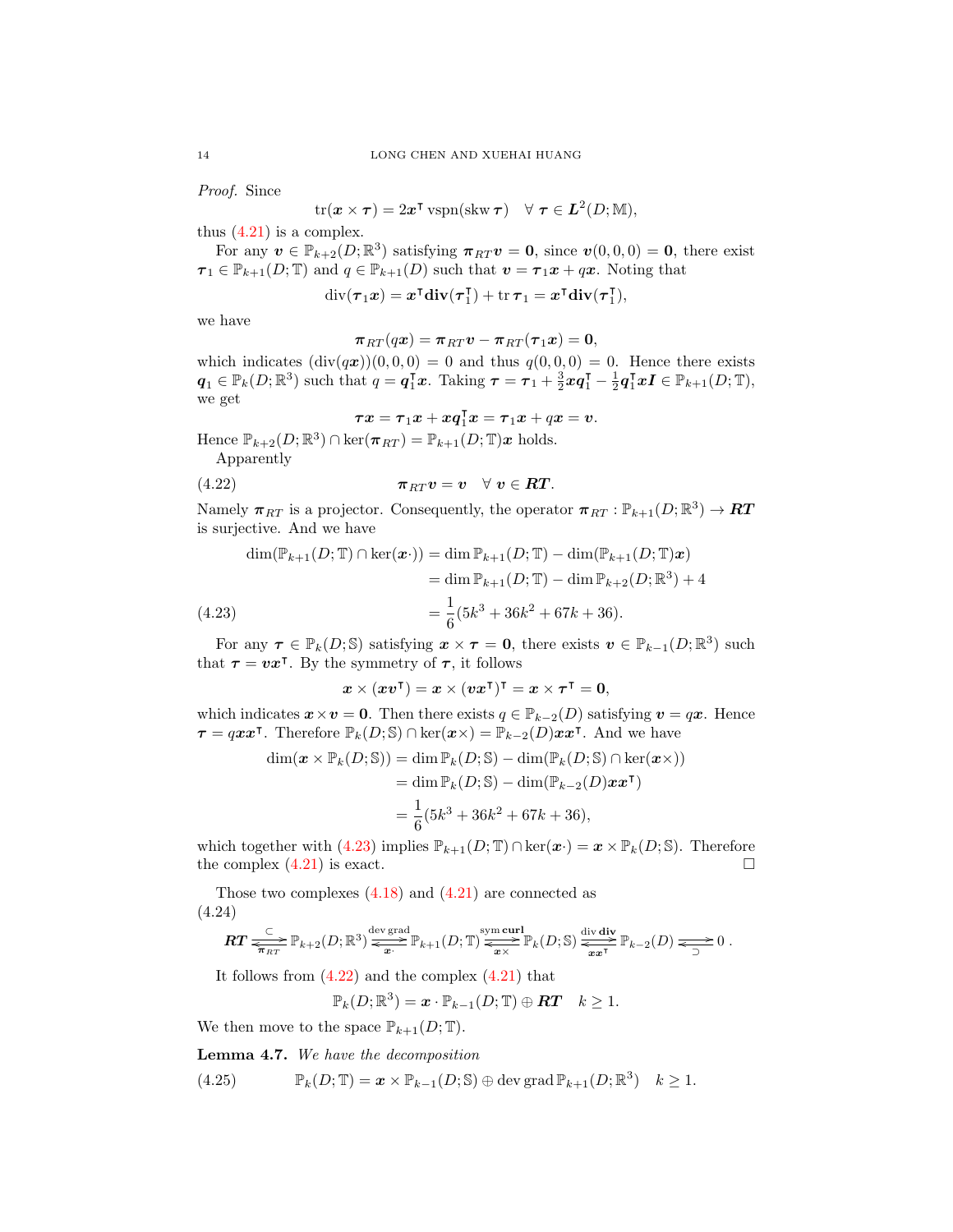Proof. Since

$$
\text{tr}(\boldsymbol{x}\times\boldsymbol{\tau})=2\boldsymbol{x}^{\intercal}\,\text{vspn}(\text{skw}\,\boldsymbol{\tau})\quad\forall\,\,\boldsymbol{\tau}\in\boldsymbol{L}^2(D;\mathbb{M}),
$$

thus  $(4.21)$  is a complex.

For any  $v \in \mathbb{P}_{k+2}(D;\mathbb{R}^3)$  satisfying  $\pi_{RT}v = 0$ , since  $v(0,0,0) = 0$ , there exist  $\tau_1 \in \mathbb{P}_{k+1}(D;\mathbb{T})$  and  $q \in \mathbb{P}_{k+1}(D)$  such that  $\mathbf{v} = \tau_1 \mathbf{x} + q\mathbf{x}$ . Noting that

> $\mathrm{div}(\boldsymbol{\tau}_1\boldsymbol{x}) = \boldsymbol{x}^\intercal\mathbf{div}(\boldsymbol{\tau}_1^\intercal$  $\sigma_1^{\mathsf{T}}$ ) + tr  $\boldsymbol{\tau}_1 = \boldsymbol{x}^{\mathsf{T}} \mathbf{div} (\boldsymbol{\tau}_1^{\mathsf{T}})$  $\begin{bmatrix} 1 \\ 1 \end{bmatrix}$

we have

$$
\boldsymbol{\pi}_{RT}(q \boldsymbol{x}) = \boldsymbol{\pi}_{RT} \boldsymbol{v} - \boldsymbol{\pi}_{RT}(\boldsymbol{\tau}_1 \boldsymbol{x}) = \boldsymbol{0},
$$

which indicates  $(\text{div}(q\boldsymbol{x}))(0,0,0) = 0$  and thus  $q(0,0,0) = 0$ . Hence there exists  $q_1 \in \mathbb{P}_k(D;\mathbb{R}^3)$  such that  $q = q_1^{\mathsf{T}}x$ . Taking  $\tau = \tau_1 + \frac{3}{2}xq_1^{\mathsf{T}} - \frac{1}{2}q_1^{\mathsf{T}}xI \in \mathbb{P}_{k+1}(D;\mathbb{T}),$ we get

<span id="page-13-1"></span>
$$
\boldsymbol{\tau}\boldsymbol{x}=\boldsymbol{\tau}_1\boldsymbol{x}+\boldsymbol{x}\boldsymbol{q}_1^{\intercal}\boldsymbol{x}=\boldsymbol{\tau}_1\boldsymbol{x}+q\boldsymbol{x}=\boldsymbol{v}.
$$

Hence  $\mathbb{P}_{k+2}(D;\mathbb{R}^3) \cap \text{ker}(\pi_{RT}) = \mathbb{P}_{k+1}(D;\mathbb{T})\mathbf{x}$  holds.

Apparently

$$
\pi_{RT} v = v \quad \forall \ v \in RT.
$$

Namely  $\pi_{RT}$  is a projector. Consequently, the operator  $\pi_{RT} : \mathbb{P}_{k+1}(D;\mathbb{R}^3) \to \mathbb{R}T$ is surjective. And we have

$$
\dim(\mathbb{P}_{k+1}(D; \mathbb{T}) \cap \ker(\boldsymbol{x} \cdot)) = \dim \mathbb{P}_{k+1}(D; \mathbb{T}) - \dim(\mathbb{P}_{k+1}(D; \mathbb{T}) \boldsymbol{x})
$$
  
= 
$$
\dim \mathbb{P}_{k+1}(D; \mathbb{T}) - \dim \mathbb{P}_{k+2}(D; \mathbb{R}^3) + 4
$$
  
(4.23)  
= 
$$
\frac{1}{6}(5k^3 + 36k^2 + 67k + 36).
$$

<span id="page-13-0"></span>For any  $\tau \in \mathbb{P}_k(D; \mathbb{S})$  satisfying  $\mathbf{x} \times \tau = 0$ , there exists  $\mathbf{v} \in \mathbb{P}_{k-1}(D; \mathbb{R}^3)$  such that  $\tau = vx^{\dagger}$ . By the symmetry of  $\tau$ , it follows

$$
x \times (xv^{\intercal}) = x \times (vx^{\intercal})^{\intercal} = x \times \tau^{\intercal} = 0,
$$

which indicates  $x \times v = 0$ . Then there exists  $q \in \mathbb{P}_{k-2}(D)$  satisfying  $v = qx$ . Hence  $\tau = qxx^{\intercal}$ . Therefore  $\mathbb{P}_k(D;\mathbb{S}) \cap \ker(x \times) = \mathbb{P}_{k-2}(D)xx^{\intercal}$ . And we have

$$
\dim(\mathbf{x} \times \mathbb{P}_k(D; \mathbb{S})) = \dim \mathbb{P}_k(D; \mathbb{S}) - \dim(\mathbb{P}_k(D; \mathbb{S}) \cap \ker(\mathbf{x} \times))
$$
  
= 
$$
\dim \mathbb{P}_k(D; \mathbb{S}) - \dim(\mathbb{P}_{k-2}(D)\mathbf{x}\mathbf{x}^{\mathsf{T}})
$$
  
= 
$$
\frac{1}{6}(5k^3 + 36k^2 + 67k + 36),
$$

which together with [\(4.23\)](#page-13-0) implies  $\mathbb{P}_{k+1}(D;\mathbb{T}) \cap \ker(\boldsymbol{x}\cdot) = \boldsymbol{x} \times \mathbb{P}_{k}(D;\mathbb{S})$ . Therefore the complex  $(4.21)$  is exact.

Those two complexes  $(4.18)$  and  $(4.21)$  are connected as (4.24)

<span id="page-13-3"></span>
$$
\boldsymbol{RT} \xrightarrow[\pi_{RT}]{\subseteq} \mathbb{P}_{k+2}(D;\mathbb{R}^3) \xrightarrow[\pi_{2}]{\text{dev grad}} \mathbb{P}_{k+1}(D;\mathbb{T}) \xrightarrow[\pi_{2}]{\text{sym curl}} \mathbb{P}_k(D;\mathbb{S}) \xrightarrow[\pi_{2}]{\text{div } \text{div}} \mathbb{P}_{k-2}(D) \xrightarrow[\pi_{2}]{\subseteq} 0.
$$

It follows from  $(4.22)$  and the complex  $(4.21)$  that

<span id="page-13-2"></span>
$$
\mathbb{P}_k(D;\mathbb{R}^3) = \boldsymbol{x} \cdot \mathbb{P}_{k-1}(D;\mathbb{T}) \oplus \boldsymbol{RT} \quad k \geq 1.
$$

We then move to the space  $\mathbb{P}_{k+1}(D;\mathbb{T})$ .

Lemma 4.7. We have the decomposition

(4.25) 
$$
\mathbb{P}_k(D; \mathbb{T}) = \boldsymbol{x} \times \mathbb{P}_{k-1}(D; \mathbb{S}) \oplus \text{dev grad } \mathbb{P}_{k+1}(D; \mathbb{R}^3) \quad k \geq 1.
$$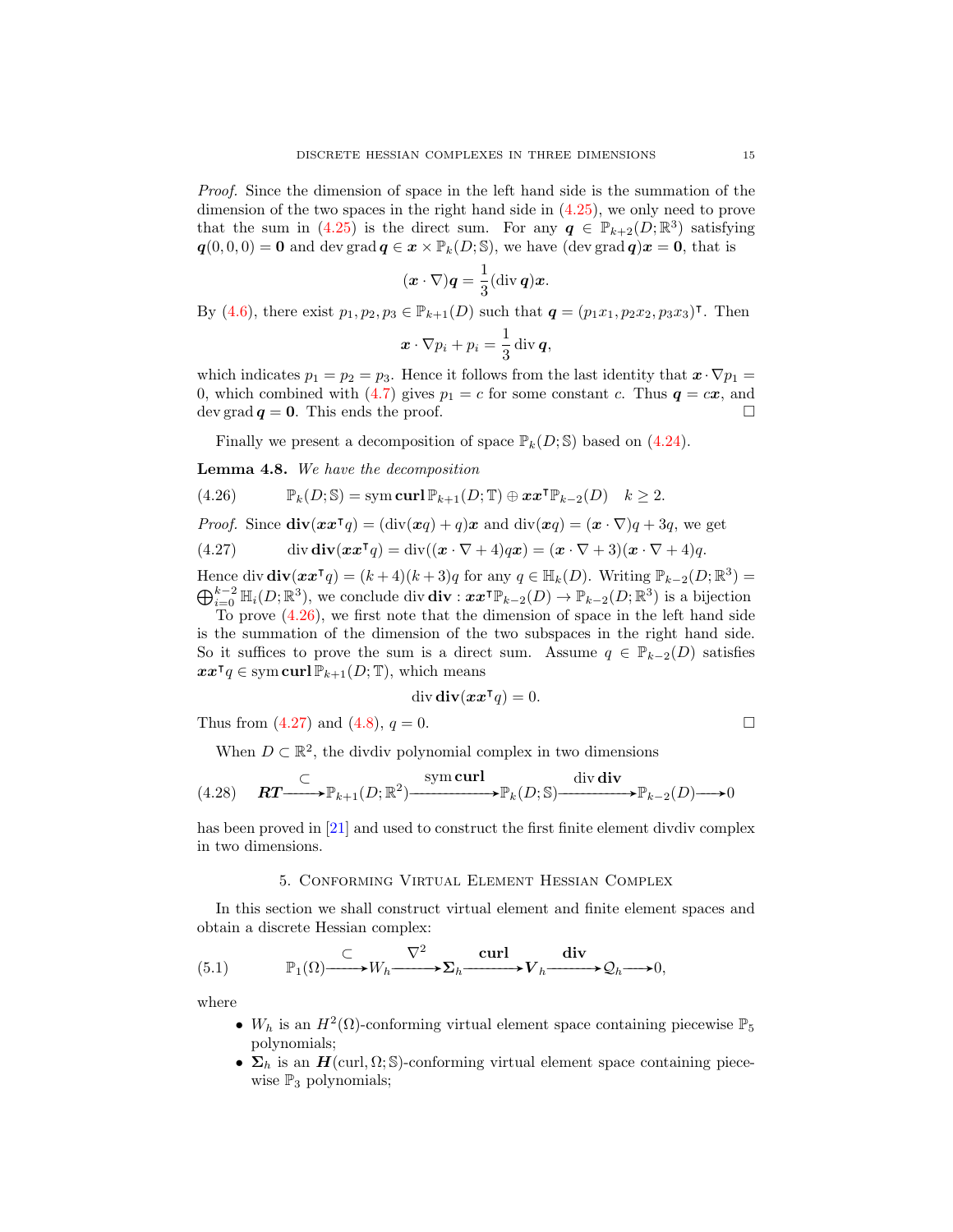Proof. Since the dimension of space in the left hand side is the summation of the dimension of the two spaces in the right hand side in [\(4.25\)](#page-13-2), we only need to prove that the sum in [\(4.25\)](#page-13-2) is the direct sum. For any  $q \in \mathbb{P}_{k+2}(D;\mathbb{R}^3)$  satisfying  $q(0, 0, 0) = 0$  and dev grad  $q \in x \times \mathbb{P}_k(D; \mathbb{S})$ , we have (dev grad  $q(x) = 0$ , that is

$$
(\boldsymbol{x}\cdot\nabla)\boldsymbol{q}=\frac{1}{3}(\operatorname{div}\boldsymbol{q})\boldsymbol{x}.
$$

By [\(4.6\)](#page-9-3), there exist  $p_1, p_2, p_3 \in \mathbb{P}_{k+1}(D)$  such that  $q = (p_1x_1, p_2x_2, p_3x_3)$ <sup>T</sup>. Then

$$
\boldsymbol{x}\cdot\nabla p_i + p_i = \frac{1}{3}\operatorname{div}\boldsymbol{q},
$$

which indicates  $p_1 = p_2 = p_3$ . Hence it follows from the last identity that  $\mathbf{x} \cdot \nabla p_1 =$ 0, which combined with [\(4.7\)](#page-9-4) gives  $p_1 = c$  for some constant c. Thus  $q = cx$ , and dev grad  $q = 0$ . This ends the proof.

<span id="page-14-0"></span>Finally we present a decomposition of space  $\mathbb{P}_k(D; \mathbb{S})$  based on [\(4.24\)](#page-13-3).

<span id="page-14-2"></span>Lemma 4.8. We have the decomposition

(4.26) 
$$
\mathbb{P}_k(D; \mathbb{S}) = \mathrm{sym} \operatorname{curl} \mathbb{P}_{k+1}(D; \mathbb{T}) \oplus \boldsymbol{x} \boldsymbol{x}^{\mathsf{T}} \mathbb{P}_{k-2}(D) \quad k \geq 2.
$$

*Proof.* Since 
$$
\text{div}(xx^{\mathsf{T}}q) = (\text{div}(xq) + q)x
$$
 and  $\text{div}(xq) = (x \cdot \nabla)q + 3q$ , we get

<span id="page-14-1"></span>(4.27) 
$$
\operatorname{div} \mathbf{div}(\mathbf{x}\mathbf{x}^\mathsf{T} q) = \operatorname{div}((\mathbf{x}\cdot \nabla + 4)q\mathbf{x}) = (\mathbf{x}\cdot \nabla + 3)(\mathbf{x}\cdot \nabla + 4)q.
$$

Hence div  $\mathbf{div}(\mathbf{x}\mathbf{x}^\mathsf{T} q) = (k+4)(k+3)q$  for any  $q \in \mathbb{H}_k(D)$ . Writing  $\mathbb{P}_{k-2}(D;\mathbb{R}^3) =$  $\bigoplus_{i=0}^{k-2} \mathbb{H}_i(D;\mathbb{R}^3)$ , we conclude div  $\mathbf{div}: \boldsymbol{xx}^{\mathsf{T}} \mathbb{P}_{k-2}(D) \to \mathbb{P}_{k-2}(D;\mathbb{R}^3)$  is a bijection

To prove [\(4.26\)](#page-14-0), we first note that the dimension of space in the left hand side is the summation of the dimension of the two subspaces in the right hand side. So it suffices to prove the sum is a direct sum. Assume  $q \in \mathbb{P}_{k-2}(D)$  satisfies  $\boldsymbol{x}\boldsymbol{x}^{\intercal} q \in \text{sym}\,\textbf{curl}\,\mathbb{P}_{k+1}(D;\mathbb{T})$ , which means

$$
\operatorname{div} \operatorname{div} (\boldsymbol{x} \boldsymbol{x}^\mathsf{T} \boldsymbol{q}) = 0.
$$

Thus from [\(4.27\)](#page-14-1) and [\(4.8\)](#page-9-5),  $q = 0$ .

When 
$$
D \subset \mathbb{R}^2
$$
, the dividiv polynomial complex in two dimensions

$$
(4.28) \quad \mathbf{RT} \longrightarrow \mathbb{P}_{k+1}(D;\mathbb{R}^2) \longrightarrow \mathbb{P}_k(D;\mathbb{S}) \longrightarrow \mathbb{P}_{k-2}(D) \longrightarrow 0
$$

has been proved in [\[21\]](#page-37-16) and used to construct the first finite element divdiv complex in two dimensions.

## 5. Conforming Virtual Element Hessian Complex

In this section we shall construct virtual element and finite element spaces and obtain a discrete Hessian complex:

(5.1) 
$$
\mathbb{P}_1(\Omega) \xrightarrow{\subset} W_h \xrightarrow{\nabla^2} \Sigma_h \xrightarrow{\operatorname{curl}} V_h \xrightarrow{\operatorname{div}} \mathcal{Q}_h \longrightarrow 0,
$$

where

- <span id="page-14-3"></span>•  $W_h$  is an  $H^2(\Omega)$ -conforming virtual element space containing piecewise  $\mathbb{P}_5$ polynomials;
- $\Sigma_h$  is an  $H(\text{curl}, \Omega; \mathbb{S})$ -conforming virtual element space containing piecewise  $\mathbb{P}_3$  polynomials;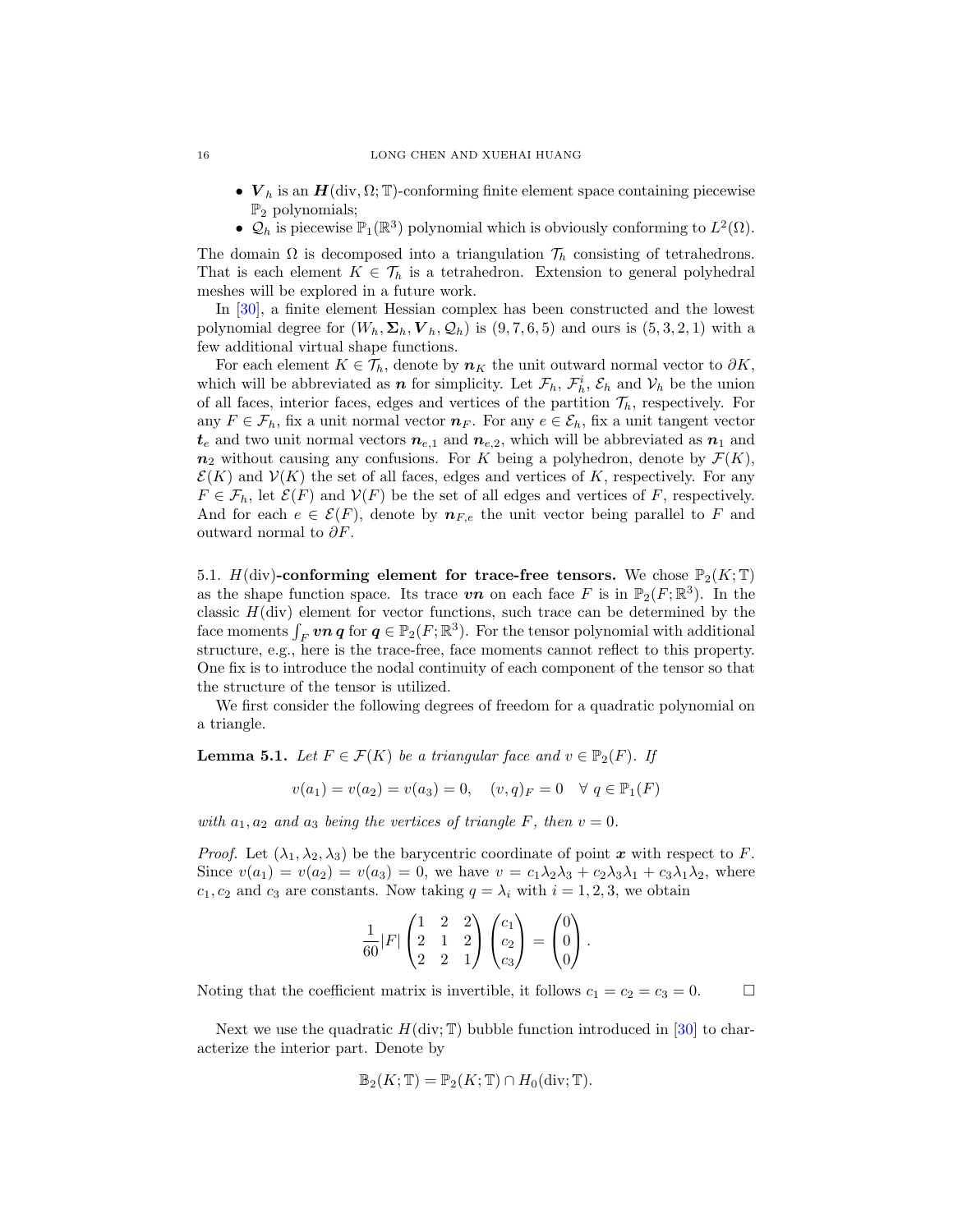- $V_h$  is an  $H(\text{div}, \Omega; \mathbb{T})$ -conforming finite element space containing piecewise  $\mathbb{P}_2$  polynomials;
- $\mathcal{Q}_h$  is piecewise  $\mathbb{P}_1(\mathbb{R}^3)$  polynomial which is obviously conforming to  $L^2(\Omega)$ .

The domain  $\Omega$  is decomposed into a triangulation  $\mathcal{T}_h$  consisting of tetrahedrons. That is each element  $K \in \mathcal{T}_h$  is a tetrahedron. Extension to general polyhedral meshes will be explored in a future work.

In [\[30\]](#page-37-2), a finite element Hessian complex has been constructed and the lowest polynomial degree for  $(W_h, \Sigma_h, V_h, \mathcal{Q}_h)$  is  $(9, 7, 6, 5)$  and ours is  $(5, 3, 2, 1)$  with a few additional virtual shape functions.

For each element  $K \in \mathcal{T}_h$ , denote by  $n_K$  the unit outward normal vector to  $\partial K$ , which will be abbreviated as  $n$  for simplicity. Let  $\mathcal{F}_h$ ,  $\mathcal{F}_h^i$ ,  $\mathcal{E}_h$  and  $\mathcal{V}_h$  be the union of all faces, interior faces, edges and vertices of the partition  $\mathcal{T}_h$ , respectively. For any  $F \in \mathcal{F}_h$ , fix a unit normal vector  $n_F$ . For any  $e \in \mathcal{E}_h$ , fix a unit tangent vector  $t_e$  and two unit normal vectors  $n_{e,1}$  and  $n_{e,2}$ , which will be abbreviated as  $n_1$  and  $n_2$  without causing any confusions. For K being a polyhedron, denote by  $\mathcal{F}(K)$ ,  $\mathcal{E}(K)$  and  $\mathcal{V}(K)$  the set of all faces, edges and vertices of K, respectively. For any  $F \in \mathcal{F}_h$ , let  $\mathcal{E}(F)$  and  $\mathcal{V}(F)$  be the set of all edges and vertices of F, respectively. And for each  $e \in \mathcal{E}(F)$ , denote by  $n_{F,e}$  the unit vector being parallel to F and outward normal to  $\partial F$ .

5.1.  $H(\text{div})$ -conforming element for trace-free tensors. We chose  $\mathbb{P}_2(K;\mathbb{T})$ as the shape function space. Its trace  $\boldsymbol{v}\boldsymbol{n}$  on each face F is in  $\mathbb{P}_2(F; \mathbb{R}^3)$ . In the classic  $H(\text{div})$  element for vector functions, such trace can be determined by the face moments  $\int_F v \mathbf{n} \, \mathbf{q}$  for  $\mathbf{q} \in \mathbb{P}_2(F; \mathbb{R}^3)$ . For the tensor polynomial with additional structure, e.g., here is the trace-free, face moments cannot reflect to this property. One fix is to introduce the nodal continuity of each component of the tensor so that the structure of the tensor is utilized.

We first consider the following degrees of freedom for a quadratic polynomial on a triangle.

<span id="page-15-0"></span>**Lemma 5.1.** Let  $F \in \mathcal{F}(K)$  be a triangular face and  $v \in \mathbb{P}_2(F)$ . If

$$
v(a_1) = v(a_2) = v(a_3) = 0, \quad (v, q)_F = 0 \quad \forall \ q \in \mathbb{P}_1(F)
$$

with  $a_1, a_2$  and  $a_3$  being the vertices of triangle F, then  $v = 0$ .

*Proof.* Let  $(\lambda_1, \lambda_2, \lambda_3)$  be the barycentric coordinate of point x with respect to F. Since  $v(a_1) = v(a_2) = v(a_3) = 0$ , we have  $v = c_1\lambda_2\lambda_3 + c_2\lambda_3\lambda_1 + c_3\lambda_1\lambda_2$ , where  $c_1, c_2$  and  $c_3$  are constants. Now taking  $q = \lambda_i$  with  $i = 1, 2, 3$ , we obtain

$$
\frac{1}{60}|F|\begin{pmatrix} 1 & 2 & 2 \ 2 & 1 & 2 \ 2 & 2 & 1 \end{pmatrix}\begin{pmatrix} c_1 \ c_2 \ c_3 \end{pmatrix} = \begin{pmatrix} 0 \ 0 \ 0 \end{pmatrix}.
$$

Noting that the coefficient matrix is invertible, it follows  $c_1 = c_2 = c_3 = 0$ .  $\Box$ 

Next we use the quadratic  $H(\text{div}; \mathbb{T})$  bubble function introduced in [\[30\]](#page-37-2) to characterize the interior part. Denote by

$$
\mathbb{B}_2(K; \mathbb{T}) = \mathbb{P}_2(K; \mathbb{T}) \cap H_0(\text{div}; \mathbb{T}).
$$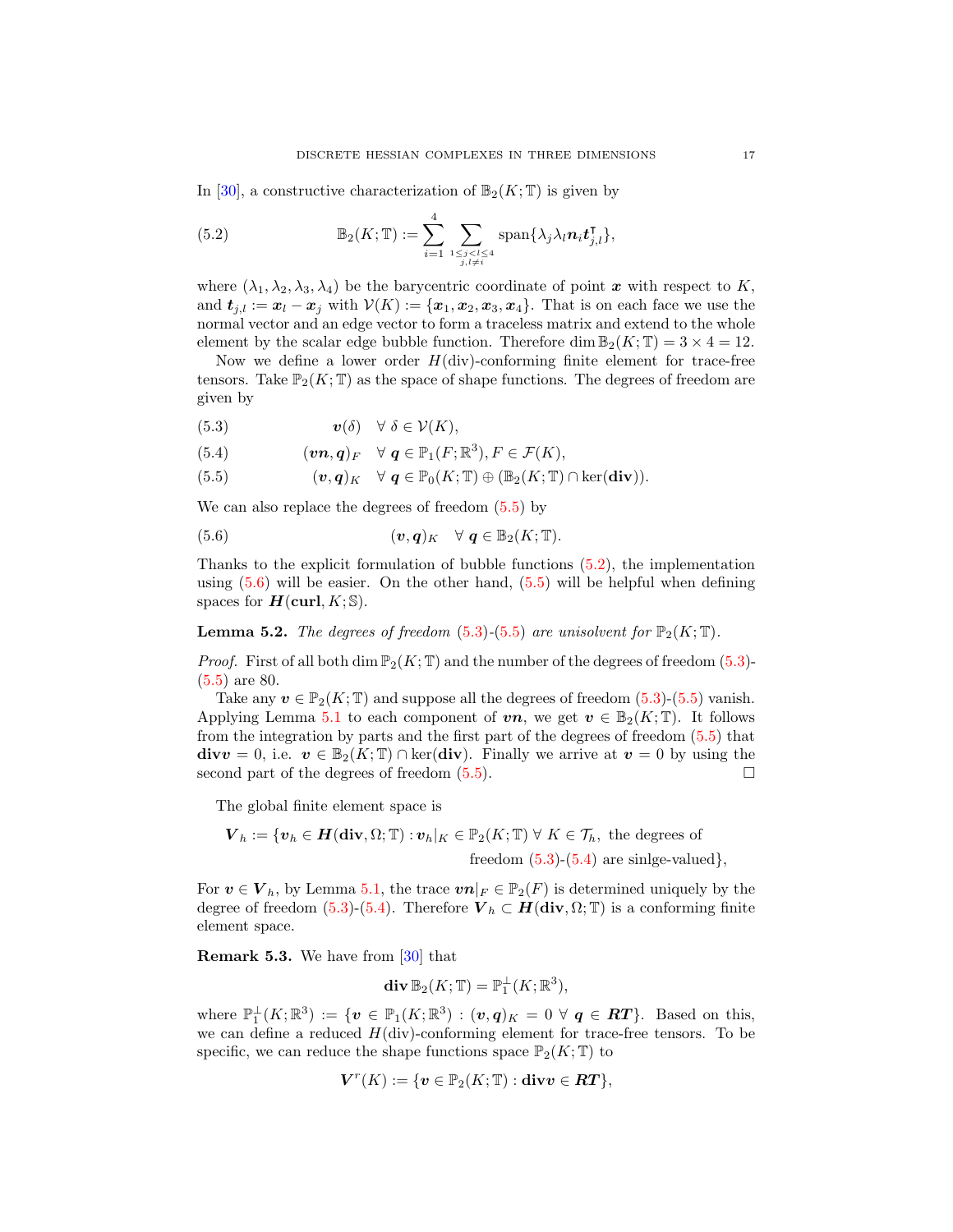In [\[30\]](#page-37-2), a constructive characterization of  $\mathbb{B}_2(K; \mathbb{T})$  is given by

<span id="page-16-1"></span>(5.2) 
$$
\mathbb{B}_2(K; \mathbb{T}) := \sum_{i=1}^4 \sum_{1 \leq j < l \leq 4 \atop j, l \neq i} \text{span}\{\lambda_j \lambda_l n_i \mathbf{t}_{j,l}^{\intercal}\},
$$

where  $(\lambda_1, \lambda_2, \lambda_3, \lambda_4)$  be the barycentric coordinate of point x with respect to K, and  $t_{j,l} := x_l - x_j$  with  $V(K) := \{x_1, x_2, x_3, x_4\}$ . That is on each face we use the normal vector and an edge vector to form a traceless matrix and extend to the whole element by the scalar edge bubble function. Therefore dim  $\mathbb{B}_2(K; \mathbb{T}) = 3 \times 4 = 12$ .

Now we define a lower order  $H(\text{div})$ -conforming finite element for trace-free tensors. Take  $\mathbb{P}_2(K;\mathbb{T})$  as the space of shape functions. The degrees of freedom are given by

- <span id="page-16-3"></span>(5.3)  $\mathbf{v}(\delta) \quad \forall \delta \in \mathcal{V}(K),$
- <span id="page-16-4"></span>(5.4)  $(\boldsymbol{v}\boldsymbol{n},\boldsymbol{q})_F \quad \forall \ \boldsymbol{q} \in \mathbb{P}_1(F;\mathbb{R}^3), F \in \mathcal{F}(K),$
- <span id="page-16-0"></span>(5.5)  $(v, q)_K \quad \forall \ q \in \mathbb{P}_0(K; \mathbb{T}) \oplus (\mathbb{B}_2(K; \mathbb{T}) \cap \ker(\text{div})).$

We can also replace the degrees of freedom [\(5.5\)](#page-16-0) by

<span id="page-16-2"></span>(5.6) 
$$
(\mathbf{v},\mathbf{q})_K \quad \forall \ \mathbf{q} \in \mathbb{B}_2(K;\mathbb{T}).
$$

Thanks to the explicit formulation of bubble functions [\(5.2\)](#page-16-1), the implementation using  $(5.6)$  will be easier. On the other hand,  $(5.5)$  will be helpful when defining spaces for  $H(\text{curl}, K; \mathbb{S}).$ 

<span id="page-16-5"></span>**Lemma 5.2.** The degrees of freedom [\(5.3\)](#page-16-3)-[\(5.5\)](#page-16-0) are unisolvent for  $\mathbb{P}_2(K;\mathbb{T})$ .

*Proof.* First of all both dim  $\mathbb{P}_2(K; \mathbb{T})$  and the number of the degrees of freedom [\(5.3\)](#page-16-3)-[\(5.5\)](#page-16-0) are 80.

Take any  $v \in \mathbb{P}_2(K; \mathbb{T})$  and suppose all the degrees of freedom [\(5.3\)](#page-16-3)-[\(5.5\)](#page-16-0) vanish. Applying Lemma [5.1](#page-15-0) to each component of  $vn$ , we get  $v \in \mathbb{B}_2(K; \mathbb{T})$ . It follows from the integration by parts and the first part of the degrees of freedom [\(5.5\)](#page-16-0) that  $divv = 0$ , i.e.  $v \in \mathbb{B}_2(K; \mathbb{T}) \cap \text{ker}(\text{div})$ . Finally we arrive at  $v = 0$  by using the second part of the degrees of freedom  $(5.5)$ .

The global finite element space is

$$
\boldsymbol{V}_h := \{ \boldsymbol{v}_h \in \boldsymbol{H}(\textbf{div}, \Omega; \mathbb{T}) : \boldsymbol{v}_h|_K \in \mathbb{P}_2(K; \mathbb{T}) \ \forall \ K \in \mathcal{T}_h, \text{ the degrees of} \\ \text{freedom (5.3)-(5.4) are single-valued} \},
$$

For  $\boldsymbol{v} \in \boldsymbol{V}_h$ , by Lemma [5.1,](#page-15-0) the trace  $\boldsymbol{v}\boldsymbol{n}|_F \in \mathbb{P}_2(F)$  is determined uniquely by the degree of freedom [\(5.3\)](#page-16-3)-[\(5.4\)](#page-16-4). Therefore  $V_h \subset H(\text{div}, \Omega; \mathbb{T})$  is a conforming finite element space.

<span id="page-16-6"></span>Remark 5.3. We have from [\[30\]](#page-37-2) that

$$
\mathbf{div}\,\mathbb{B}_2(K;\mathbb{T})=\mathbb{P}_1^{\perp}(K;\mathbb{R}^3),
$$

where  $\mathbb{P}_1^{\perp}(K;\mathbb{R}^3) := \{ \mathbf{v} \in \mathbb{P}_1(K;\mathbb{R}^3) : (\mathbf{v},\mathbf{q})_K = 0 \,\,\forall \,\, \mathbf{q} \in \mathbf{RT} \}.$  Based on this, we can define a reduced  $H(\text{div})$ -conforming element for trace-free tensors. To be specific, we can reduce the shape functions space  $\mathbb{P}_2(K;\mathbb{T})$  to

$$
\boldsymbol{V}^r(K):=\{\boldsymbol{v}\in\mathbb{P}_2(K;\mathbb{T}):\textbf{div}\boldsymbol{v}\in\boldsymbol{RT}\},
$$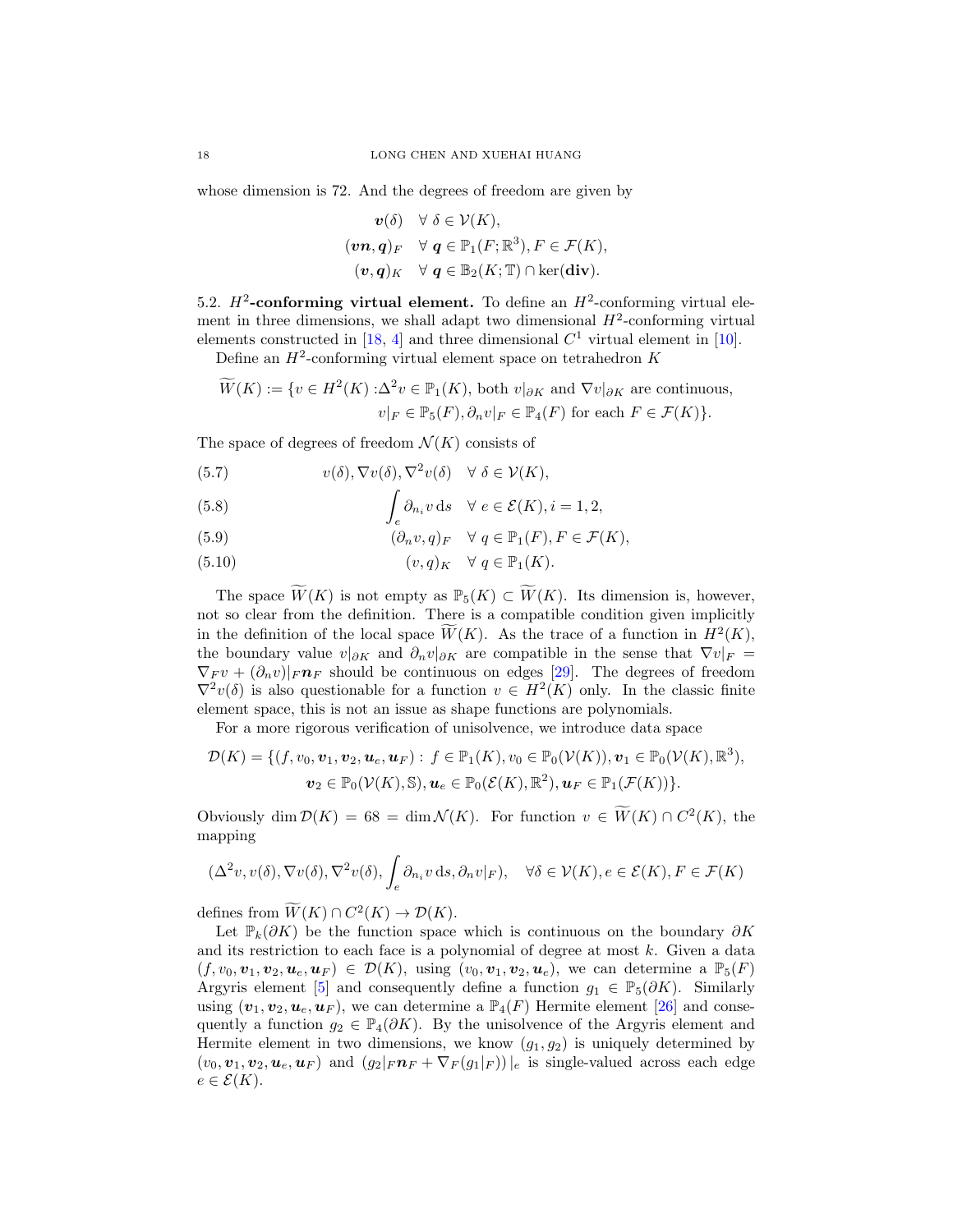whose dimension is 72. And the degrees of freedom are given by

$$
\mathbf{v}(\delta) \quad \forall \ \delta \in \mathcal{V}(K),
$$
  
\n
$$
(\mathbf{v}\mathbf{n},\mathbf{q})_F \quad \forall \ \mathbf{q} \in \mathbb{P}_1(F;\mathbb{R}^3), F \in \mathcal{F}(K),
$$
  
\n
$$
(\mathbf{v},\mathbf{q})_K \quad \forall \ \mathbf{q} \in \mathbb{B}_2(K;\mathbb{T}) \cap \ker(\mathbf{div}).
$$

<span id="page-17-3"></span>5.2.  $H^2$ -conforming virtual element. To define an  $H^2$ -conforming virtual element in three dimensions, we shall adapt two dimensional  $H^2$ -conforming virtual elements constructed in [\[18,](#page-37-6) [4\]](#page-36-5) and three dimensional  $C<sup>1</sup>$  virtual element in [\[10\]](#page-36-6).

Define an  $H^2$ -conforming virtual element space on tetrahedron K

$$
\widetilde{W}(K) := \{ v \in H^2(K) : \Delta^2 v \in \mathbb{P}_1(K), \text{ both } v|_{\partial K} \text{ and } \nabla v|_{\partial K} \text{ are continuous,}
$$
  

$$
v|_F \in \mathbb{P}_5(F), \partial_n v|_F \in \mathbb{P}_4(F) \text{ for each } F \in \mathcal{F}(K) \}.
$$

The space of degrees of freedom  $\mathcal{N}(K)$  consists of

<span id="page-17-0"></span>(5.7) 
$$
v(\delta), \nabla v(\delta), \nabla^2 v(\delta) \quad \forall \ \delta \in \mathcal{V}(K),
$$

(5.8) 
$$
\int_{e} \partial_{n_i} v \, ds \quad \forall e \in \mathcal{E}(K), i = 1, 2,
$$

<span id="page-17-1"></span>(5.9) 
$$
(\partial_n v, q)_F \quad \forall \ q \in \mathbb{P}_1(F), F \in \mathcal{F}(K),
$$

<span id="page-17-2"></span>(5.10) 
$$
(v,q)_K \quad \forall \ q \in \mathbb{P}_1(K).
$$

The space  $\widetilde{W}(K)$  is not empty as  $\mathbb{P}_5(K) \subset \widetilde{W}(K)$ . Its dimension is, however, not so clear from the definition. There is a compatible condition given implicitly in the definition of the local space  $\widetilde{W}(K)$ . As the trace of a function in  $H^2(K)$ , the boundary value  $v|_{\partial K}$  and  $\partial_n v|_{\partial K}$  are compatible in the sense that  $\nabla v|_F =$  $\nabla_F v + (\partial_n v)|_F \mathbf{n}_F$  should be continuous on edges [\[29\]](#page-37-12). The degrees of freedom  $\nabla^2 v(\delta)$  is also questionable for a function  $v \in H^2(K)$  only. In the classic finite element space, this is not an issue as shape functions are polynomials.

For a more rigorous verification of unisolvence, we introduce data space

$$
\mathcal{D}(K) = \{ (f, v_0, \mathbf{v}_1, \mathbf{v}_2, \mathbf{u}_e, \mathbf{u}_F) : f \in \mathbb{P}_1(K), v_0 \in \mathbb{P}_0(\mathcal{V}(K)), \mathbf{v}_1 \in \mathbb{P}_0(\mathcal{V}(K), \mathbb{R}^3),
$$
  

$$
\mathbf{v}_2 \in \mathbb{P}_0(\mathcal{V}(K), \mathbb{S}), \mathbf{u}_e \in \mathbb{P}_0(\mathcal{E}(K), \mathbb{R}^2), \mathbf{u}_F \in \mathbb{P}_1(\mathcal{F}(K)) \}.
$$

Obviously dim  $\mathcal{D}(K) = 68 = \dim \mathcal{N}(K)$ . For function  $v \in W(K) \cap C^2(K)$ , the mapping

$$
(\Delta^2 v, v(\delta), \nabla v(\delta), \nabla^2 v(\delta), \int_e \partial_{n_i} v \, ds, \partial_n v|_F), \quad \forall \delta \in \mathcal{V}(K), e \in \mathcal{E}(K), F \in \mathcal{F}(K)
$$

defines from  $\widetilde{W}(K) \cap C^2(K) \to \mathcal{D}(K)$ .

Let  $\mathbb{P}_k(\partial K)$  be the function space which is continuous on the boundary  $\partial K$ and its restriction to each face is a polynomial of degree at most  $k$ . Given a data  $(f, v_0, \boldsymbol{v}_1, \boldsymbol{v}_2, \boldsymbol{u}_e, \boldsymbol{u}_F) \in \mathcal{D}(K)$ , using  $(v_0, \boldsymbol{v}_1, \boldsymbol{v}_2, \boldsymbol{u}_e)$ , we can determine a  $\mathbb{P}_5(F)$ Argyris element [\[5\]](#page-36-10) and consequently define a function  $g_1 \in \mathbb{P}_5(\partial K)$ . Similarly using  $(\boldsymbol{v}_1, \boldsymbol{v}_2, \boldsymbol{u}_e, \boldsymbol{u}_F)$ , we can determine a  $\mathbb{P}_4(F)$  Hermite element [\[26\]](#page-37-15) and consequently a function  $g_2 \in \mathbb{P}_4(\partial K)$ . By the unisolvence of the Argyris element and Hermite element in two dimensions, we know  $(g_1, g_2)$  is uniquely determined by  $(v_0, v_1, v_2, u_e, u_F)$  and  $(g_2|_F n_F + \nabla_F(g_1|_F))|_e$  is single-valued across each edge  $e \in \mathcal{E}(K)$ .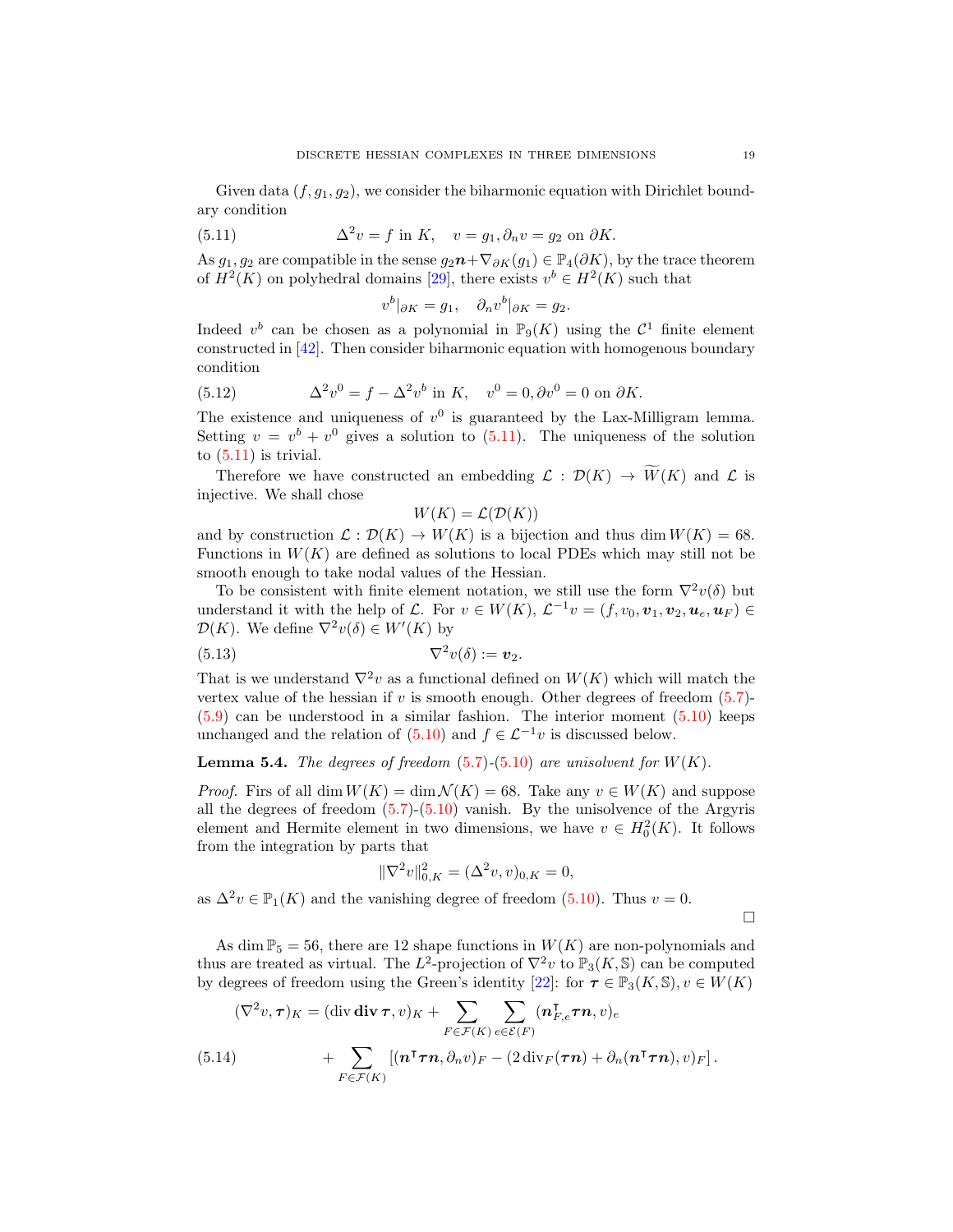Given data  $(f, g_1, g_2)$ , we consider the biharmonic equation with Dirichlet boundary condition

(5.11) 
$$
\Delta^2 v = f \text{ in } K, \quad v = g_1, \partial_n v = g_2 \text{ on } \partial K.
$$

As  $g_1, g_2$  are compatible in the sense  $g_2\mathbf{n}+\nabla_{\partial K}(g_1) \in \mathbb{P}_4(\partial K)$ , by the trace theorem of  $H^2(K)$  on polyhedral domains [\[29\]](#page-37-12), there exists  $v^b \in H^2(K)$  such that

<span id="page-18-0"></span>
$$
v^b|_{\partial K} = g_1, \quad \partial_n v^b|_{\partial K} = g_2.
$$

Indeed  $v^b$  can be chosen as a polynomial in  $\mathbb{P}_9(K)$  using the  $\mathcal{C}^1$  finite element constructed in [\[42\]](#page-37-3). Then consider biharmonic equation with homogenous boundary condition

(5.12) 
$$
\Delta^2 v^0 = f - \Delta^2 v^b \text{ in } K, \quad v^0 = 0, \partial v^0 = 0 \text{ on } \partial K.
$$

The existence and uniqueness of  $v^0$  is guaranteed by the Lax-Milligram lemma. Setting  $v = v^b + v^0$  gives a solution to [\(5.11\)](#page-18-0). The uniqueness of the solution to  $(5.11)$  is trivial.

Therefore we have constructed an embedding  $\mathcal{L}: \mathcal{D}(K) \to \widetilde{W}(K)$  and  $\mathcal{L}$  is injective. We shall chose

<span id="page-18-1"></span>
$$
W(K) = \mathcal{L}(\mathcal{D}(K))
$$

and by construction  $\mathcal{L}: \mathcal{D}(K) \to W(K)$  is a bijection and thus dim  $W(K) = 68$ . Functions in  $W(K)$  are defined as solutions to local PDEs which may still not be smooth enough to take nodal values of the Hessian.

To be consistent with finite element notation, we still use the form  $\nabla^2 v(\delta)$  but understand it with the help of L. For  $v \in W(K)$ ,  $\mathcal{L}^{-1}v = (f, v_0, \mathbf{v}_1, \mathbf{v}_2, \mathbf{u}_e, \mathbf{u}_F) \in$  $\mathcal{D}(K)$ . We define  $\nabla^2 v(\delta) \in W'(K)$  by

(5.13) 
$$
\nabla^2 v(\delta) := \mathbf{v}_2.
$$

That is we understand  $\nabla^2 v$  as a functional defined on  $W(K)$  which will match the vertex value of the hessian if v is smooth enough. Other degrees of freedom  $(5.7)$ - $(5.9)$  can be understood in a similar fashion. The interior moment  $(5.10)$  keeps unchanged and the relation of  $(5.10)$  and  $f \in \mathcal{L}^{-1}v$  is discussed below.

### **Lemma 5.4.** The degrees of freedom  $(5.7)$ - $(5.10)$  are unisolvent for  $W(K)$ .

*Proof.* Firs of all dim  $W(K) = \dim \mathcal{N}(K) = 68$ . Take any  $v \in W(K)$  and suppose all the degrees of freedom  $(5.7)-(5.10)$  $(5.7)-(5.10)$  $(5.7)-(5.10)$  vanish. By the unisolvence of the Argyris element and Hermite element in two dimensions, we have  $v \in H_0^2(K)$ . It follows from the integration by parts that

$$
\|\nabla^2 v\|_{0,K}^2 = (\Delta^2 v, v)_{0,K} = 0,
$$

as  $\Delta^2 v \in \mathbb{P}_1(K)$  and the vanishing degree of freedom [\(5.10\)](#page-17-2). Thus  $v = 0$ .

 $\Box$ 

As dim  $\mathbb{P}_5 = 56$ , there are 12 shape functions in  $W(K)$  are non-polynomials and thus are treated as virtual. The  $L^2$ -projection of  $\nabla^2 v$  to  $\mathbb{P}_3(K, \mathbb{S})$  can be computed by degrees of freedom using the Green's identity [\[22\]](#page-37-17): for  $\tau \in \mathbb{P}_3(K, \mathbb{S}), v \in W(K)$ 

(5.14) 
$$
(\nabla^2 v, \tau)_K = (\text{div div } \tau, v)_K + \sum_{F \in \mathcal{F}(K)} \sum_{e \in \mathcal{E}(F)} (n_{F,e}^{\mathsf{T}} \tau n, v)_e + \sum_{F \in \mathcal{F}(K)} [(n^{\mathsf{T}} \tau n, \partial_n v)_F - (2 \text{ div}_F(\tau n) + \partial_n (n^{\mathsf{T}} \tau n), v)_F].
$$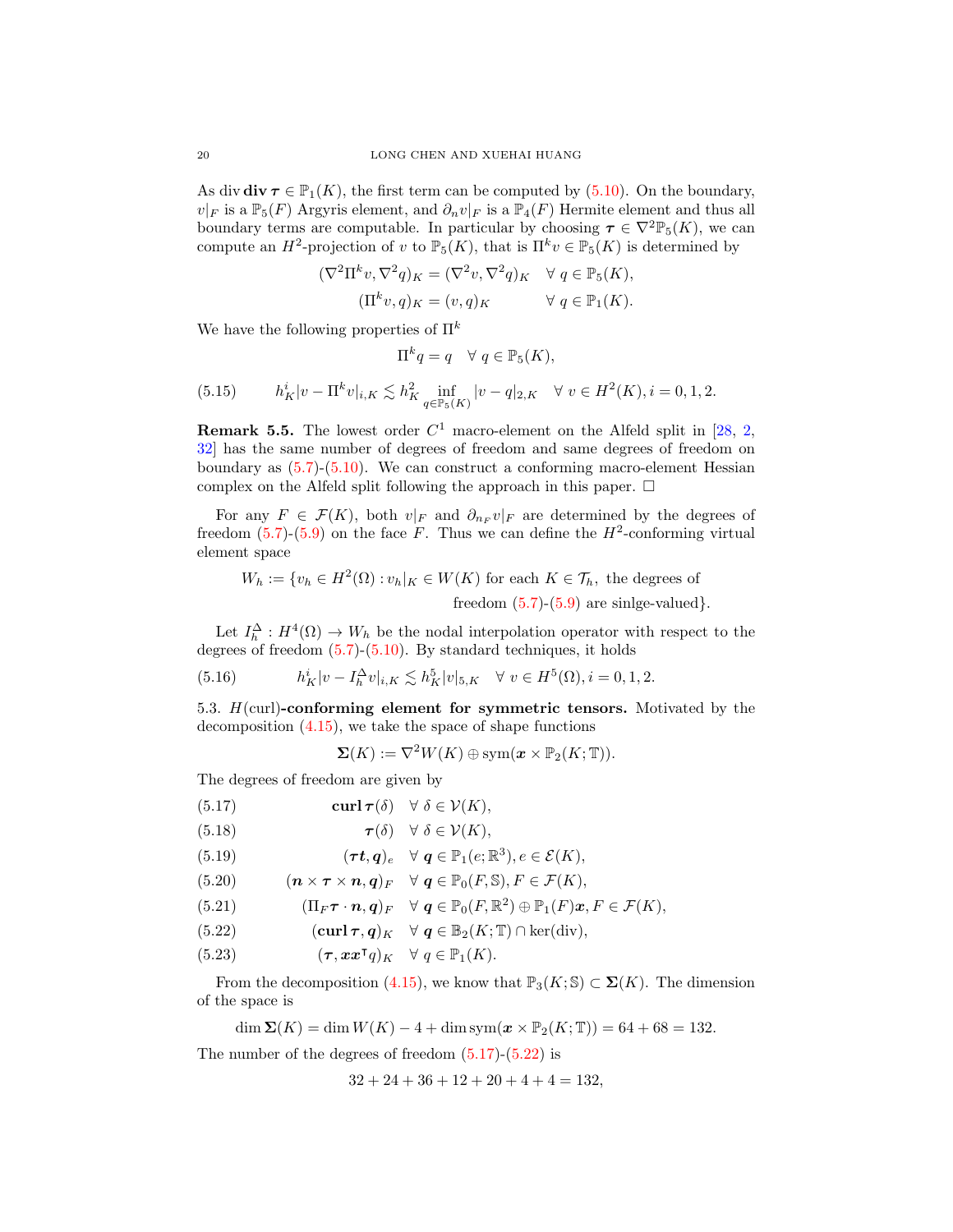As div  $\mathbf{div} \boldsymbol{\tau} \in \mathbb{P}_1(K)$ , the first term can be computed by [\(5.10\)](#page-17-2). On the boundary,  $v|_F$  is a  $\mathbb{P}_5(F)$  Argyris element, and  $\partial_n v|_F$  is a  $\mathbb{P}_4(F)$  Hermite element and thus all boundary terms are computable. In particular by choosing  $\tau \in \nabla^2 \mathbb{P}_5(K)$ , we can compute an  $H^2$ -projection of v to  $\mathbb{P}_5(K)$ , that is  $\Pi^k v \in \mathbb{P}_5(K)$  is determined by

$$
(\nabla^2 \Pi^k v, \nabla^2 q)_K = (\nabla^2 v, \nabla^2 q)_K \quad \forall \ q \in \mathbb{P}_5(K),
$$
  

$$
(\Pi^k v, q)_K = (v, q)_K \qquad \forall \ q \in \mathbb{P}_1(K).
$$

We have the following properties of  $\Pi^k$ 

$$
\Pi^k q = q \quad \forall \ q \in \mathbb{P}_5(K),
$$

<span id="page-19-8"></span>(5.15) 
$$
h_K^i |v - \Pi^k v|_{i,K} \lesssim h_K^2 \inf_{q \in \mathbb{P}_5(K)} |v - q|_{2,K} \quad \forall \ v \in H^2(K), i = 0, 1, 2.
$$

**Remark 5.5.** The lowest order  $C^1$  macro-element on the Alfeld split in [\[28,](#page-37-22) [2,](#page-36-14) [32\]](#page-37-23) has the same number of degrees of freedom and same degrees of freedom on boundary as  $(5.7)-(5.10)$  $(5.7)-(5.10)$  $(5.7)-(5.10)$ . We can construct a conforming macro-element Hessian complex on the Alfeld split following the approach in this paper.  $\Box$ 

For any  $F \in \mathcal{F}(K)$ , both  $v|_F$  and  $\partial_{n_F} v|_F$  are determined by the degrees of freedom  $(5.7)-(5.9)$  $(5.7)-(5.9)$  $(5.7)-(5.9)$  on the face F. Thus we can define the  $H^2$ -conforming virtual element space

$$
W_h := \{ v_h \in H^2(\Omega) : v_h|_K \in W(K) \text{ for each } K \in \mathcal{T}_h, \text{ the degrees of freedom } (5.7)-(5.9) \text{ are single-valued} \}.
$$

Let  $I_h^{\Delta}: H^4(\Omega) \to W_h$  be the nodal interpolation operator with respect to the degrees of freedom [\(5.7\)](#page-17-0)-[\(5.10\)](#page-17-2). By standard techniques, it holds

(5.16) 
$$
h_K^i |v - I_h^{\Delta} v|_{i,K} \lesssim h_K^5 |v|_{5,K} \quad \forall \ v \in H^5(\Omega), i = 0, 1, 2.
$$

5.3.  $H$ (curl)-conforming element for symmetric tensors. Motivated by the decomposition [\(4.15\)](#page-11-0), we take the space of shape functions

<span id="page-19-7"></span>
$$
\mathbf{\Sigma}(K):=\nabla^2 W(K)\oplus \text{sym}(\boldsymbol{x}\times \mathbb{P}_2(K;\mathbb{T})).
$$

The degrees of freedom are given by

<span id="page-19-4"></span><span id="page-19-0"></span>(5.17) 
$$
\operatorname{curl} \boldsymbol{\tau}(\delta) \quad \forall \ \delta \in \mathcal{V}(K),
$$

(5.18) 
$$
\boldsymbol{\tau}(\delta) \quad \forall \ \delta \in \mathcal{V}(K),
$$

<span id="page-19-5"></span>(5.19) 
$$
(\boldsymbol{\tau} \boldsymbol{t}, \boldsymbol{q})_e \quad \forall \ \boldsymbol{q} \in \mathbb{P}_1(e; \mathbb{R}^3), e \in \mathcal{E}(K),
$$

<span id="page-19-2"></span>(5.20) 
$$
(\mathbf{n}\times\boldsymbol{\tau}\times\mathbf{n},\mathbf{q})_F \quad \forall \ \mathbf{q} \in \mathbb{P}_0(F,\mathbb{S}), F \in \mathcal{F}(K),
$$

<span id="page-19-3"></span>(5.21) 
$$
(\Pi_F \boldsymbol{\tau} \cdot \boldsymbol{n}, \boldsymbol{q})_F \quad \forall \ \boldsymbol{q} \in \mathbb{P}_0(F, \mathbb{R}^2) \oplus \mathbb{P}_1(F) \boldsymbol{x}, F \in \mathcal{F}(K),
$$

<span id="page-19-1"></span>(5.22) 
$$
(\operatorname{curl} \boldsymbol{\tau}, \boldsymbol{q})_K \quad \forall \ \boldsymbol{q} \in \mathbb{B}_2(K; \mathbb{T}) \cap \ker(\operatorname{div}),
$$

<span id="page-19-6"></span>(5.23) 
$$
(\tau, \mathbf{x} \mathbf{x}^\mathsf{T} q)_K \quad \forall \ q \in \mathbb{P}_1(K).
$$

From the decomposition [\(4.15\)](#page-11-0), we know that  $\mathbb{P}_3(K; \mathbb{S}) \subset \Sigma(K)$ . The dimension of the space is

$$
\dim \Sigma(K) = \dim W(K) - 4 + \dim \text{sym}(\mathbf{x} \times \mathbb{P}_2(K; \mathbb{T})) = 64 + 68 = 132.
$$

The number of the degrees of freedom  $(5.17)-(5.22)$  $(5.17)-(5.22)$  $(5.17)-(5.22)$  is

$$
32 + 24 + 36 + 12 + 20 + 4 + 4 = 132,
$$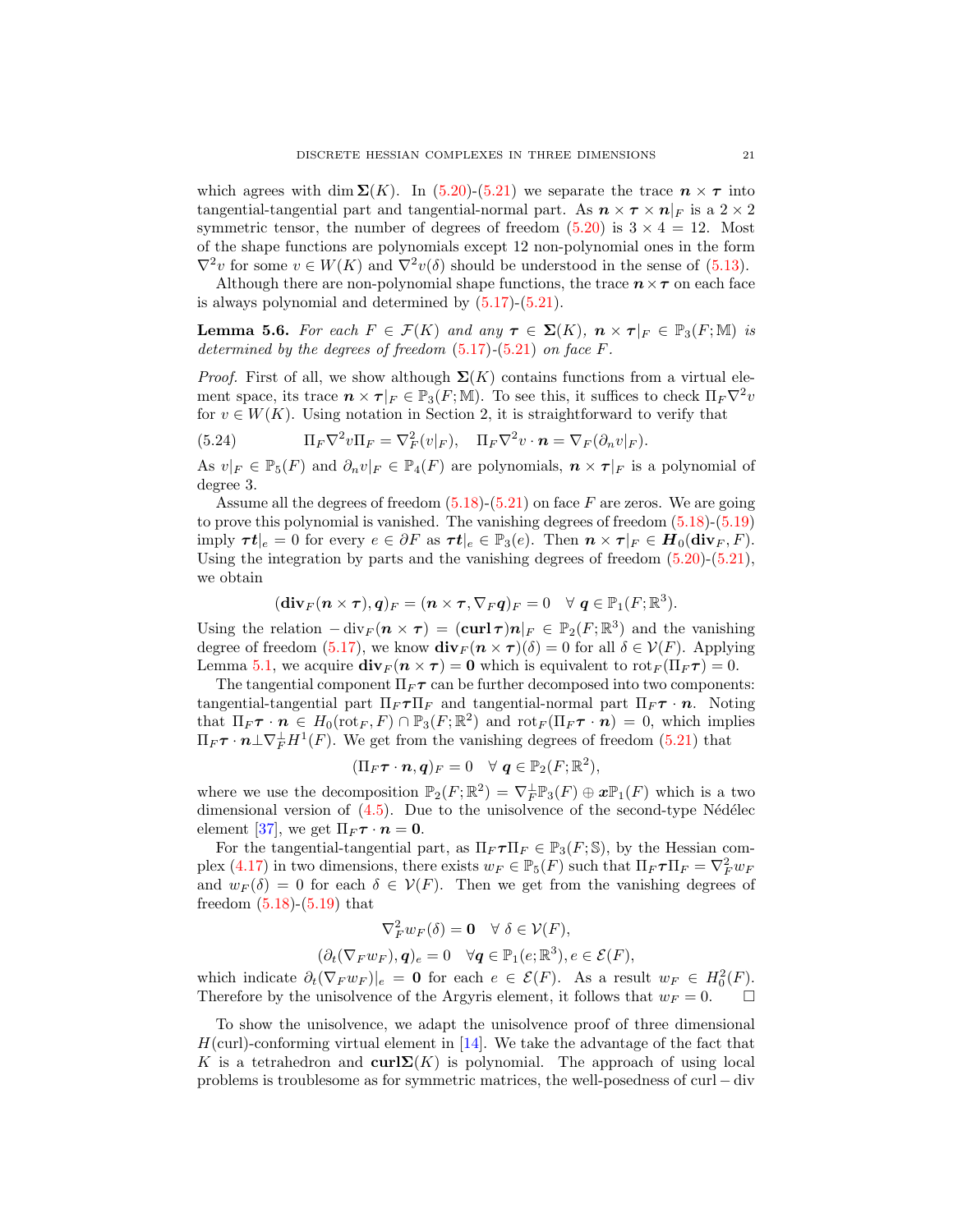which agrees with dim  $\Sigma(K)$ . In [\(5.20\)](#page-19-2)-[\(5.21\)](#page-19-3) we separate the trace  $n \times \tau$  into tangential-tangential part and tangential-normal part. As  $n \times \tau \times n|_F$  is a  $2 \times 2$ symmetric tensor, the number of degrees of freedom  $(5.20)$  is  $3 \times 4 = 12$ . Most of the shape functions are polynomials except 12 non-polynomial ones in the form  $\nabla^2 v$  for some  $v \in W(K)$  and  $\nabla^2 v(\delta)$  should be understood in the sense of [\(5.13\)](#page-18-1).

Although there are non-polynomial shape functions, the trace  $n \times \tau$  on each face is always polynomial and determined by [\(5.17\)](#page-19-0)-[\(5.21\)](#page-19-3).

<span id="page-20-0"></span>**Lemma 5.6.** For each  $F \in \mathcal{F}(K)$  and any  $\tau \in \Sigma(K)$ ,  $n \times \tau|_F \in \mathbb{P}_3(F;\mathbb{M})$  is determined by the degrees of freedom  $(5.17)$ - $(5.21)$  on face F.

*Proof.* First of all, we show although  $\Sigma(K)$  contains functions from a virtual element space, its trace  $n \times \tau|_F \in \mathbb{P}_3(F;\mathbb{M})$ . To see this, it suffices to check  $\Pi_F \nabla^2 v$ for  $v \in W(K)$ . Using notation in Section 2, it is straightforward to verify that

<span id="page-20-1"></span>(5.24) 
$$
\Pi_F \nabla^2 v \Pi_F = \nabla_F^2 (v|_F), \quad \Pi_F \nabla^2 v \cdot \mathbf{n} = \nabla_F (\partial_n v|_F).
$$

As  $v|_F \in \mathbb{P}_5(F)$  and  $\partial_n v|_F \in \mathbb{P}_4(F)$  are polynomials,  $n \times \tau|_F$  is a polynomial of degree 3.

Assume all the degrees of freedom  $(5.18)$ - $(5.21)$  on face F are zeros. We are going to prove this polynomial is vanished. The vanishing degrees of freedom [\(5.18\)](#page-19-4)-[\(5.19\)](#page-19-5) imply  $\boldsymbol{\tau} \boldsymbol{t}|_e = 0$  for every  $e \in \partial F$  as  $\boldsymbol{\tau} \boldsymbol{t}|_e \in \mathbb{P}_3(e)$ . Then  $\boldsymbol{n} \times \boldsymbol{\tau}|_F \in \boldsymbol{H}_0(\text{div}_F, F)$ . Using the integration by parts and the vanishing degrees of freedom  $(5.20)-(5.21)$  $(5.20)-(5.21)$  $(5.20)-(5.21)$ , we obtain

$$
(\mathbf{div}_F(\boldsymbol{n}\times\boldsymbol{\tau}),\boldsymbol{q})_F=(\boldsymbol{n}\times\boldsymbol{\tau},\nabla_F\boldsymbol{q})_F=0\quad\forall~\boldsymbol{q}\in\mathbb{P}_1(F;\mathbb{R}^3).
$$

Using the relation  $-\operatorname{div}_F(n \times \tau) = (\operatorname{curl} \tau)n|_F \in \mathbb{P}_2(F; \mathbb{R}^3)$  and the vanishing degree of freedom [\(5.17\)](#page-19-0), we know  $\mathbf{div}_F(n \times \tau)(\delta) = 0$  for all  $\delta \in \mathcal{V}(F)$ . Applying Lemma [5.1,](#page-15-0) we acquire  $\mathbf{div}_F (n \times \tau) = 0$  which is equivalent to  $\mathrm{rot}_F(\Pi_F \tau) = 0$ .

The tangential component  $\Pi_F \tau$  can be further decomposed into two components: tangential-tangential part  $\Pi_F \tau \Pi_F$  and tangential-normal part  $\Pi_F \tau \cdot n$ . Noting that  $\Pi_F \tau \cdot \mathbf{n} \in H_0(\mathrm{rot}_F, F) \cap \mathbb{P}_3(F; \mathbb{R}^2)$  and  $\mathrm{rot}_F(\Pi_F \tau \cdot \mathbf{n}) = 0$ , which implies  $\Pi_F \boldsymbol{\tau} \cdot \boldsymbol{n} \bot \nabla_F^{\perp} H^1(F)$ . We get from the vanishing degrees of freedom [\(5.21\)](#page-19-3) that

$$
(\Pi_F\boldsymbol{\tau}\cdot\boldsymbol{n},\boldsymbol{q})_F=0\quad\forall~\boldsymbol{q}\in\mathbb{P}_2(F;\mathbb{R}^2),
$$

where we use the decomposition  $\mathbb{P}_2(F;\mathbb{R}^2) = \nabla_F^{\perp} \mathbb{P}_3(F) \oplus x \mathbb{P}_1(F)$  which is a two dimensional version of  $(4.5)$ . Due to the unisolvence of the second-type Nédélec element [\[37\]](#page-37-21), we get  $\Pi_F \tau \cdot n = 0$ .

For the tangential-tangential part, as  $\Pi_F \tau \Pi_F \in \mathbb{P}_3(F; \mathbb{S})$ , by the Hessian com-plex [\(4.17\)](#page-12-4) in two dimensions, there exists  $w_F \in \mathbb{P}_5(F)$  such that  $\Pi_F \tau \Pi_F = \nabla_F^2 w_F$ and  $w_F(\delta) = 0$  for each  $\delta \in \mathcal{V}(F)$ . Then we get from the vanishing degrees of freedom  $(5.18)-(5.19)$  $(5.18)-(5.19)$  $(5.18)-(5.19)$  that

$$
\nabla_F^2 w_F(\delta) = \mathbf{0} \quad \forall \ \delta \in \mathcal{V}(F),
$$
  

$$
(\partial_t (\nabla_F w_F), \mathbf{q})_e = 0 \quad \forall \mathbf{q} \in \mathbb{P}_1(e; \mathbb{R}^3), e \in \mathcal{E}(F),
$$

which indicate  $\partial_t (\nabla_F w_F)|_e = \mathbf{0}$  for each  $e \in \mathcal{E}(F)$ . As a result  $w_F \in H_0^2(F)$ . Therefore by the unisolvence of the Argyris element, it follows that  $w_F = 0$ .  $\Box$ 

To show the unisolvence, we adapt the unisolvence proof of three dimensional  $H(\text{curl})$ -conforming virtual element in [\[14\]](#page-36-8). We take the advantage of the fact that K is a tetrahedron and curl $\Sigma(K)$  is polynomial. The approach of using local problems is troublesome as for symmetric matrices, the well-posedness of curl − div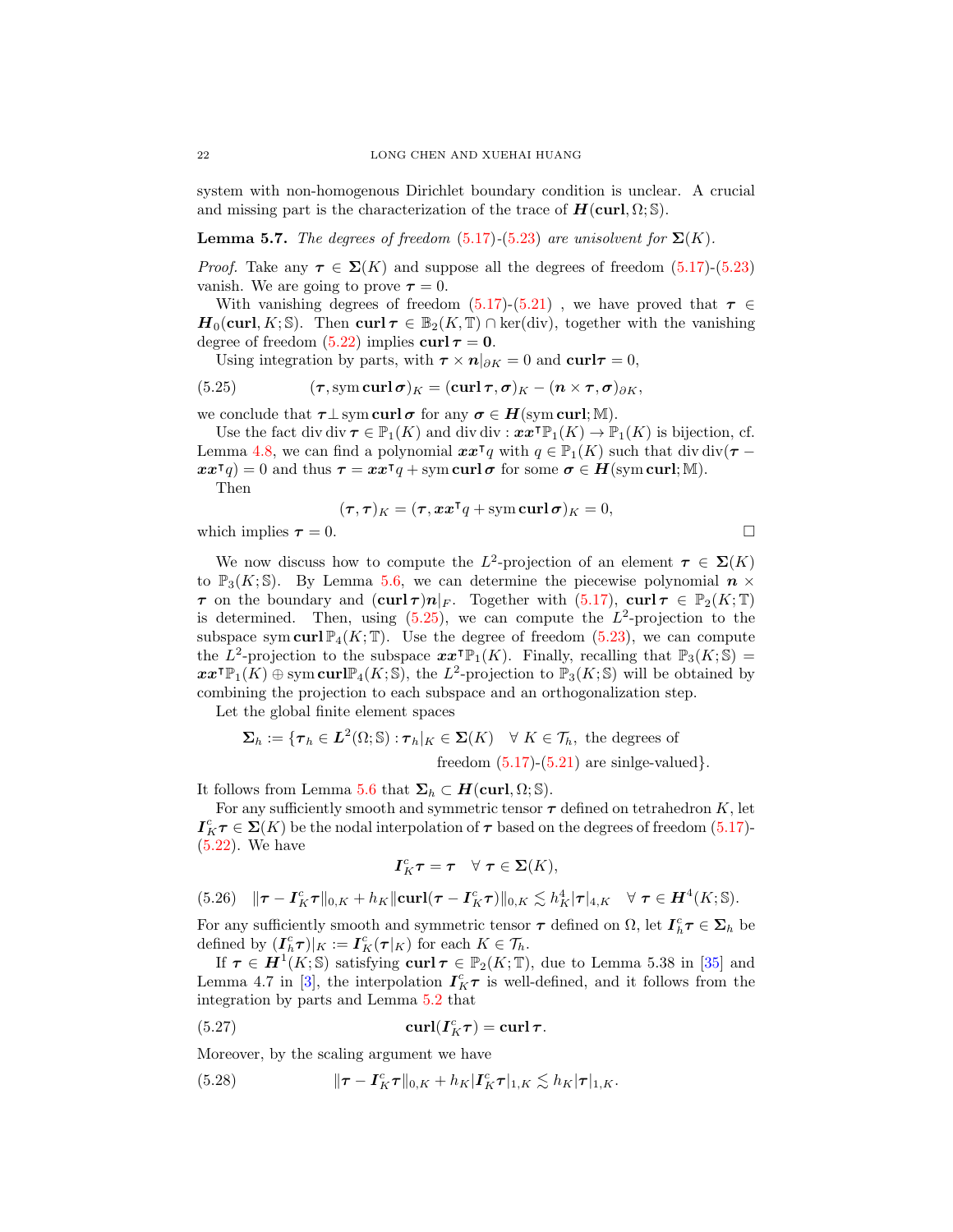system with non-homogenous Dirichlet boundary condition is unclear. A crucial and missing part is the characterization of the trace of  $H(\text{curl}, \Omega; \mathbb{S})$ .

## **Lemma 5.7.** The degrees of freedom [\(5.17\)](#page-19-0)-[\(5.23\)](#page-19-6) are unisolvent for  $\Sigma(K)$ .

*Proof.* Take any  $\tau \in \Sigma(K)$  and suppose all the degrees of freedom [\(5.17\)](#page-19-0)-[\(5.23\)](#page-19-6) vanish. We are going to prove  $\tau = 0$ .

With vanishing degrees of freedom [\(5.17\)](#page-19-0)-[\(5.21\)](#page-19-3), we have proved that  $\tau \in$  $H_0(\text{curl}, K; \mathbb{S})$ . Then  $\text{curl } \tau \in \mathbb{B}_2(K, \mathbb{T}) \cap \text{ker}(\text{div})$ , together with the vanishing degree of freedom [\(5.22\)](#page-19-1) implies  $\text{curl } \tau = 0$ .

<span id="page-21-0"></span>Using integration by parts, with  $\tau \times n|_{\partial K} = 0$  and  $\text{curl}\tau = 0$ ,

(5.25) 
$$
(\tau, \mathrm{sym}\,\mathrm{curl}\,\sigma)_K = (\mathrm{curl}\,\tau, \sigma)_K - (n \times \tau, \sigma)_{\partial K},
$$

we conclude that  $\tau \perp \mathrm{sym\,curl\,}\sigma$  for any  $\sigma \in H(\mathrm{sym\,curl};\mathbb{M}).$ 

Use the fact div div  $\tau \in \mathbb{P}_1(K)$  and div div  $:x \tau \mathbb{P}_1(K) \to \mathbb{P}_1(K)$  is bijection, cf. Lemma [4.8,](#page-14-2) we can find a polynomial  $xx^{\dagger}q$  with  $q \in \mathbb{P}_1(K)$  such that div div( $\tau$  –  $xx^{\intercal}q$  = 0 and thus  $\tau = xx^{\intercal}q + sym \, curl \sigma$  for some  $\sigma \in H(\text{sym curl}; \mathbb{M})$ .

Then

$$
(\boldsymbol{\tau},\boldsymbol{\tau})_K = (\boldsymbol{\tau},\boldsymbol{x}\boldsymbol{x}^\mathsf{T} q + \operatorname{sym} \operatorname{curl} \boldsymbol{\sigma})_K = 0,
$$

which implies  $\tau = 0$ .

We now discuss how to compute the  $L^2$ -projection of an element  $\tau \in \Sigma(K)$ to  $\mathbb{P}_3(K; \mathbb{S})$ . By Lemma [5.6,](#page-20-0) we can determine the piecewise polynomial  $n \times$  $\tau$  on the boundary and  $(\mathbf{curl}\,\tau)\mathbf{n}|_F$ . Together with  $(5.17)$ ,  $\mathbf{curl}\,\tau \in \mathbb{P}_2(K;\mathbb{T})$ is determined. Then, using  $(5.25)$ , we can compute the  $L^2$ -projection to the subspace sym curl  $\mathbb{P}_4(K; \mathbb{T})$ . Use the degree of freedom [\(5.23\)](#page-19-6), we can compute the  $L^2$ -projection to the subspace  $xx^\intercal \mathbb{P}_1(K)$ . Finally, recalling that  $\mathbb{P}_3(K; \mathbb{S}) =$  $\pmb{x}\pmb{x}^{\mathsf{T}}\mathbb{P}_1(K) \oplus \text{sym}\,\text{curl} \mathbb{P}_4(K;\mathbb{S})$ , the  $L^2$ -projection to  $\mathbb{P}_3(K;\mathbb{S})$  will be obtained by combining the projection to each subspace and an orthogonalization step.

Let the global finite element spaces

$$
\Sigma_h := \{ \tau_h \in L^2(\Omega; \mathbb{S}) : \tau_h|_K \in \Sigma(K) \quad \forall \ K \in \mathcal{T}_h, \text{ the degrees of freedom } (5.17)-(5.21) \text{ are single-valued} \}.
$$

It follows from Lemma [5.6](#page-20-0) that  $\Sigma_h \subset H(\text{curl}, \Omega; \mathbb{S}).$ 

For any sufficiently smooth and symmetric tensor  $\tau$  defined on tetrahedron K, let  $I_K^c \tau \in \Sigma(K)$  be the nodal interpolation of  $\tau$  based on the degrees of freedom [\(5.17\)](#page-19-0)-[\(5.22\)](#page-19-1). We have

<span id="page-21-1"></span>
$$
\boldsymbol{I}_K^c \boldsymbol{\tau} = \boldsymbol{\tau} \quad \forall \ \boldsymbol{\tau} \in \boldsymbol{\Sigma}(K),
$$

<span id="page-21-3"></span>(5.26) 
$$
\|\boldsymbol{\tau}-\boldsymbol{I}_K^c\boldsymbol{\tau}\|_{0,K}+h_K\|\boldsymbol{\mathrm{curl}}(\boldsymbol{\tau}-\boldsymbol{I}_K^c\boldsymbol{\tau})\|_{0,K}\lesssim h_K^4|\boldsymbol{\tau}|_{4,K} \quad \forall \ \boldsymbol{\tau}\in\boldsymbol{H}^4(K;\mathbb{S}).
$$

For any sufficiently smooth and symmetric tensor  $\tau$  defined on  $\Omega$ , let  $I_h^c \tau \in \Sigma_h$  be defined by  $(I_h^c \tau)|_K := I_K^c(\tau|_K)$  for each  $K \in \mathcal{T}_h$ .

If  $\tau \in H^1(K; \mathbb{S})$  satisfying curl  $\tau \in \mathbb{P}_2(K; \mathbb{T})$ , due to Lemma 5.38 in [\[35\]](#page-37-24) and Lemma 4.7 in [\[3\]](#page-36-15), the interpolation  $I_K^c \tau$  is well-defined, and it follows from the integration by parts and Lemma [5.2](#page-16-5) that

(5.27) 
$$
\operatorname{curl}(\boldsymbol{I}_K^c \boldsymbol{\tau}) = \operatorname{curl} \boldsymbol{\tau}.
$$

Moreover, by the scaling argument we have

<span id="page-21-2"></span>(5.28) 
$$
\|\boldsymbol{\tau} - \boldsymbol{I}_K^c \boldsymbol{\tau}\|_{0,K} + h_K |\boldsymbol{I}_K^c \boldsymbol{\tau}|_{1,K} \lesssim h_K |\boldsymbol{\tau}|_{1,K}.
$$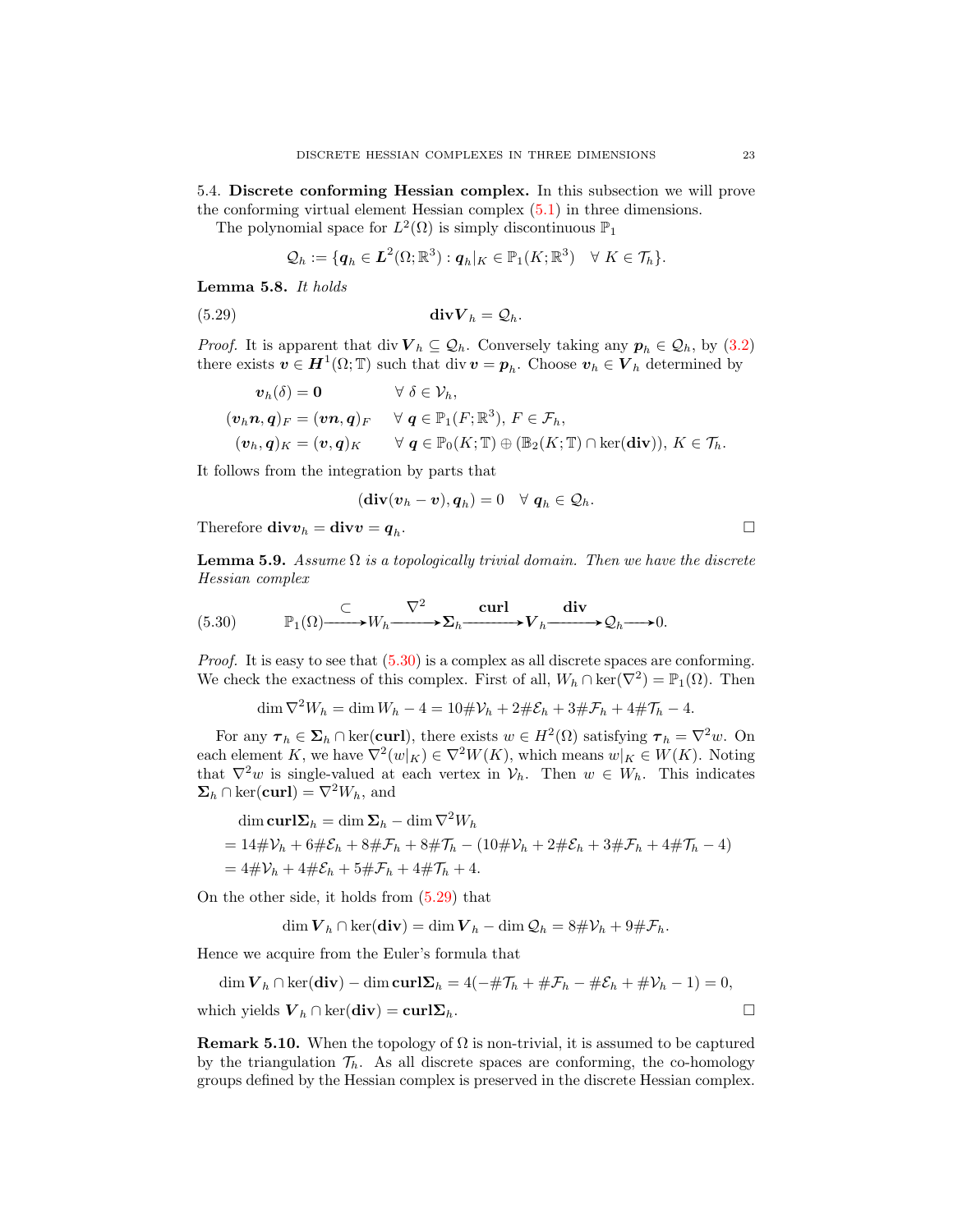5.4. Discrete conforming Hessian complex. In this subsection we will prove the conforming virtual element Hessian complex  $(5.1)$  in three dimensions.

The polynomial space for  $L^2(\Omega)$  is simply discontinuous  $\mathbb{P}_1$ 

<span id="page-22-1"></span>
$$
\mathcal{Q}_h := \{ \boldsymbol{q}_h \in \boldsymbol{L}^2(\Omega;\mathbb{R}^3) : \boldsymbol{q}_h|_K \in \mathbb{P}_1(K;\mathbb{R}^3) \quad \forall \ K \in \mathcal{T}_h \}.
$$

Lemma 5.8. It holds

(5.29) divV <sup>h</sup> = Qh.

*Proof.* It is apparent that div  $V_h \subseteq Q_h$ . Conversely taking any  $p_h \in Q_h$ , by [\(3.2\)](#page-6-0) there exists  $\boldsymbol{v} \in \boldsymbol{H}^1(\Omega; \mathbb{T})$  such that div  $\boldsymbol{v} = p_h$ . Choose  $\boldsymbol{v}_h \in \boldsymbol{V}_h$  determined by

$$
v_h(\delta) = 0 \qquad \forall \delta \in \mathcal{V}_h,
$$
  
\n
$$
(v_h n, q)_F = (v n, q)_F \qquad \forall \ q \in \mathbb{P}_1(F; \mathbb{R}^3), F \in \mathcal{F}_h,
$$
  
\n
$$
(v_h, q)_K = (v, q)_K \qquad \forall \ q \in \mathbb{P}_0(K; \mathbb{T}) \oplus (\mathbb{B}_2(K; \mathbb{T}) \cap \ker(\text{div})), K \in \mathcal{T}_h.
$$

It follows from the integration by parts that

$$
(\mathbf{div}(\boldsymbol{v}_h-\boldsymbol{v}),\boldsymbol{q}_h)=0\quad\forall~\boldsymbol{q}_h\in\mathcal{Q}_h.
$$

Therefore  $div v_h = div v = q_h$ . .

**Lemma 5.9.** Assume  $\Omega$  is a topologically trivial domain. Then we have the discrete Hessian complex

<span id="page-22-0"></span>(5.30) 
$$
\mathbb{P}_1(\Omega) \xrightarrow{\subset} W_h \xrightarrow{\nabla^2} \Sigma_h \xrightarrow{\operatorname{curl}} V_h \xrightarrow{\operatorname{div}} \mathcal{Q}_h \longrightarrow 0.
$$

Proof. It is easy to see that [\(5.30\)](#page-22-0) is a complex as all discrete spaces are conforming. We check the exactness of this complex. First of all,  $W_h \cap \text{ker}(\nabla^2) = \mathbb{P}_1(\Omega)$ . Then

$$
\dim \nabla^2 W_h = \dim W_h - 4 = 10 \# \mathcal{V}_h + 2 \# \mathcal{E}_h + 3 \# \mathcal{F}_h + 4 \# \mathcal{T}_h - 4.
$$

For any  $\tau_h \in \Sigma_h \cap \ker(\text{curl})$ , there exists  $w \in H^2(\Omega)$  satisfying  $\tau_h = \nabla^2 w$ . On each element K, we have  $\nabla^2(w|_K) \in \nabla^2 W(K)$ , which means  $w|_K \in W(K)$ . Noting that  $\nabla^2 w$  is single-valued at each vertex in  $\mathcal{V}_h$ . Then  $w \in W_h$ . This indicates  $\Sigma_h \cap \text{ker}(\text{curl}) = \nabla^2 W_h$ , and

$$
\dim \mathbf{curl} \Sigma_h = \dim \Sigma_h - \dim \nabla^2 W_h
$$
  
= 14#V<sub>h</sub> + 6#E<sub>h</sub> + 8#F<sub>h</sub> + 8#T<sub>h</sub> - (10#V<sub>h</sub> + 2#E<sub>h</sub> + 3#F<sub>h</sub> + 4#T<sub>h</sub> - 4)  
= 4#V<sub>h</sub> + 4#E<sub>h</sub> + 5#F<sub>h</sub> + 4#T<sub>h</sub> + 4.

On the other side, it holds from [\(5.29\)](#page-22-1) that

$$
\dim \mathbf{V}_h \cap \ker(\mathbf{div}) = \dim \mathbf{V}_h - \dim \mathcal{Q}_h = 8\#\mathcal{V}_h + 9\#\mathcal{F}_h.
$$

Hence we acquire from the Euler's formula that

$$
\dim \mathbf{V}_h \cap \ker(\mathbf{div}) - \dim \mathbf{curl} \mathbf{\Sigma}_h = 4(-\# \mathcal{T}_h + \# \mathcal{F}_h - \# \mathcal{E}_h + \# \mathcal{V}_h - 1) = 0,
$$
  
which yields  $\mathbf{V}_h \cap \ker(\mathbf{div}) = \mathbf{curl} \mathbf{\Sigma}_h.$ 

**Remark 5.10.** When the topology of  $\Omega$  is non-trivial, it is assumed to be captured by the triangulation  $\mathcal{T}_h$ . As all discrete spaces are conforming, the co-homology groups defined by the Hessian complex is preserved in the discrete Hessian complex.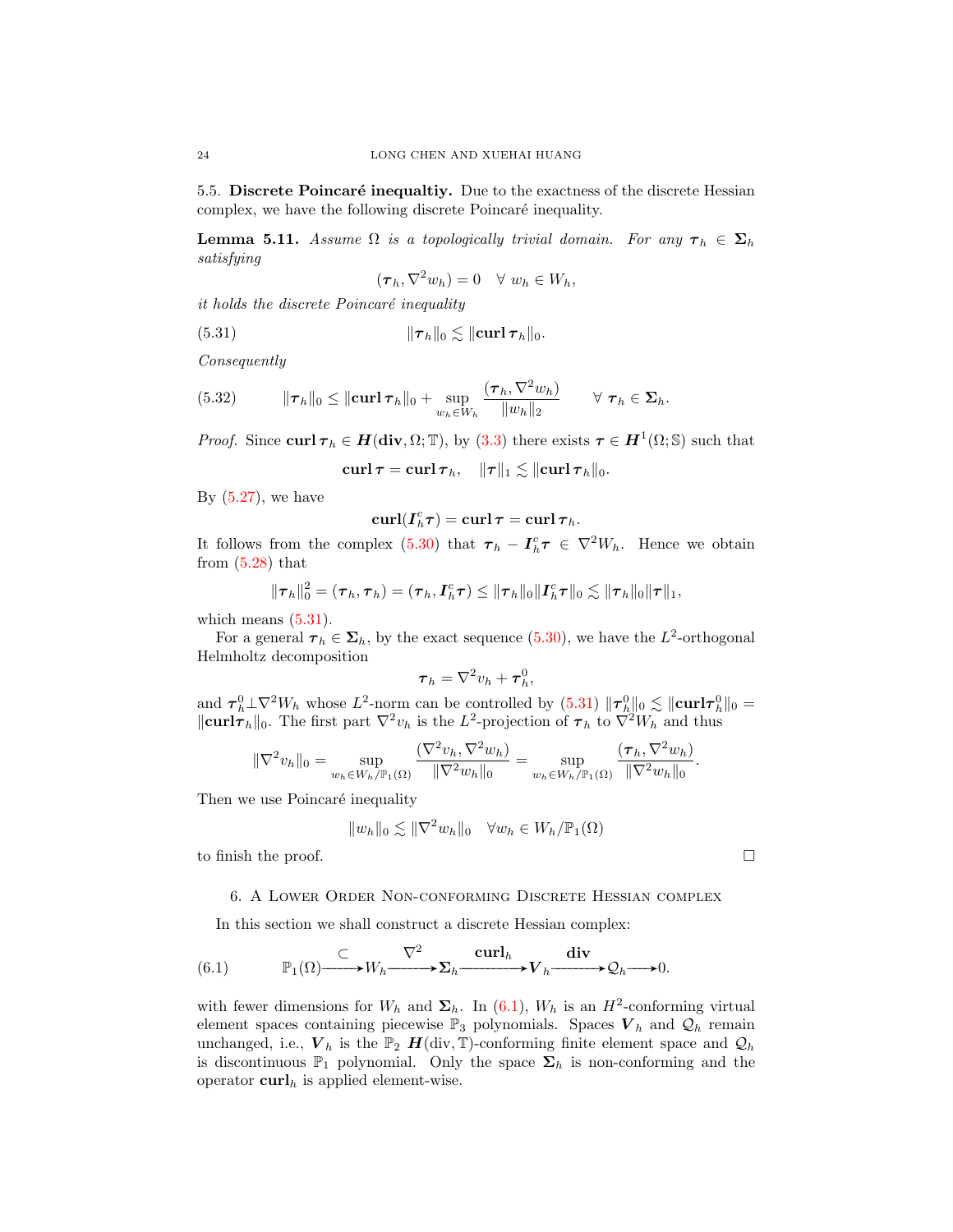5.5. Discrete Poincaré inequaltiy. Due to the exactness of the discrete Hessian complex, we have the following discrete Poincaré inequality.

<span id="page-23-2"></span>**Lemma 5.11.** Assume  $\Omega$  is a topologically trivial domain. For any  $\tau_h \in \Sigma_h$ satisfying

<span id="page-23-0"></span>
$$
(\boldsymbol{\tau}_h, \nabla^2 w_h) = 0 \quad \forall \ w_h \in W_h,
$$

it holds the discrete Poincaré inequality

(5.31) 
$$
\|\boldsymbol{\tau}_h\|_0 \lesssim \|\mathbf{curl}\,\boldsymbol{\tau}_h\|_0.
$$

Consequently

(5.32) 
$$
\|\boldsymbol{\tau}_h\|_0 \leq \|\mathbf{curl}\,\boldsymbol{\tau}_h\|_0 + \sup_{w_h \in W_h} \frac{(\boldsymbol{\tau}_h, \nabla^2 w_h)}{\|w_h\|_2} \qquad \forall \ \boldsymbol{\tau}_h \in \mathbf{\Sigma}_h.
$$

*Proof.* Since curl  $\tau_h \in H(\text{div}, \Omega; \mathbb{T})$ , by [\(3.3\)](#page-6-2) there exists  $\tau \in H^1(\Omega; \mathbb{S})$  such that

curl  $\tau = \text{curl} \tau_h, \quad \|\tau\|_1 \lesssim \|\text{curl} \tau_h\|_0.$ 

By  $(5.27)$ , we have

$$
\operatorname{curl}(I_{h}^{c}\tau)=\operatorname{curl}\tau=\operatorname{curl}\tau_{h}.
$$

It follows from the complex [\(5.30\)](#page-22-0) that  $\tau_h - I_h^c \tau \in \nabla^2 W_h$ . Hence we obtain from  $(5.28)$  that

$$
\|\boldsymbol{\tau}_h\|_0^2 = (\boldsymbol{\tau}_h, \boldsymbol{\tau}_h) = (\boldsymbol{\tau}_h, \boldsymbol{I}_h^c \boldsymbol{\tau}) \leq \|\boldsymbol{\tau}_h\|_0 \|\boldsymbol{I}_h^c \boldsymbol{\tau}\|_0 \lesssim \|\boldsymbol{\tau}_h\|_0 \|\boldsymbol{\tau}\|_1,
$$

which means  $(5.31)$ .

For a general  $\tau_h \in \Sigma_h$ , by the exact sequence [\(5.30\)](#page-22-0), we have the  $L^2$ -orthogonal Helmholtz decomposition

$$
\boldsymbol{\tau}_h = \nabla^2 v_h + \boldsymbol{\tau}_h^0,
$$

and  $\tau_h^0 \perp \nabla^2 W_h$  whose  $L^2$ -norm can be controlled by  $(5.31)$   $\|\tau_h^0\|_0 \lesssim \|\mathbf{curl}\tau_h^0\|_0 =$  $\|\text{curl}\,\tau_h\|_0$ . The first part  $\nabla^2v_h$  is the  $L^2$ -projection of  $\tau_h$  to  $\nabla^2W_h$  and thus

$$
\|\nabla^2 v_h\|_0 = \sup_{w_h \in W_h/\mathbb{P}_1(\Omega)} \frac{(\nabla^2 v_h, \nabla^2 w_h)}{\|\nabla^2 w_h\|_0} = \sup_{w_h \in W_h/\mathbb{P}_1(\Omega)} \frac{(\tau_h, \nabla^2 w_h)}{\|\nabla^2 w_h\|_0}.
$$

Then we use Poincaré inequality

$$
||w_h||_0 \lesssim ||\nabla^2 w_h||_0 \quad \forall w_h \in W_h/\mathbb{P}_1(\Omega)
$$

to finish the proof.  $\Box$ 

## <span id="page-23-3"></span>6. A Lower Order Non-conforming Discrete Hessian complex

<span id="page-23-1"></span>In this section we shall construct a discrete Hessian complex:

(6.1) 
$$
\mathbb{P}_1(\Omega) \xrightarrow{\subset} W_h \xrightarrow{\nabla^2} \Sigma_h \xrightarrow{\operatorname{curl}_h} V_h \xrightarrow{\operatorname{div}} \mathcal{Q}_h \longrightarrow 0.
$$

with fewer dimensions for  $W_h$  and  $\Sigma_h$ . In [\(6.1\)](#page-23-1),  $W_h$  is an  $H^2$ -conforming virtual element spaces containing piecewise  $\mathbb{P}_3$  polynomials. Spaces  $\boldsymbol{V}_h$  and  $\mathcal{Q}_h$  remain unchanged, i.e.,  $V_h$  is the  $\mathbb{P}_2$   $H(\text{div}, \mathbb{T})$ -conforming finite element space and  $\mathcal{Q}_h$ is discontinuous  $\mathbb{P}_1$  polynomial. Only the space  $\Sigma_h$  is non-conforming and the operator  $\operatorname{curl}_h$  is applied element-wise.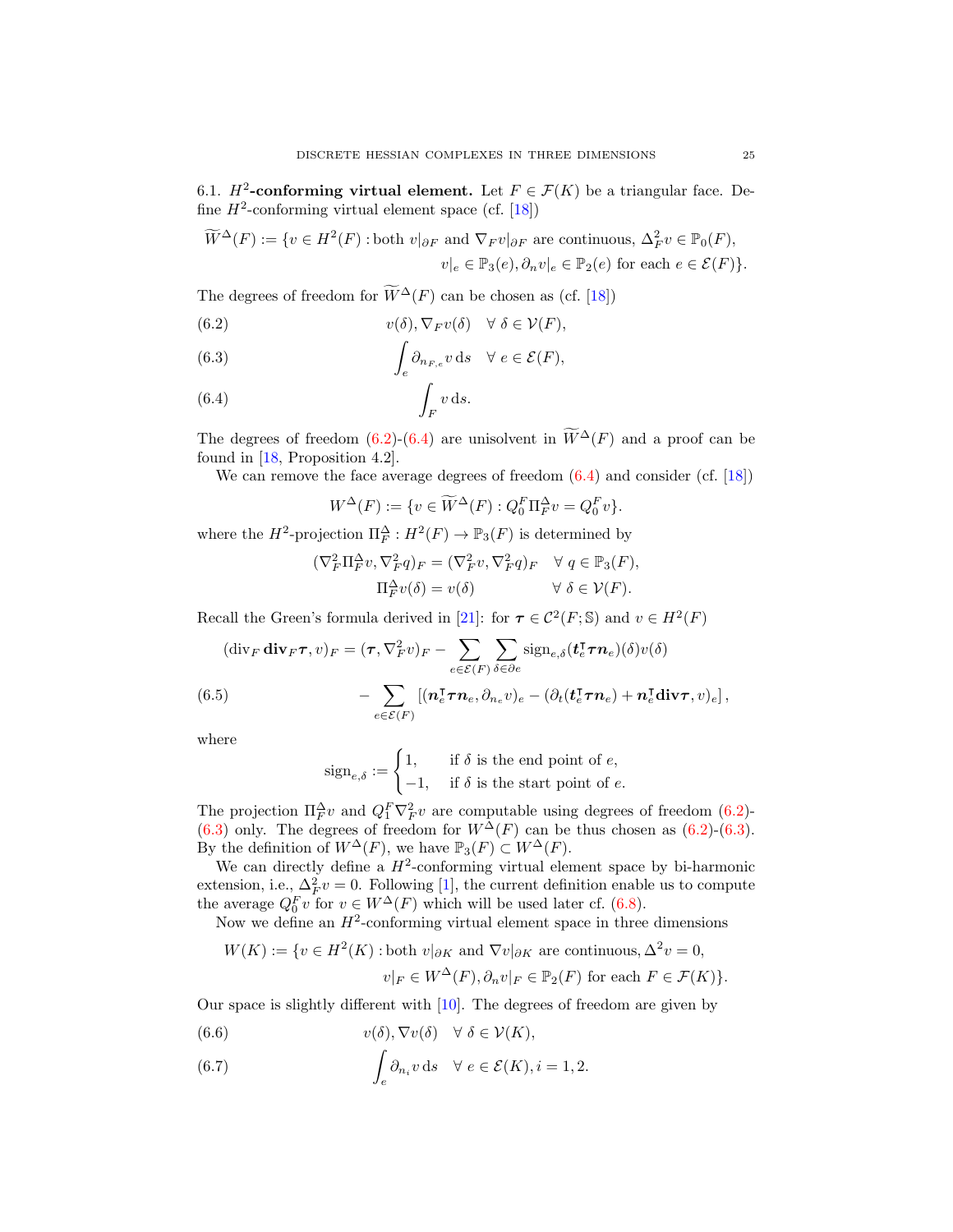6.1.  $H^2$ -conforming virtual element. Let  $F \in \mathcal{F}(K)$  be a triangular face. Define  $H^2$ -conforming virtual element space (cf. [\[18\]](#page-37-6))

$$
\widetilde{W}^{\Delta}(F) := \{ v \in H^2(F) : \text{both } v|_{\partial F} \text{ and } \nabla_F v|_{\partial F} \text{ are continuous, } \Delta_F^2 v \in \mathbb{P}_0(F),
$$
  

$$
v|_e \in \mathbb{P}_3(e), \partial_n v|_e \in \mathbb{P}_2(e) \text{ for each } e \in \mathcal{E}(F) \}.
$$

The degrees of freedom for  $\widetilde{W}^{\Delta}(F)$  can be chosen as (cf. [\[18\]](#page-37-6))

<span id="page-24-0"></span>(6.2) 
$$
v(\delta), \nabla_F v(\delta) \quad \forall \ \delta \in \mathcal{V}(F),
$$

<span id="page-24-2"></span>(6.3) 
$$
\int_{e} \partial_{n_{F,e}} v \, ds \quad \forall e \in \mathcal{E}(F),
$$

<span id="page-24-1"></span>
$$
\int_{F} v \, \mathrm{d}s.
$$

The degrees of freedom [\(6.2\)](#page-24-0)-[\(6.4\)](#page-24-1) are unisolvent in  $\widetilde{W}^{\Delta}(F)$  and a proof can be found in [\[18,](#page-37-6) Proposition 4.2].

We can remove the face average degrees of freedom  $(6.4)$  and consider (cf. [\[18\]](#page-37-6))

$$
W^{\Delta}(F) := \{ v \in \widetilde{W}^{\Delta}(F) : Q_0^F \Pi_F^{\Delta} v = Q_0^F v \}.
$$

where the  $H^2$ -projection  $\Pi_F^{\Delta}: H^2(F) \to \mathbb{P}_3(F)$  is determined by

$$
(\nabla_F^2 \Pi_F^{\Delta} v, \nabla_F^2 q)_F = (\nabla_F^2 v, \nabla_F^2 q)_F \quad \forall \ q \in \mathbb{P}_3(F),
$$
  

$$
\Pi_F^{\Delta} v(\delta) = v(\delta) \qquad \forall \ \delta \in \mathcal{V}(F).
$$

Recall the Green's formula derived in [\[21\]](#page-37-16): for  $\tau \in C^2(F; \mathbb{S})$  and  $v \in H^2(F)$ 

<span id="page-24-5"></span>
$$
(\text{div}_F \,\text{div}_F \boldsymbol{\tau}, v)_F = (\boldsymbol{\tau}, \nabla_F^2 v)_F - \sum_{e \in \mathcal{E}(F)} \sum_{\delta \in \partial e} \text{sign}_{e,\delta}(\boldsymbol{t}_e^{\mathsf{T}} \boldsymbol{\tau} \boldsymbol{n}_e)(\delta) v(\delta)
$$

$$
- \sum_{e \in \mathcal{E}(F)} [(\boldsymbol{n}_e^{\mathsf{T}} \boldsymbol{\tau} \boldsymbol{n}_e, \partial_{n_e} v)_e - (\partial_t (\boldsymbol{t}_e^{\mathsf{T}} \boldsymbol{\tau} \boldsymbol{n}_e) + \boldsymbol{n}_e^{\mathsf{T}} \text{div} \boldsymbol{\tau}, v)_e],
$$

where

$$
sign_{e,\delta} := \begin{cases} 1, & \text{if } \delta \text{ is the end point of } e, \\ -1, & \text{if } \delta \text{ is the start point of } e. \end{cases}
$$

The projection  $\Pi_F^{\Delta} v$  and  $Q_1^F \nabla_F^2 v$  are computable using degrees of freedom [\(6.2\)](#page-24-0)-[\(6.3\)](#page-24-2) only. The degrees of freedom for  $W^{\Delta}(F)$  can be thus chosen as [\(6.2\)](#page-24-0)-(6.3). By the definition of  $W^{\Delta}(F)$ , we have  $\mathbb{P}_3(F) \subset W^{\Delta}(F)$ .

We can directly define a  $H^2$ -conforming virtual element space by bi-harmonic extension, i.e.,  $\Delta_F^2 v = 0$ . Following [\[1\]](#page-36-16), the current definition enable us to compute the average  $Q_0^F v$  for  $v \in W^{\Delta}(F)$  which will be used later cf. [\(6.8\)](#page-26-0).

Now we define an  $H^2$ -conforming virtual element space in three dimensions

$$
W(K) := \{ v \in H^2(K) : \text{both } v|_{\partial K} \text{ and } \nabla v|_{\partial K} \text{ are continuous, } \Delta^2 v = 0,
$$
  

$$
v|_F \in W^{\Delta}(F), \partial_n v|_F \in \mathbb{P}_2(F) \text{ for each } F \in \mathcal{F}(K) \}.
$$

Our space is slightly different with [\[10\]](#page-36-6). The degrees of freedom are given by

<span id="page-24-3"></span>(6.6) 
$$
v(\delta), \nabla v(\delta) \quad \forall \ \delta \in \mathcal{V}(K),
$$

<span id="page-24-4"></span>(6.7) 
$$
\int_{e} \partial_{n_i} v \, ds \quad \forall e \in \mathcal{E}(K), i = 1, 2.
$$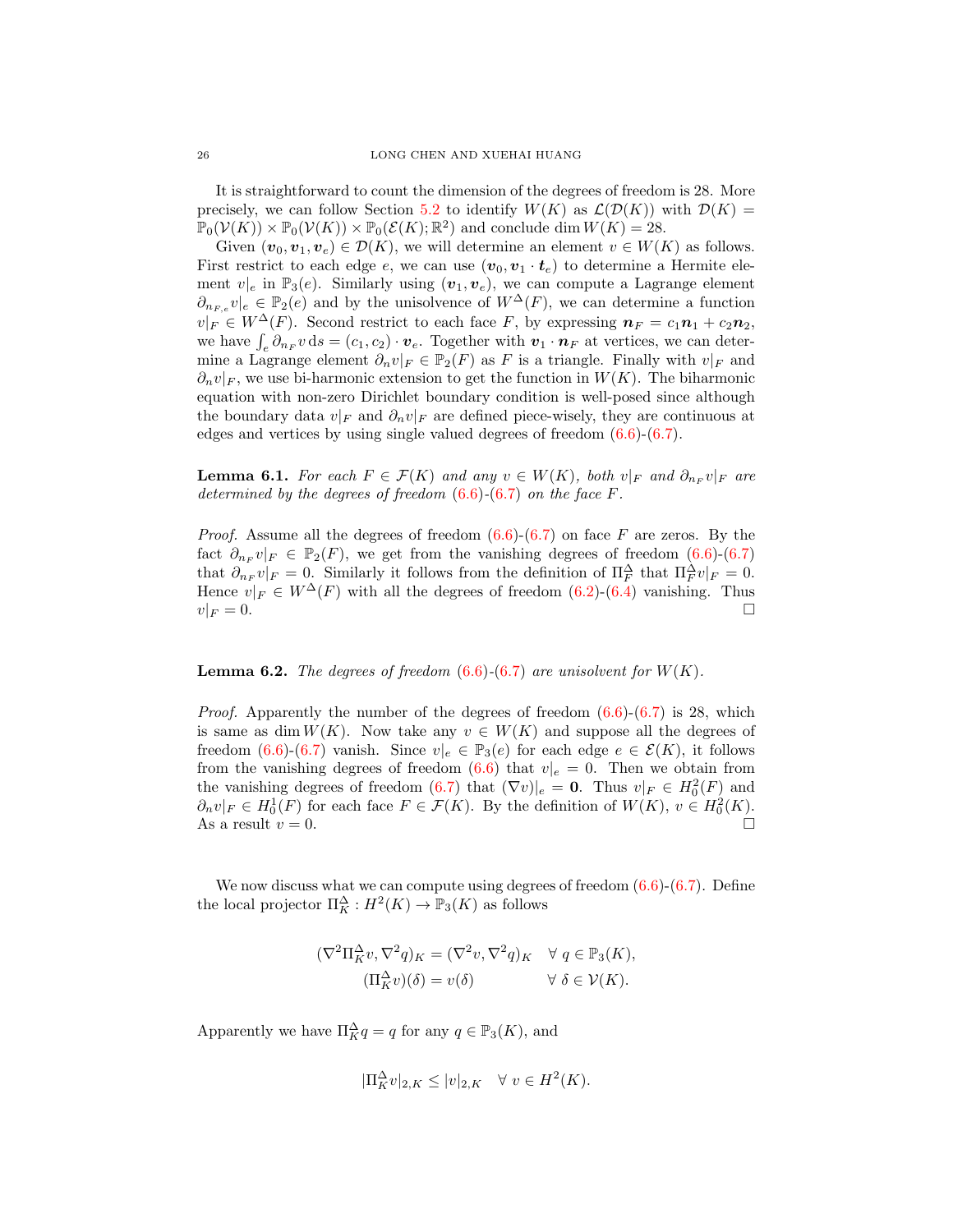It is straightforward to count the dimension of the degrees of freedom is 28. More precisely, we can follow Section [5.2](#page-17-3) to identify  $W(K)$  as  $\mathcal{L}(\mathcal{D}(K))$  with  $\mathcal{D}(K)$  =  $\mathbb{P}_0(\mathcal{V}(K)) \times \mathbb{P}_0(\mathcal{V}(K)) \times \mathbb{P}_0(\mathcal{E}(K); \mathbb{R}^2)$  and conclude dim  $W(K) = 28$ .

Given  $(v_0, v_1, v_e) \in \mathcal{D}(K)$ , we will determine an element  $v \in W(K)$  as follows. First restrict to each edge e, we can use  $(v_0, v_1 \cdot t_e)$  to determine a Hermite element  $v|_e$  in  $\mathbb{P}_3(e)$ . Similarly using  $(v_1, v_e)$ , we can compute a Lagrange element  $\partial_{n_{F,e}} v|_e \in \mathbb{P}_2(e)$  and by the unisolvence of  $W^{\Delta}(F)$ , we can determine a function  $v|_F \in W^{\Delta}(F)$ . Second restrict to each face F, by expressing  $n_F = c_1 n_1 + c_2 n_2$ , we have  $\int_e \partial_{n_F} v \, ds = (c_1, c_2) \cdot v_e$ . Together with  $v_1 \cdot n_F$  at vertices, we can determine a Lagrange element  $\partial_n v|_F \in \mathbb{P}_2(F)$  as F is a triangle. Finally with  $v|_F$  and  $\partial_n v|_F$ , we use bi-harmonic extension to get the function in  $W(K)$ . The biharmonic equation with non-zero Dirichlet boundary condition is well-posed since although the boundary data  $v|_F$  and  $\partial_n v|_F$  are defined piece-wisely, they are continuous at edges and vertices by using single valued degrees of freedom [\(6.6\)](#page-24-3)-[\(6.7\)](#page-24-4).

<span id="page-25-0"></span>**Lemma 6.1.** For each  $F \in \mathcal{F}(K)$  and any  $v \in W(K)$ , both  $v|_F$  and  $\partial_{n_F} v|_F$  are determined by the degrees of freedom  $(6.6)$ - $(6.7)$  on the face F.

*Proof.* Assume all the degrees of freedom  $(6.6)-(6.7)$  $(6.6)-(6.7)$  $(6.6)-(6.7)$  on face F are zeros. By the fact  $\partial_{n_F} v|_F \in \mathbb{P}_2(F)$ , we get from the vanishing degrees of freedom [\(6.6\)](#page-24-3)-[\(6.7\)](#page-24-4) that  $\partial_{n_F} v|_F = 0$ . Similarly it follows from the definition of  $\prod_F^{\Delta}$  that  $\prod_F^{\Delta} v|_F = 0$ . Hence  $v|_F \in W^{\Delta}(F)$  with all the degrees of freedom  $(6.2)-(6.4)$  $(6.2)-(6.4)$  $(6.2)-(6.4)$  vanishing. Thus  $v|_F = 0.$ 

### <span id="page-25-1"></span>**Lemma 6.2.** The degrees of freedom  $(6.6)-(6.7)$  $(6.6)-(6.7)$  $(6.6)-(6.7)$  are unisolvent for  $W(K)$ .

*Proof.* Apparently the number of the degrees of freedom  $(6.6)-(6.7)$  $(6.6)-(6.7)$  $(6.6)-(6.7)$  is 28, which is same as dim  $W(K)$ . Now take any  $v \in W(K)$  and suppose all the degrees of freedom [\(6.6\)](#page-24-3)-[\(6.7\)](#page-24-4) vanish. Since  $v|_e \in \mathbb{P}_3(e)$  for each edge  $e \in \mathcal{E}(K)$ , it follows from the vanishing degrees of freedom [\(6.6\)](#page-24-3) that  $v|_e = 0$ . Then we obtain from the vanishing degrees of freedom [\(6.7\)](#page-24-4) that  $(\nabla v)|_e = \mathbf{0}$ . Thus  $v|_F \in H_0^2(F)$  and  $\partial_n v|_F \in H_0^1(F)$  for each face  $F \in \mathcal{F}(K)$ . By the definition of  $W(K)$ ,  $v \in H_0^2(K)$ . As a result  $v = 0$ .

We now discuss what we can compute using degrees of freedom  $(6.6)-(6.7)$  $(6.6)-(6.7)$  $(6.6)-(6.7)$ . Define the local projector  $\Pi_K^{\Delta}: H^2(K) \to \mathbb{P}_3(K)$  as follows

$$
(\nabla^2 \Pi_K^{\Delta} v, \nabla^2 q)_K = (\nabla^2 v, \nabla^2 q)_K \quad \forall \ q \in \mathbb{P}_3(K),
$$
  

$$
(\Pi_K^{\Delta} v)(\delta) = v(\delta) \qquad \forall \ \delta \in \mathcal{V}(K).
$$

Apparently we have  $\Pi_K^{\Delta} q = q$  for any  $q \in \mathbb{P}_3(K)$ , and

$$
|\Pi_K^{\Delta} v|_{2,K} \le |v|_{2,K} \quad \forall \ v \in H^2(K).
$$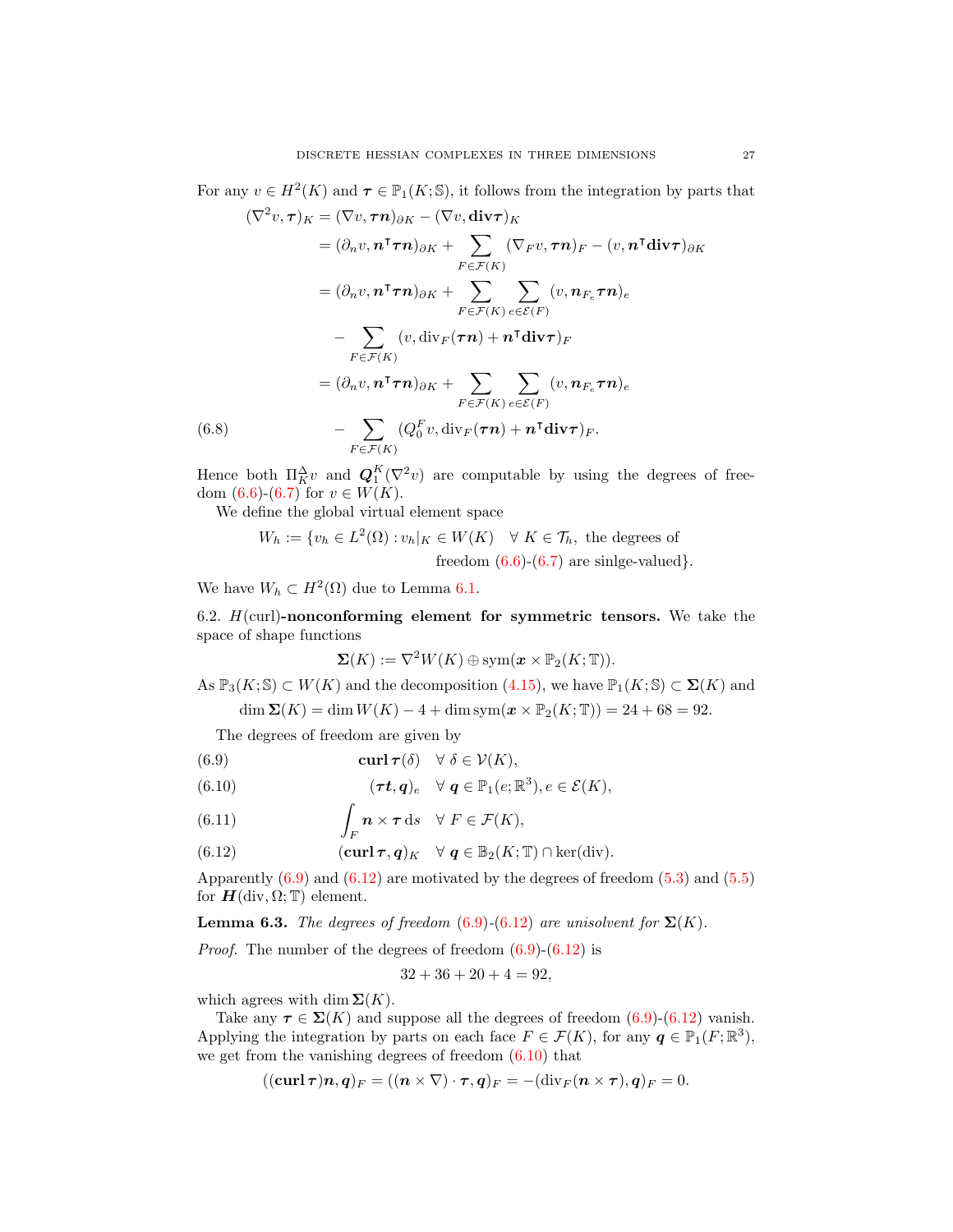For any  $v \in H^2(K)$  and  $\tau \in \mathbb{P}_1(K; \mathbb{S})$ , it follows from the integration by parts that  $(\nabla^2 \cdot \cdot \tau)$ 

$$
(\nabla^2 v, \tau)_K = (\nabla v, \tau \mathbf{n})_{\partial K} - (\nabla v, \text{div}\tau)_K
$$
  
\n
$$
= (\partial_n v, \mathbf{n}^\intercal \tau \mathbf{n})_{\partial K} + \sum_{F \in \mathcal{F}(K)} (\nabla_F v, \tau \mathbf{n})_F - (v, \mathbf{n}^\intercal \text{div}\tau)_{\partial K}
$$
  
\n
$$
= (\partial_n v, \mathbf{n}^\intercal \tau \mathbf{n})_{\partial K} + \sum_{F \in \mathcal{F}(K)} \sum_{e \in \mathcal{E}(F)} (v, \mathbf{n}_{F_e} \tau \mathbf{n})_e
$$
  
\n
$$
- \sum_{F \in \mathcal{F}(K)} (v, \text{div}_F(\tau \mathbf{n}) + \mathbf{n}^\intercal \text{div}\tau)_F
$$
  
\n
$$
= (\partial_n v, \mathbf{n}^\intercal \tau \mathbf{n})_{\partial K} + \sum_{F \in \mathcal{F}(K)} \sum_{e \in \mathcal{E}(F)} (v, \mathbf{n}_{F_e} \tau \mathbf{n})_e
$$
  
\n(6.8) 
$$
- \sum_{F \in \mathcal{F}(K)} (Q_0^F v, \text{div}_F(\tau \mathbf{n}) + \mathbf{n}^\intercal \text{div}\tau)_F.
$$

<span id="page-26-0"></span>Hence both  $\Pi_K^{\Delta} v$  and  $\mathbf{Q}_1^K(\nabla^2 v)$  are computable by using the degrees of freedom  $(6.6)-(6.7)$  $(6.6)-(6.7)$  $(6.6)-(6.7)$  for  $v \in W(K)$ .

We define the global virtual element space

$$
W_h := \{ v_h \in L^2(\Omega) : v_h|_K \in W(K) \quad \forall \ K \in \mathcal{T}_h, \text{ the degrees of} \\ \text{freedom } (6.6) \text{-} (6.7) \text{ are single-valued} \}.
$$

We have  $W_h \subset H^2(\Omega)$  due to Lemma [6.1.](#page-25-0)

6.2.  $H$ (curl)-nonconforming element for symmetric tensors. We take the space of shape functions

$$
\Sigma(K) := \nabla^2 W(K) \oplus \text{sym}(\boldsymbol{x} \times \mathbb{P}_2(K; \mathbb{T})).
$$

As  $\mathbb{P}_3(K; \mathbb{S}) \subset W(K)$  and the decomposition [\(4.15\)](#page-11-0), we have  $\mathbb{P}_1(K; \mathbb{S}) \subset \Sigma(K)$  and

dim  $\Sigma(K) = \dim W(K) - 4 + \dim \text{sym}(\mathbf{x} \times \mathbb{P}_2(K; \mathbb{T})) = 24 + 68 = 92.$ 

The degrees of freedom are given by

<span id="page-26-1"></span>(6.9) 
$$
\operatorname{curl} \boldsymbol{\tau}(\delta) \quad \forall \ \delta \in \mathcal{V}(K),
$$

<span id="page-26-3"></span>(6.10) 
$$
(\tau t, q)_e \quad \forall \ q \in \mathbb{P}_1(e; \mathbb{R}^3), e \in \mathcal{E}(K),
$$

<span id="page-26-4"></span>(6.11) 
$$
\int_{F} \mathbf{n} \times \boldsymbol{\tau} \, \mathrm{d}s \quad \forall \ F \in \mathcal{F}(K),
$$

<span id="page-26-2"></span>(6.12) 
$$
(\mathbf{curl}\,\boldsymbol{\tau},\boldsymbol{q})_K \quad \forall \ \boldsymbol{q} \in \mathbb{B}_2(K;\mathbb{T}) \cap \ker(\mathrm{div}).
$$

Apparently  $(6.9)$  and  $(6.12)$  are motivated by the degrees of freedom  $(5.3)$  and  $(5.5)$ for  $H(\text{div}, \Omega; \mathbb{T})$  element.

**Lemma 6.3.** The degrees of freedom  $(6.9)-(6.12)$  $(6.9)-(6.12)$  $(6.9)-(6.12)$  are unisolvent for  $\Sigma(K)$ .

*Proof.* The number of the degrees of freedom  $(6.9)-(6.12)$  $(6.9)-(6.12)$  $(6.9)-(6.12)$  is

$$
32 + 36 + 20 + 4 = 92,
$$

which agrees with dim  $\Sigma(K)$ .

Take any  $\tau \in \Sigma(K)$  and suppose all the degrees of freedom  $(6.9)-(6.12)$  $(6.9)-(6.12)$  $(6.9)-(6.12)$  vanish. Applying the integration by parts on each face  $F \in \mathcal{F}(K)$ , for any  $q \in \mathbb{P}_1(F; \mathbb{R}^3)$ , we get from the vanishing degrees of freedom  $(6.10)$  that

$$
((\mathbf{curl}\,\boldsymbol{\tau})\boldsymbol{n},\boldsymbol{q})_F=((\boldsymbol{n}\times\nabla)\cdot\boldsymbol{\tau},\boldsymbol{q})_F=-(\mathbf{div}_F(\boldsymbol{n}\times\boldsymbol{\tau}),\boldsymbol{q})_F=0.
$$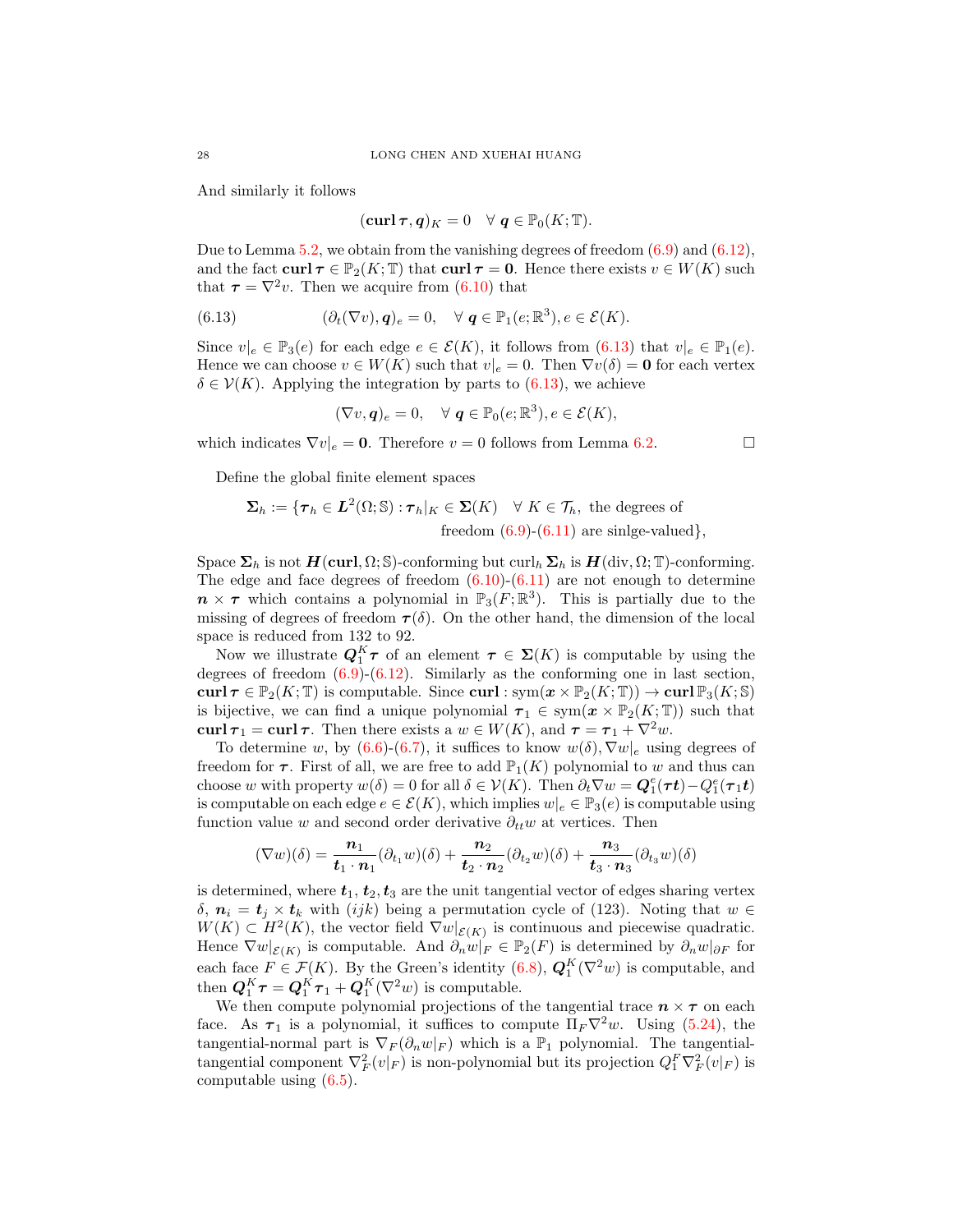And similarly it follows

<span id="page-27-0"></span>
$$
(\mathbf{curl}\,\boldsymbol{\tau},\boldsymbol{q})_K=0\quad\forall\ \boldsymbol{q}\in\mathbb{P}_0(K;\mathbb{T}).
$$

Due to Lemma  $5.2$ , we obtain from the vanishing degrees of freedom  $(6.9)$  and  $(6.12)$ , and the fact curl  $\tau \in \mathbb{P}_2(K; \mathbb{T})$  that curl  $\tau = 0$ . Hence there exists  $v \in W(K)$  such that  $\tau = \nabla^2 v$ . Then we acquire from [\(6.10\)](#page-26-3) that

(6.13) 
$$
(\partial_t(\nabla v), \mathbf{q})_e = 0, \quad \forall \mathbf{q} \in \mathbb{P}_1(e; \mathbb{R}^3), e \in \mathcal{E}(K).
$$

Since  $v|_e \in \mathbb{P}_3(e)$  for each edge  $e \in \mathcal{E}(K)$ , it follows from  $(6.13)$  that  $v|_e \in \mathbb{P}_1(e)$ . Hence we can choose  $v \in W(K)$  such that  $v|_e = 0$ . Then  $\nabla v(\delta) = \mathbf{0}$  for each vertex  $\delta \in \mathcal{V}(K)$ . Applying the integration by parts to [\(6.13\)](#page-27-0), we achieve

$$
(\nabla v, \mathbf{q})_e = 0, \quad \forall \ \mathbf{q} \in \mathbb{P}_0(e; \mathbb{R}^3), e \in \mathcal{E}(K),
$$

which indicates  $\nabla v|_e = \mathbf{0}$ . Therefore  $v = 0$  follows from Lemma [6.2.](#page-25-1)

Define the global finite element spaces

$$
\Sigma_h := \{ \tau_h \in L^2(\Omega; \mathbb{S}) : \tau_h|_K \in \Sigma(K) \quad \forall \ K \in \mathcal{T}_h, \text{ the degrees of freedom } (6.9)-(6.11) \text{ are single-valued} \},\
$$

Space  $\Sigma_h$  is not  $H(\text{curl}, \Omega; \mathbb{S})$ -conforming but curl<sub>h</sub>  $\Sigma_h$  is  $H(\text{div}, \Omega; \mathbb{T})$ -conforming. The edge and face degrees of freedom  $(6.10)-(6.11)$  $(6.10)-(6.11)$  $(6.10)-(6.11)$  are not enough to determine  $n \times \tau$  which contains a polynomial in  $\mathbb{P}_3(F; \mathbb{R}^3)$ . This is partially due to the missing of degrees of freedom  $\tau(\delta)$ . On the other hand, the dimension of the local space is reduced from 132 to 92.

Now we illustrate  $Q_1^K \tau$  of an element  $\tau \in \Sigma(K)$  is computable by using the degrees of freedom  $(6.9)$  $(6.12)$ . Similarly as the conforming one in last section, curl  $\tau \in \mathbb{P}_2(K; \mathbb{T})$  is computable. Since curl :  $\text{sym}(x \times \mathbb{P}_2(K; \mathbb{T})) \to \text{curl } \mathbb{P}_3(K; \mathbb{S})$ is bijective, we can find a unique polynomial  $\tau_1 \in \text{sym}(\boldsymbol{x} \times \mathbb{P}_2(K; \mathbb{T}))$  such that curl  $\tau_1 = \text{curl} \tau$ . Then there exists a  $w \in W(K)$ , and  $\tau = \tau_1 + \nabla^2 w$ .

To determine w, by  $(6.6)-(6.7)$  $(6.6)-(6.7)$  $(6.6)-(6.7)$ , it suffices to know  $w(\delta), \nabla w|_{e}$  using degrees of freedom for  $\tau$ . First of all, we are free to add  $\mathbb{P}_1(K)$  polynomial to w and thus can choose w with property  $w(\delta) = 0$  for all  $\delta \in \mathcal{V}(K)$ . Then  $\partial_t \nabla w = \mathbf{Q}_1^e(\tau t) - Q_1^e(\tau_1 t)$ is computable on each edge  $e \in \mathcal{E}(K)$ , which implies  $w|_e \in \mathbb{P}_3(e)$  is computable using function value w and second order derivative  $\partial_{tt}w$  at vertices. Then

$$
(\nabla w)(\delta) = \frac{n_1}{\mathbf{t}_1 \cdot \mathbf{n}_1} (\partial_{t_1} w)(\delta) + \frac{n_2}{\mathbf{t}_2 \cdot \mathbf{n}_2} (\partial_{t_2} w)(\delta) + \frac{n_3}{\mathbf{t}_3 \cdot \mathbf{n}_3} (\partial_{t_3} w)(\delta)
$$

is determined, where  $t_1, t_2, t_3$  are the unit tangential vector of edges sharing vertex δ,  $n_i = t_i \times t_k$  with (ijk) being a permutation cycle of (123). Noting that  $w \in$  $W(K) \subset H^2(K)$ , the vector field  $\nabla w|_{\mathcal{E}(K)}$  is continuous and piecewise quadratic. Hence  $\nabla w|_{\mathcal{E}(K)}$  is computable. And  $\partial_n w|_F \in \mathbb{P}_2(F)$  is determined by  $\partial_n w|_{\partial F}$  for each face  $F \in \mathcal{F}(K)$ . By the Green's identity [\(6.8\)](#page-26-0),  $\mathbf{Q}_1^K(\nabla^2 w)$  is computable, and then  $\mathbf{Q}_1^K \boldsymbol{\tau} = \mathbf{Q}_1^K \boldsymbol{\tau}_1 + \mathbf{Q}_1^K (\nabla^2 w)$  is computable.

We then compute polynomial projections of the tangential trace  $n \times \tau$  on each face. As  $\tau_1$  is a polynomial, it suffices to compute  $\Pi_F \nabla^2 w$ . Using [\(5.24\)](#page-20-1), the tangential-normal part is  $\nabla_F(\partial_n w|_F)$  which is a  $\mathbb{P}_1$  polynomial. The tangentialtangential component  $\nabla_F^2(v|_F)$  is non-polynomial but its projection  $Q_1^F \nabla_F^2(v|_F)$  is computable using [\(6.5\)](#page-24-5).

$$
\Box
$$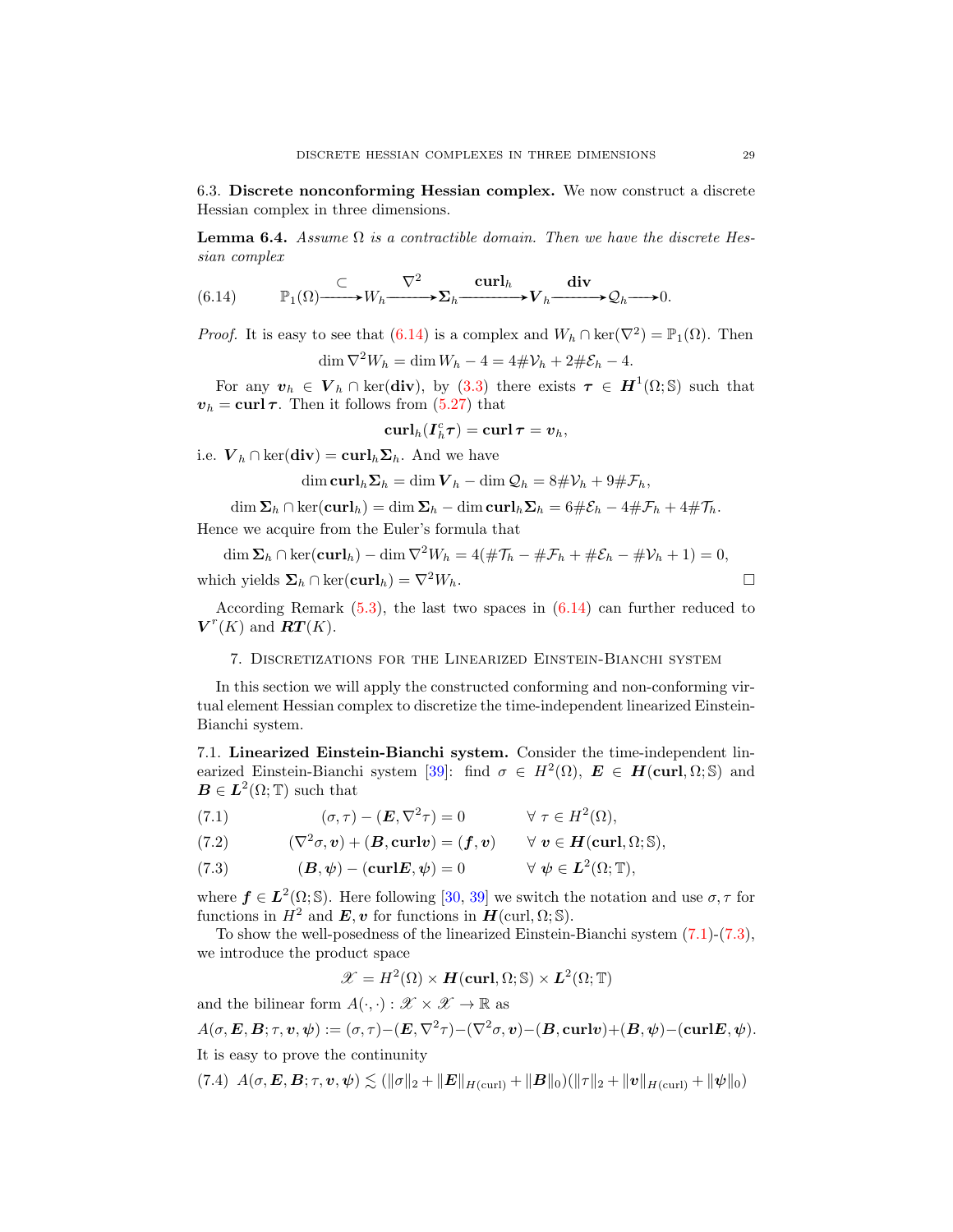6.3. Discrete nonconforming Hessian complex. We now construct a discrete Hessian complex in three dimensions.

**Lemma 6.4.** Assume  $\Omega$  is a contractible domain. Then we have the discrete Hessian complex

<span id="page-28-0"></span>(6.14) 
$$
\mathbb{P}_1(\Omega) \longrightarrow W_h \longrightarrow \Sigma_h \longrightarrow \mathbf{L}^1 \longrightarrow V_h \longrightarrow \mathcal{Q}_h \longrightarrow 0.
$$

*Proof.* It is easy to see that  $(6.14)$  is a complex and  $W_h \cap \text{ker}(\nabla^2) = \mathbb{P}_1(\Omega)$ . Then  $\dim \nabla^2 W_h = \dim W_h - 4 = 4\#\mathcal{V}_h + 2\#\mathcal{E}_h - 4.$ 

For any  $v_h \in V_h \cap \text{ker}(\text{div}), \text{ by (3.3)}$  $v_h \in V_h \cap \text{ker}(\text{div}), \text{ by (3.3)}$  $v_h \in V_h \cap \text{ker}(\text{div}), \text{ by (3.3)}$  there exists  $\tau \in H^1(\Omega; \mathbb{S})$  such that  $v_h = \text{curl } \tau$ . Then it follows from [\(5.27\)](#page-21-1) that

$$
\operatorname{curl}_h (I^c_h \tau) = \operatorname{curl} \tau = v_h,
$$

i.e.  $V_h \cap \text{ker}(\text{div}) = \text{curl}_h \Sigma_h$ . And we have

$$
\dim \mathbf{curl}_h \mathbf{\Sigma}_h = \dim \mathbf{V}_h - \dim \mathbf{Q}_h = 8\#\mathcal{V}_h + 9\#\mathcal{F}_h,
$$

 $\dim \Sigma_h \cap \ker(\mathbf{curl}_h) = \dim \Sigma_h - \dim \mathbf{curl}_h \Sigma_h = 6\#\mathcal{E}_h - 4\#\mathcal{F}_h + 4\#\mathcal{T}_h.$ 

Hence we acquire from the Euler's formula that

$$
\dim \Sigma_h \cap \ker(\mathbf{curl}_h) - \dim \nabla^2 W_h = 4(\#\mathcal{T}_h - \#\mathcal{F}_h + \#\mathcal{E}_h - \#\mathcal{V}_h + 1) = 0,
$$
  
which yields  $\Sigma_h \cap \ker(\mathbf{curl}_h) = \nabla^2 W_h$ .

According Remark  $(5.3)$ , the last two spaces in  $(6.14)$  can further reduced to  $V^r(K)$  and  $\overline{RT}(K)$ .

# 7. Discretizations for the Linearized Einstein-Bianchi system

In this section we will apply the constructed conforming and non-conforming virtual element Hessian complex to discretize the time-independent linearized Einstein-Bianchi system.

7.1. Linearized Einstein-Bianchi system. Consider the time-independent lin-earized Einstein-Bianchi system [\[39\]](#page-37-1): find  $\sigma \in H^2(\Omega)$ ,  $\mathbf{E} \in \mathbf{H}(\text{curl}, \Omega; \mathbb{S})$  and  $\mathbf{B} \in \mathbf{L}^2(\Omega; \mathbb{T})$  such that

<span id="page-28-1"></span>(7.1) 
$$
(\sigma, \tau) - (\boldsymbol{E}, \nabla^2 \tau) = 0 \qquad \forall \ \tau \in H^2(\Omega),
$$

(7.2) 
$$
(\nabla^2 \sigma, v) + (\mathbf{B}, \mathbf{curl} v) = (\mathbf{f}, v) \quad \forall v \in \mathbf{H}(\mathbf{curl}, \Omega; \mathbb{S}),
$$

<span id="page-28-2"></span>(7.3) 
$$
(\mathbf{B}, \psi) - (\mathbf{curl} \mathbf{E}, \psi) = 0 \qquad \forall \psi \in \mathbf{L}^{2}(\Omega; \mathbb{T}),
$$

where  $f \in L^2(\Omega; \mathbb{S})$ . Here following [\[30,](#page-37-2) [39\]](#page-37-1) we switch the notation and use  $\sigma, \tau$  for functions in  $H^2$  and  $\mathbf{E}, \mathbf{v}$  for functions in  $\mathbf{H}(\text{curl}, \Omega; \mathbb{S})$ .

To show the well-posedness of the linearized Einstein-Bianchi system [\(7.1\)](#page-28-1)-[\(7.3\)](#page-28-2), we introduce the product space

$$
\mathscr{X} = H^2(\Omega) \times \mathbf{H}(\mathbf{curl}, \Omega; \mathbb{S}) \times \mathbf{L}^2(\Omega; \mathbb{T})
$$

and the bilinear form  $A(\cdot, \cdot) : \mathcal{X} \times \mathcal{X} \to \mathbb{R}$  as

$$
A(\sigma, \mathbf{E}, \mathbf{B}; \tau, \mathbf{v}, \psi) := (\sigma, \tau) - (\mathbf{E}, \nabla^2 \tau) - (\nabla^2 \sigma, \mathbf{v}) - (\mathbf{B}, \mathbf{curl} \mathbf{v}) + (\mathbf{B}, \psi) - (\mathbf{curl} \mathbf{E}, \psi).
$$

It is easy to prove the continunity

<span id="page-28-3"></span>
$$
(7.4) \ \ A(\sigma, \mathbf{E}, \mathbf{B}; \tau, \mathbf{v}, \psi) \lesssim (\|\sigma\|_2 + \|\mathbf{E}\|_{H(\text{curl})} + \|\mathbf{B}\|_0)(\|\tau\|_2 + \|\mathbf{v}\|_{H(\text{curl})} + \|\psi\|_0)
$$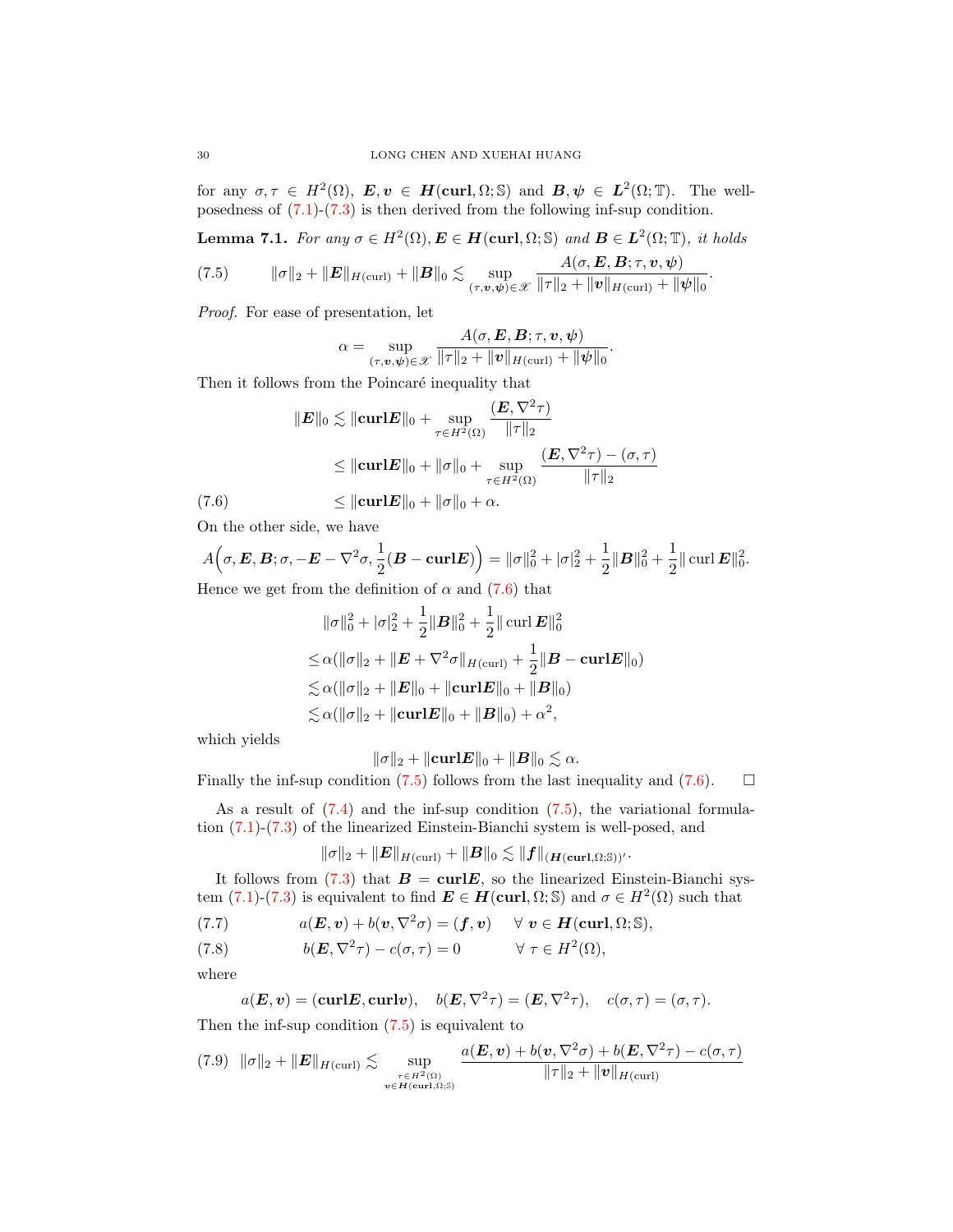for any  $\sigma, \tau \in H^2(\Omega)$ ,  $\mathbf{E}, \mathbf{v} \in \mathbf{H}(\mathbf{curl}, \Omega; \mathbb{S})$  and  $\mathbf{B}, \mathbf{\psi} \in \mathbf{L}^2(\Omega; \mathbb{T})$ . The wellposedness of  $(7.1)-(7.3)$  $(7.1)-(7.3)$  $(7.1)-(7.3)$  is then derived from the following inf-sup condition.

<span id="page-29-1"></span>**Lemma 7.1.** For any 
$$
\sigma \in H^2(\Omega)
$$
,  $\mathbf{E} \in \mathbf{H}(\text{curl}, \Omega; \mathbb{S})$  and  $\mathbf{B} \in \mathbf{L}^2(\Omega; \mathbb{T})$ , it holds  
\n(7.5) 
$$
\|\sigma\|_2 + \|\mathbf{E}\|_{H(\text{curl})} + \|\mathbf{B}\|_0 \lesssim \sup_{(\tau, \mathbf{v}, \psi) \in \mathcal{X}} \frac{A(\sigma, \mathbf{E}, \mathbf{B}; \tau, \mathbf{v}, \psi)}{\|\tau\|_2 + \|\mathbf{v}\|_{H(\text{curl})} + \|\psi\|_0}.
$$

Proof. For ease of presentation, let

$$
\alpha = \sup_{(\tau,\mathbf{v},\mathbf{\psi}) \in \mathscr{X}} \frac{A(\sigma,\mathbf{E},\mathbf{B};\tau,\mathbf{v},\mathbf{\psi})}{\|\tau\|_2 + \|\mathbf{v}\|_{H(\text{curl})} + \|\mathbf{\psi}\|_0}.
$$

Then it follows from the Poincaré inequality that

$$
\|E\|_{0} \lesssim \|\mathbf{curl} \mathbf{E}\|_{0} + \sup_{\tau \in H^{2}(\Omega)} \frac{(E, \nabla^{2} \tau)}{\|\tau\|_{2}}
$$
  
\n
$$
\leq \|\mathbf{curl} \mathbf{E}\|_{0} + \|\sigma\|_{0} + \sup_{\tau \in H^{2}(\Omega)} \frac{(E, \nabla^{2} \tau) - (\sigma, \tau)}{\|\tau\|_{2}}
$$
  
\n(7.6) 
$$
\leq \|\mathbf{curl} \mathbf{E}\|_{0} + \|\sigma\|_{0} + \alpha.
$$

<span id="page-29-0"></span>On the other side, we have

$$
A(\sigma, \mathbf{E}, \mathbf{B}; \sigma, -\mathbf{E} - \nabla^2 \sigma, \frac{1}{2}(\mathbf{B} - \mathbf{curl}\mathbf{E})) = \|\sigma\|_0^2 + |\sigma|_2^2 + \frac{1}{2} \|\mathbf{B}\|_0^2 + \frac{1}{2} \|\mathbf{curl}\,\mathbf{E}\|_0^2.
$$

Hence we get from the definition of  $\alpha$  and [\(7.6\)](#page-29-0) that

$$
\|\sigma\|_{0}^{2} + |\sigma|_{2}^{2} + \frac{1}{2} \|\mathbf{B}\|_{0}^{2} + \frac{1}{2} \|\operatorname{curl} \mathbf{E}\|_{0}^{2}
$$
  
\n
$$
\leq \alpha (\|\sigma\|_{2} + \|\mathbf{E} + \nabla^{2} \sigma\|_{H(\operatorname{curl})} + \frac{1}{2} \|\mathbf{B} - \operatorname{curl} \mathbf{E}\|_{0})
$$
  
\n
$$
\lesssim \alpha (\|\sigma\|_{2} + \|\mathbf{E}\|_{0} + \|\operatorname{curl} \mathbf{E}\|_{0} + \|\mathbf{B}\|_{0})
$$
  
\n
$$
\lesssim \alpha (\|\sigma\|_{2} + \|\operatorname{curl} \mathbf{E}\|_{0} + \|\mathbf{B}\|_{0}) + \alpha^{2},
$$

which yields

$$
\|\sigma\|_2 + \|\mathbf{curl}\mathbf{E}\|_0 + \|\mathbf{B}\|_0 \lesssim \alpha.
$$

Finally the inf-sup condition [\(7.5\)](#page-29-1) follows from the last inequality and [\(7.6\)](#page-29-0).  $\Box$ 

As a result of  $(7.4)$  and the inf-sup condition  $(7.5)$ , the variational formulation [\(7.1\)](#page-28-1)-[\(7.3\)](#page-28-2) of the linearized Einstein-Bianchi system is well-posed, and

$$
\|\sigma\|_2 + \|E\|_{H(\operatorname{curl})} + \|B\|_0 \lesssim \|f\|_{(H(\operatorname{curl},\Omega;\mathbb{S}))'}.
$$

It follows from [\(7.3\)](#page-28-2) that  $B = \text{curl} E$ , so the linearized Einstein-Bianchi system  $(7.1)-(7.3)$  $(7.1)-(7.3)$  $(7.1)-(7.3)$  is equivalent to find  $\mathbf{E} \in \mathbf{H}(\mathbf{curl}, \Omega; \mathbb{S})$  and  $\sigma \in H^2(\Omega)$  such that

<span id="page-29-2"></span>(7.7) 
$$
a(\boldsymbol{E}, \boldsymbol{v}) + b(\boldsymbol{v}, \nabla^2 \sigma) = (\boldsymbol{f}, \boldsymbol{v}) \quad \forall \boldsymbol{v} \in \boldsymbol{H}(\mathrm{curl}, \Omega; \mathbb{S}),
$$

<span id="page-29-3"></span>(7.8) 
$$
b(E, \nabla^2 \tau) - c(\sigma, \tau) = 0 \qquad \forall \tau \in H^2(\Omega),
$$

where

$$
a(E, v) = (curl E, curl v), b(E, \nabla^2 \tau) = (E, \nabla^2 \tau), c(\sigma, \tau) = (\sigma, \tau).
$$

Then the inf-sup condition [\(7.5\)](#page-29-1) is equivalent to

$$
(7.9) \|\sigma\|_2 + \|E\|_{H(\text{curl})} \lesssim \sup_{\substack{\tau \in H^2(\Omega) \\ v \in H(\text{curl}, \Omega; \mathbb{S})}} \frac{a(E, v) + b(v, \nabla^2 \sigma) + b(E, \nabla^2 \tau) - c(\sigma, \tau)}{\|\tau\|_2 + \|v\|_{H(\text{curl})}}
$$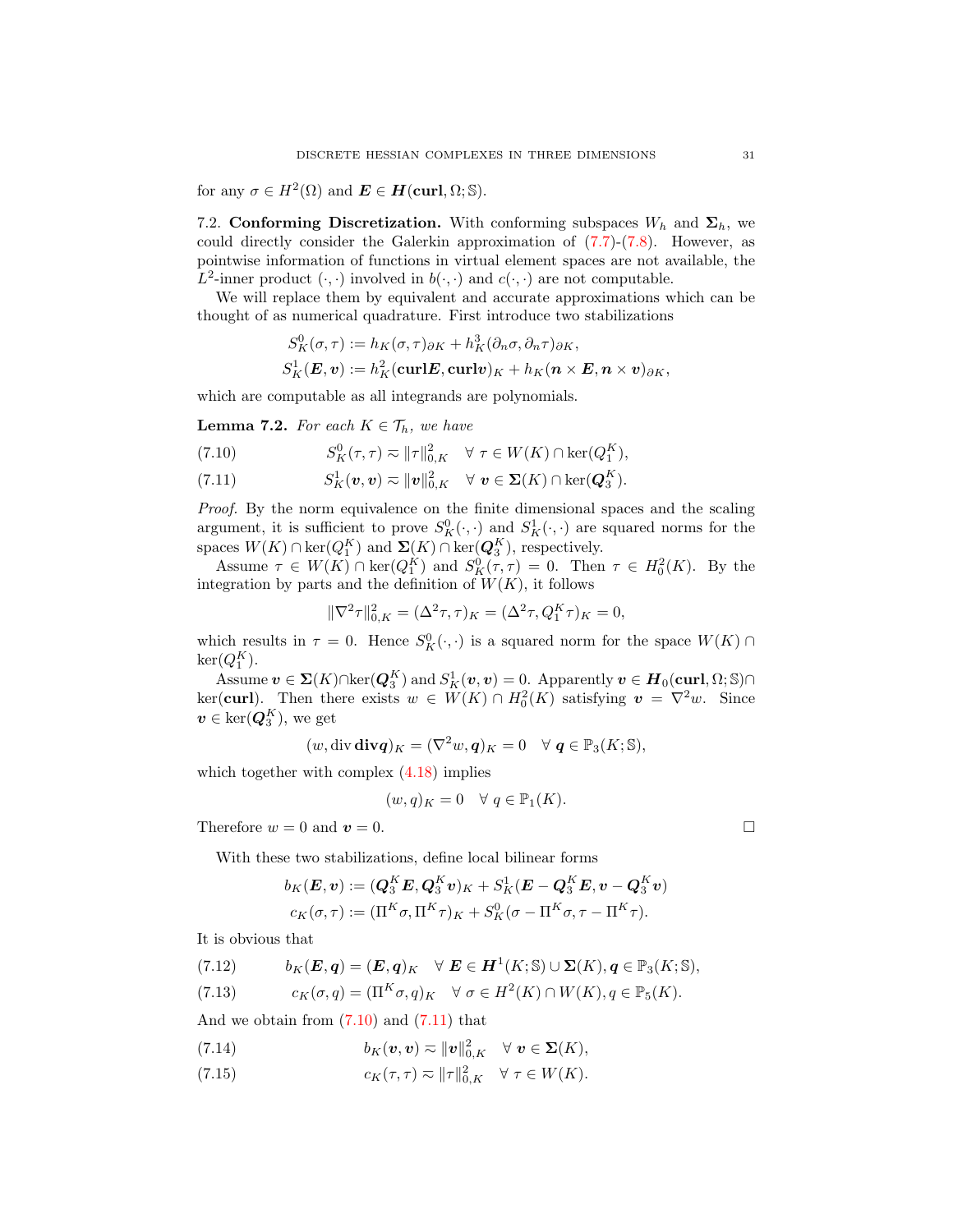for any  $\sigma \in H^2(\Omega)$  and  $\mathbf{E} \in \mathbf{H}(\text{curl}, \Omega; \mathbb{S})$ .

7.2. Conforming Discretization. With conforming subspaces  $W_h$  and  $\Sigma_h$ , we could directly consider the Galerkin approximation of  $(7.7)-(7.8)$  $(7.7)-(7.8)$  $(7.7)-(7.8)$ . However, as pointwise information of functions in virtual element spaces are not available, the  $L^2$ -inner product  $(\cdot, \cdot)$  involved in  $b(\cdot, \cdot)$  and  $c(\cdot, \cdot)$  are not computable.

We will replace them by equivalent and accurate approximations which can be thought of as numerical quadrature. First introduce two stabilizations

$$
S_K^0(\sigma, \tau) := h_K(\sigma, \tau)_{\partial K} + h_K^3(\partial_n \sigma, \partial_n \tau)_{\partial K},
$$
  
\n
$$
S_K^1(\mathbf{E}, \mathbf{v}) := h_K^2(\mathbf{curl} \mathbf{E}, \mathbf{curl} \mathbf{v})_K + h_K(\mathbf{n} \times \mathbf{E}, \mathbf{n} \times \mathbf{v})_{\partial K},
$$

which are computable as all integrands are polynomials.

**Lemma 7.2.** For each  $K \in \mathcal{T}_h$ , we have

<span id="page-30-0"></span>(7.10) 
$$
S_K^0(\tau, \tau) \approx \|\tau\|_{0,K}^2 \quad \forall \ \tau \in W(K) \cap \ker(Q_1^K),
$$

<span id="page-30-1"></span>(7.11)  $S_K^1(\boldsymbol{v}, \boldsymbol{v}) \eqsim \|\boldsymbol{v}\|_{0,K}^2 \quad \forall \boldsymbol{v} \in \boldsymbol{\Sigma}(K) \cap \ker(\boldsymbol{Q}_3^K).$ 

Proof. By the norm equivalence on the finite dimensional spaces and the scaling argument, it is sufficient to prove  $S_K^0(\cdot, \cdot)$  and  $S_K^1(\cdot, \cdot)$  are squared norms for the spaces  $W(K) \cap \ker(Q_1^K)$  and  $\Sigma(K) \cap \ker(Q_3^K)$ , respectively.

Assume  $\tau \in W(K) \cap \ker(Q_1^K)$  and  $S_K^0(\tau, \tau) = 0$ . Then  $\tau \in H_0^2(K)$ . By the integration by parts and the definition of  $W(K)$ , it follows

$$
\|\nabla^2 \tau\|_{0,K}^2 = (\Delta^2 \tau, \tau)_K = (\Delta^2 \tau, Q_1^K \tau)_K = 0,
$$

which results in  $\tau = 0$ . Hence  $S_K^0(\cdot, \cdot)$  is a squared norm for the space  $W(K) \cap$  $\ker(Q_1^K)$ .

Assume  $v \in \mathbf{\Sigma}(K) \cap \ker(Q_3^K)$  and  $S_K^1(v, v) = 0$ . Apparently  $v \in H_0(\text{curl}, \Omega; \mathbb{S}) \cap$ ker(curl). Then there exists  $w \in W(K) \cap H_0^2(K)$  satisfying  $v = \nabla^2 w$ . Since  $v \in \text{ker}(\mathbf{Q}_3^K)$ , we get

$$
(w, \text{div }\mathbf{div}\mathbf{q})_K = (\nabla^2 w, \mathbf{q})_K = 0 \quad \forall \mathbf{q} \in \mathbb{P}_3(K; \mathbb{S}),
$$

which together with complex  $(4.18)$  implies

$$
(w, q)_K = 0 \quad \forall \ q \in \mathbb{P}_1(K).
$$

Therefore  $w = 0$  and  $v = 0$ .

With these two stabilizations, define local bilinear forms

$$
b_K(\boldsymbol E, \boldsymbol v) := (\boldsymbol Q_3^K \boldsymbol E, \boldsymbol Q_3^K \boldsymbol v)_K + S_K^1(\boldsymbol E - \boldsymbol Q_3^K \boldsymbol E, \boldsymbol v - \boldsymbol Q_3^K \boldsymbol v)
$$
  

$$
c_K(\sigma, \tau) := (\Pi^K \sigma, \Pi^K \tau)_K + S_K^0(\sigma - \Pi^K \sigma, \tau - \Pi^K \tau).
$$

It is obvious that

<span id="page-30-5"></span><span id="page-30-4"></span>(7.12) 
$$
b_K(E, q) = (E, q)_K \quad \forall \ E \in H^1(K; \mathbb{S}) \cup \Sigma(K), q \in \mathbb{P}_3(K; \mathbb{S}),
$$

$$
(7.13) \qquad c_K(\sigma, q) = (\Pi^K \sigma, q)_K \quad \forall \ \sigma \in H^2(K) \cap W(K), q \in \mathbb{P}_5(K).
$$

And we obtain from  $(7.10)$  and  $(7.11)$  that

<span id="page-30-2"></span>(7.14) 
$$
b_K(\boldsymbol{v}, \boldsymbol{v}) \eqsim ||\boldsymbol{v}||_{0,K}^2 \quad \forall \ \boldsymbol{v} \in \boldsymbol{\Sigma}(K),
$$

<span id="page-30-3"></span>(7.15)  $c_K(\tau, \tau) \approx ||\tau||_{0,K}^2 \quad \forall \ \tau \in W(K).$ 

$$
\Box
$$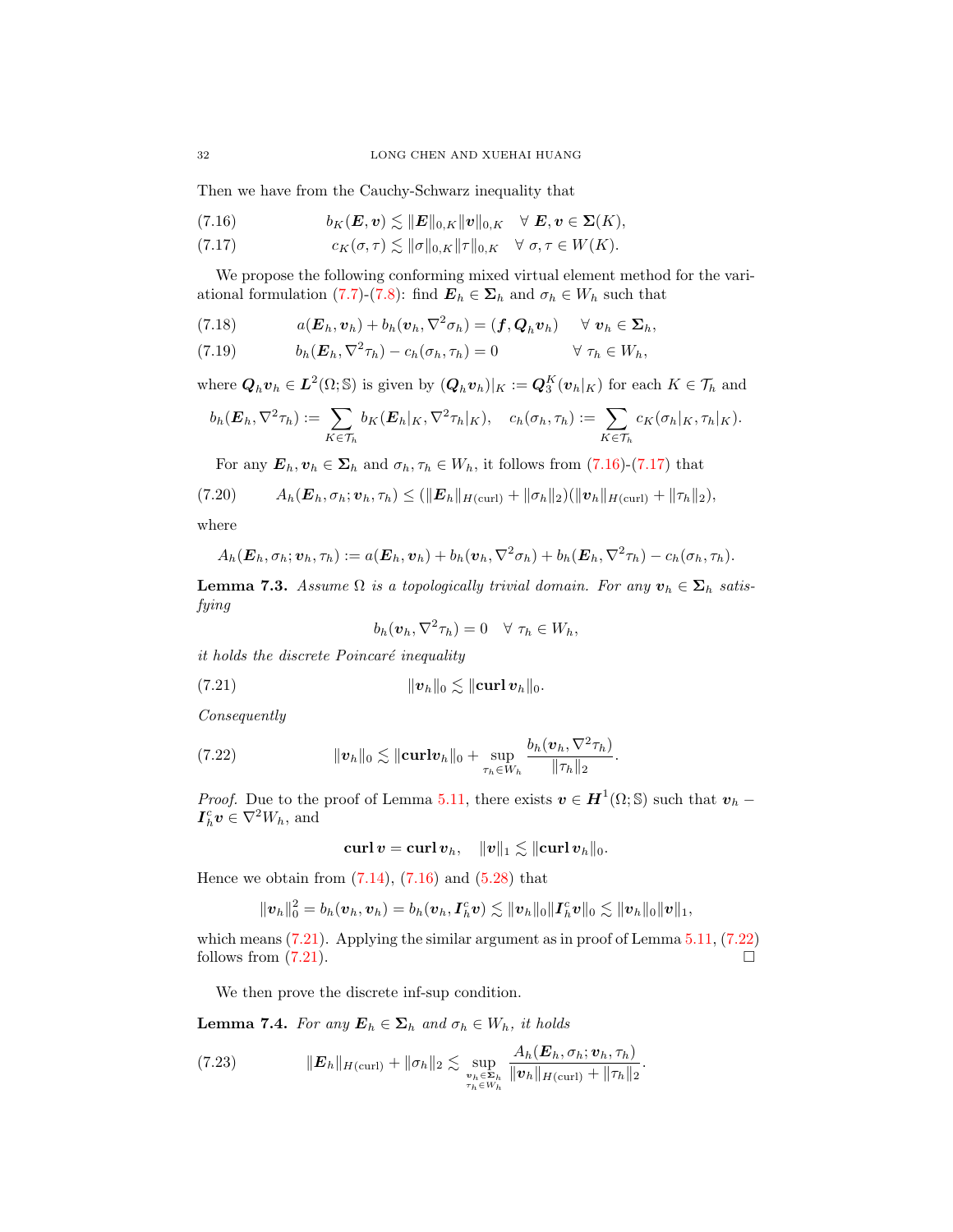Then we have from the Cauchy-Schwarz inequality that

<span id="page-31-0"></span>(7.16) 
$$
b_K(E, v) \lesssim ||E||_{0,K} ||v||_{0,K} \quad \forall \ E, v \in \Sigma(K),
$$

<span id="page-31-1"></span>(7.17) 
$$
c_K(\sigma,\tau) \lesssim \|\sigma\|_{0,K} \|\tau\|_{0,K} \quad \forall \ \sigma,\tau \in W(K).
$$

We propose the following conforming mixed virtual element method for the vari-ational formulation [\(7.7\)](#page-29-2)-[\(7.8\)](#page-29-3): find  $\mathbf{E}_h \in \Sigma_h$  and  $\sigma_h \in W_h$  such that

<span id="page-31-5"></span>(7.18) 
$$
a(\boldsymbol{E}_h, \boldsymbol{v}_h) + b_h(\boldsymbol{v}_h, \nabla^2 \sigma_h) = (\boldsymbol{f}, \boldsymbol{Q}_h \boldsymbol{v}_h) \quad \forall \boldsymbol{v}_h \in \boldsymbol{\Sigma}_h,
$$

<span id="page-31-6"></span>(7.19) 
$$
b_h(E_h, \nabla^2 \tau_h) - c_h(\sigma_h, \tau_h) = 0 \qquad \forall \tau_h \in W_h,
$$

where  $\mathbf{Q}_h \mathbf{v}_h \in \mathbf{L}^2(\Omega; \mathbb{S})$  is given by  $(\mathbf{Q}_h \mathbf{v}_h)|_K := \mathbf{Q}_3^K(\mathbf{v}_h|_K)$  for each  $K \in \mathcal{T}_h$  and

$$
b_h(\boldsymbol{E}_h, \nabla^2 \tau_h) := \sum_{K \in \mathcal{T}_h} b_K(\boldsymbol{E}_h|_K, \nabla^2 \tau_h|_K), \quad c_h(\sigma_h, \tau_h) := \sum_{K \in \mathcal{T}_h} c_K(\sigma_h|_K, \tau_h|_K).
$$

For any  $\mathbf{E}_h, \mathbf{v}_h \in \mathbf{\Sigma}_h$  and  $\sigma_h, \tau_h \in W_h$ , it follows from [\(7.16\)](#page-31-0)-[\(7.17\)](#page-31-1) that

$$
(7.20) \t Ah(Eh, \sigmah; vh, \tauh) \leq (\|Eh||H(\text{curl}) + ||\sigmah||2)(||vh||H(\text{curl}) + ||\tauh||2),
$$

where

$$
A_h(\boldsymbol{E}_h, \sigma_h; \boldsymbol{v}_h, \tau_h) := a(\boldsymbol{E}_h, \boldsymbol{v}_h) + b_h(\boldsymbol{v}_h, \nabla^2 \sigma_h) + b_h(\boldsymbol{E}_h, \nabla^2 \tau_h) - c_h(\sigma_h, \tau_h).
$$

**Lemma 7.3.** Assume  $\Omega$  is a topologically trivial domain. For any  $v_h \in \Sigma_h$  satisfying

<span id="page-31-2"></span>
$$
b_h(\boldsymbol{v}_h, \nabla^2 \tau_h) = 0 \quad \forall \ \tau_h \in W_h,
$$

it holds the discrete Poincaré inequality

$$
||\mathbf{v}_h||_0 \lesssim ||\mathbf{curl}\,\mathbf{v}_h||_0.
$$

Consequently

<span id="page-31-3"></span>(7.22) 
$$
\|\boldsymbol{v}_h\|_0 \lesssim \|\mathbf{curl}\boldsymbol{v}_h\|_0 + \sup_{\tau_h \in W_h} \frac{b_h(\boldsymbol{v}_h, \nabla^2 \tau_h)}{\|\tau_h\|_2}.
$$

*Proof.* Due to the proof of Lemma [5.11,](#page-23-2) there exists  $v \in H^1(\Omega; \mathbb{S})$  such that  $v_h$  –  $I_h^c v \in \nabla^2 W_h$ , and

$$
\operatorname{\mathbf{curl}}\boldsymbol{v}=\operatorname{\mathbf{curl}}\boldsymbol{v}_h,\quad \|\boldsymbol{v}\|_1\lesssim \|\operatorname{\mathbf{curl}}\boldsymbol{v}_h\|_0.
$$

Hence we obtain from  $(7.14)$ ,  $(7.16)$  and  $(5.28)$  that

$$
\|\boldsymbol{v}_h\|_0^2=b_h(\boldsymbol{v}_h,\boldsymbol{v}_h)=b_h(\boldsymbol{v}_h,\boldsymbol{I}_h^c\boldsymbol{v})\lesssim \|\boldsymbol{v}_h\|_0\|\boldsymbol{I}_h^c\boldsymbol{v}\|_0\lesssim \|\boldsymbol{v}_h\|_0\|\boldsymbol{v}\|_1,
$$

which means [\(7.21\)](#page-31-2). Applying the similar argument as in proof of Lemma [5.11,](#page-23-2) [\(7.22\)](#page-31-3) follows from  $(7.21)$ .

We then prove the discrete inf-sup condition.

**Lemma 7.4.** For any  $\mathbf{E}_h \in \Sigma_h$  and  $\sigma_h \in W_h$ , it holds

<span id="page-31-4"></span>(7.23) kEhkH(curl) + kσhk<sup>2</sup> . sup vh∈Σh τh∈Wh Ah(Eh, σh; vh, τh) kvhkH(curl) + kτhk<sup>2</sup> .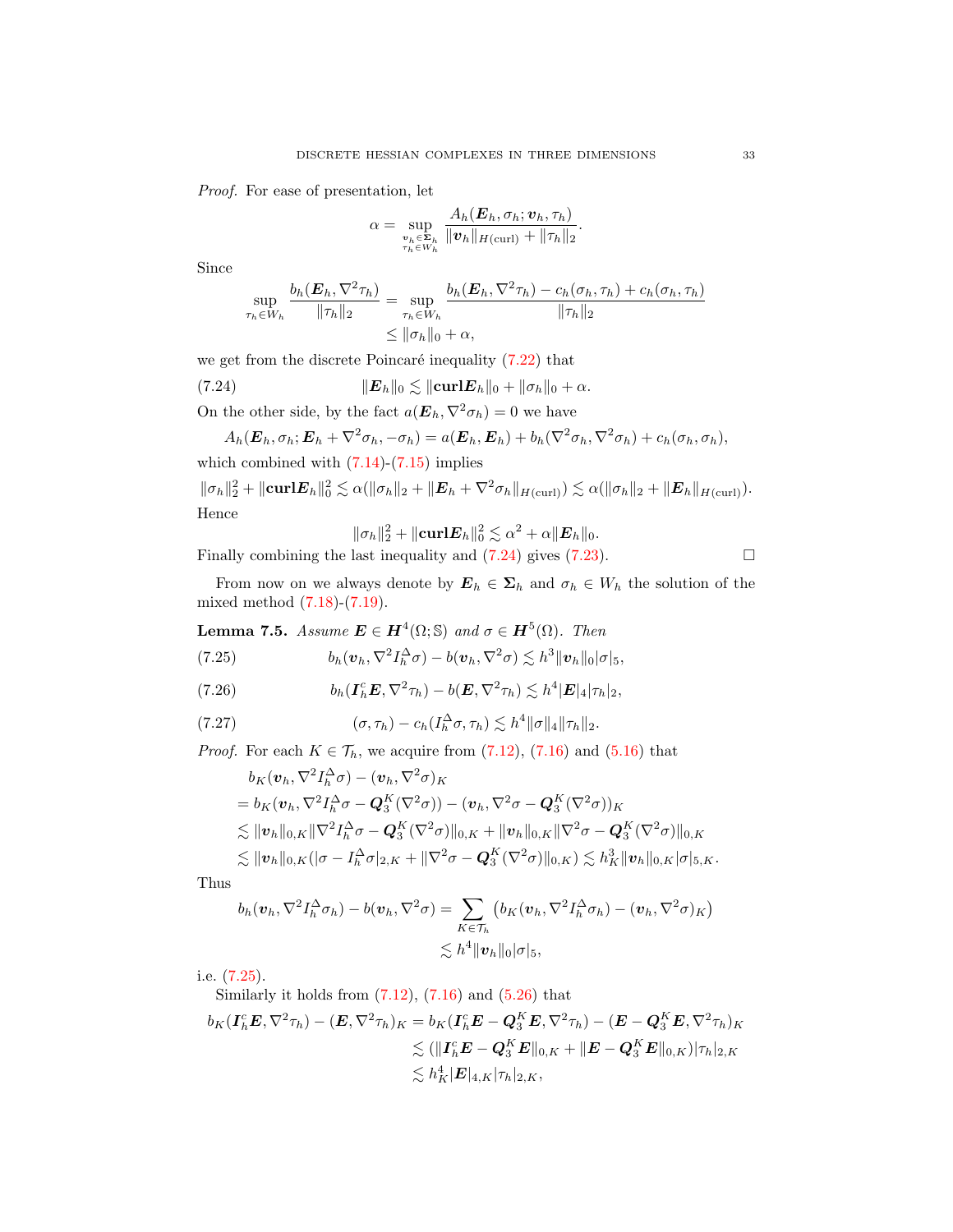Proof. For ease of presentation, let

$$
\alpha = \sup_{\substack{\boldsymbol{v}_h \in \mathbf{\Sigma}_h \\ \tau_h \in \boldsymbol{W}_h}} \frac{A_h(\boldsymbol{E}_h, \sigma_h; \boldsymbol{v}_h, \tau_h)}{\|\boldsymbol{v}_h\|_{H(\text{curl})} + \|\tau_h\|_2}.
$$

Since

<span id="page-32-0"></span>
$$
\sup_{\tau_h \in W_h} \frac{b_h(\boldsymbol{E}_h, \nabla^2 \tau_h)}{\|\tau_h\|_2} = \sup_{\tau_h \in W_h} \frac{b_h(\boldsymbol{E}_h, \nabla^2 \tau_h) - c_h(\sigma_h, \tau_h) + c_h(\sigma_h, \tau_h)}{\|\tau_h\|_2}
$$
  
\$\leq \|\sigma\_h\|\_0 + \alpha\$,

we get from the discrete Poincaré inequality  $(7.22)$  that

(7.24) 
$$
\|\boldsymbol{E}_h\|_0 \lesssim \|\boldsymbol{\mathrm{curl}} \boldsymbol{E}_h\|_0 + \|\sigma_h\|_0 + \alpha.
$$

On the other side, by the fact  $a(\mathbf{E}_h, \nabla^2 \sigma_h) = 0$  we have

$$
A_h(\boldsymbol{E}_h, \sigma_h; \boldsymbol{E}_h + \nabla^2 \sigma_h, -\sigma_h) = a(\boldsymbol{E}_h, \boldsymbol{E}_h) + b_h(\nabla^2 \sigma_h, \nabla^2 \sigma_h) + c_h(\sigma_h, \sigma_h),
$$

which combined with  $(7.14)-(7.15)$  $(7.14)-(7.15)$  $(7.14)-(7.15)$  implies

$$
\|\sigma_h\|_2^2 + \|\mathbf{curl}\mathbf{E}_h\|_0^2 \lesssim \alpha(\|\sigma_h\|_2 + \|\mathbf{E}_h + \nabla^2 \sigma_h\|_{H(\text{curl})}) \lesssim \alpha(\|\sigma_h\|_2 + \|\mathbf{E}_h\|_{H(\text{curl})}).
$$
  
Hence

<span id="page-32-1"></span>
$$
\|\sigma_h\|_2^2 + \|\mathbf{curl}\mathbf{E}_h\|_0^2 \lesssim \alpha^2 + \alpha \|\mathbf{E}_h\|_0.
$$

Finally combining the last inequality and  $(7.24)$  gives  $(7.23)$ .

From now on we always denote by  $\mathbf{E}_h \in \mathbf{\Sigma}_h$  and  $\sigma_h \in W_h$  the solution of the mixed method [\(7.18\)](#page-31-5)-[\(7.19\)](#page-31-6).

**Lemma 7.5.** Assume  $\mathbf{E} \in \mathbf{H}^4(\Omega; \mathbb{S})$  and  $\sigma \in \mathbf{H}^5(\Omega)$ . Then

(7.25) 
$$
b_h(\boldsymbol{v}_h, \nabla^2 I_h^{\Delta} \sigma) - b(\boldsymbol{v}_h, \nabla^2 \sigma) \lesssim h^3 \|\boldsymbol{v}_h\|_0 |\sigma|_5,
$$

<span id="page-32-2"></span>(7.26) 
$$
b_h(\boldsymbol{I}_h^c \boldsymbol{E}, \nabla^2 \tau_h) - b(\boldsymbol{E}, \nabla^2 \tau_h) \lesssim h^4 |\boldsymbol{E}|_4 |\tau_h|_2,
$$

$$
(7.27) \t\t\t (\sigma, \tau_h) - c_h(I_h^{\Delta} \sigma, \tau_h) \lesssim h^4 \|\sigma\|_4 \|\tau_h\|_2.
$$

*Proof.* For each  $K \in \mathcal{T}_h$ , we acquire from [\(7.12\)](#page-30-4), [\(7.16\)](#page-31-0) and [\(5.16\)](#page-19-7) that

<span id="page-32-3"></span>
$$
b_K(\boldsymbol{v}_h, \nabla^2 I_h^{\Delta} \sigma) - (\boldsymbol{v}_h, \nabla^2 \sigma)_K
$$
  
\n
$$
= b_K(\boldsymbol{v}_h, \nabla^2 I_h^{\Delta} \sigma - \boldsymbol{Q}_3^K(\nabla^2 \sigma)) - (\boldsymbol{v}_h, \nabla^2 \sigma - \boldsymbol{Q}_3^K(\nabla^2 \sigma))_K
$$
  
\n
$$
\lesssim \|\boldsymbol{v}_h\|_{0,K} \|\nabla^2 I_h^{\Delta} \sigma - \boldsymbol{Q}_3^K(\nabla^2 \sigma)\|_{0,K} + \|\boldsymbol{v}_h\|_{0,K} \|\nabla^2 \sigma - \boldsymbol{Q}_3^K(\nabla^2 \sigma)\|_{0,K}
$$
  
\n
$$
\lesssim \|\boldsymbol{v}_h\|_{0,K} (\|\sigma - I_h^{\Delta} \sigma|_{2,K} + \|\nabla^2 \sigma - \boldsymbol{Q}_3^K(\nabla^2 \sigma)\|_{0,K}) \lesssim h_K^3 \|\boldsymbol{v}_h\|_{0,K} |\sigma|_{5,K}.
$$

Thus

$$
b_h(\boldsymbol{v}_h, \nabla^2 I_h^{\Delta} \sigma_h) - b(\boldsymbol{v}_h, \nabla^2 \sigma) = \sum_{K \in \mathcal{T}_h} \left( b_K(\boldsymbol{v}_h, \nabla^2 I_h^{\Delta} \sigma_h) - (\boldsymbol{v}_h, \nabla^2 \sigma)_K \right) \\ \lesssim h^4 \|\boldsymbol{v}_h\|_0 |\sigma|_5,
$$

i.e. [\(7.25\)](#page-32-1).

Similarly it holds from  $(7.12)$ ,  $(7.16)$  and  $(5.26)$  that

$$
\begin{aligned} b_K(\boldsymbol{I}_h^c\boldsymbol{E},\nabla^2\tau_h)-(\boldsymbol{E},\nabla^2\tau_h)_K&=b_K(\boldsymbol{I}_h^c\boldsymbol{E}-\boldsymbol{Q}_3^K\boldsymbol{E},\nabla^2\tau_h)-(\boldsymbol{E}-\boldsymbol{Q}_3^K\boldsymbol{E},\nabla^2\tau_h)_K\\ &\lesssim(\|\boldsymbol{I}_h^c\boldsymbol{E}-\boldsymbol{Q}_3^K\boldsymbol{E}\|_{0,K}+\|\boldsymbol{E}-\boldsymbol{Q}_3^K\boldsymbol{E}\|_{0,K})|\tau_h|_{2,K}\\ &\lesssim h_K^4|\boldsymbol{E}|_{4,K}|\tau_h|_{2,K}, \end{aligned}
$$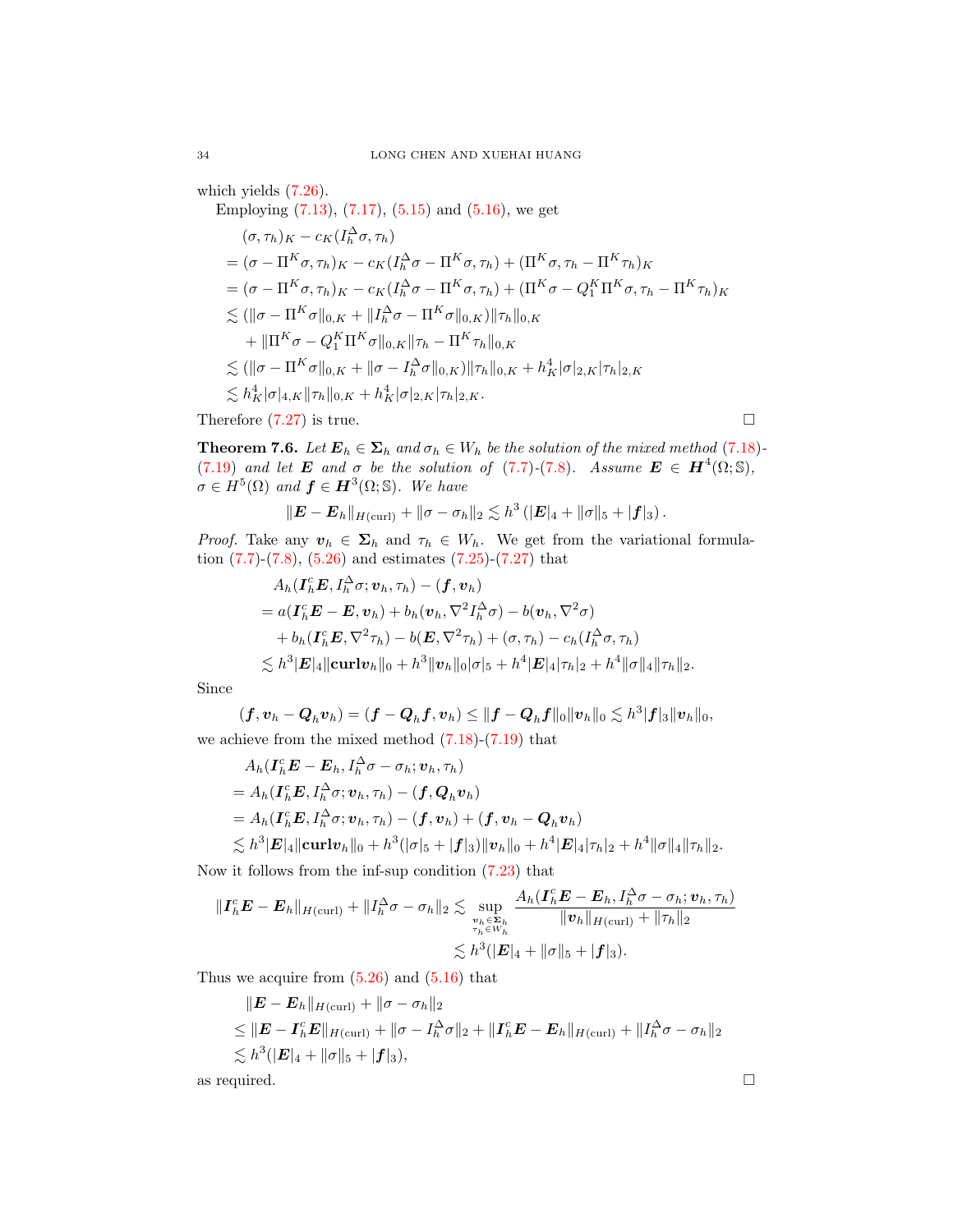which yields  $(7.26)$ .

Employing  $(7.13)$ ,  $(7.17)$ ,  $(5.15)$  and  $(5.16)$ , we get  $(\sigma, \tau_h)_K - c_K(I_h^{\Delta} \sigma, \tau_h)$  $=(\sigma - \Pi^K\sigma,\tau_h)_K - c_K(I_h^{\Delta}\sigma - \Pi^K\sigma,\tau_h) + (\Pi^K\sigma,\tau_h - \Pi^K\tau_h)_K$  $\mathcal{L} = (\sigma - \Pi^K \sigma, \tau_h)_K - c_K (I_h^\Delta \sigma - \Pi^K \sigma, \tau_h) + (\Pi^K \sigma - Q_1^K \Pi^K \sigma, \tau_h - \Pi^K \tau_h)_K$  $\lesssim (\|\sigma - \Pi^K \sigma\|_{0,K} + \|\mathit{I}_h^\Delta \sigma - \Pi^K \sigma\|_{0,K}) \|\tau_h\|_{0,K}$  $+ \|\Pi^K \sigma - Q_1^K \Pi^K \sigma\|_{0,K} \|\tau_h - \Pi^K \tau_h\|_{0,K}$  $\lesssim (\|\sigma - \Pi^K \sigma\|_{0,K} + \|\sigma - I_h^{\Delta} \sigma\|_{0,K}) \|\tau_h\|_{0,K} + h_K^4 |\sigma|_{2,K} |\tau_h|_{2,K}$  $\lesssim h_K^4 |\sigma|_{4,K} \|\tau_h\|_{0,K} + h_K^4 |\sigma|_{2,K} |\tau_h|_{2,K}.$ Therefore  $(7.27)$  is true.

<span id="page-33-0"></span>**Theorem 7.6.** Let  $\mathbf{E}_h \in \Sigma_h$  and  $\sigma_h \in W_h$  be the solution of the mixed method [\(7.18\)](#page-31-5)-[\(7.19\)](#page-31-6) and let **E** and  $\sigma$  be the solution of [\(7.7\)](#page-29-2)-[\(7.8\)](#page-29-3). Assume  $\mathbf{E} \in \mathbf{H}^4(\Omega;\mathbb{S})$ ,

 $\sigma \in H^5(\Omega)$  and  $\boldsymbol{f} \in \boldsymbol{H}^3(\Omega;\mathbb{S})$ . We have

$$
\|\boldsymbol{E}-\boldsymbol{E}_h\|_{H(\mathrm{curl})}+\|\sigma-\sigma_h\|_2\lesssim h^3\left(|\boldsymbol{E}|_4+\|\sigma\|_5+|\boldsymbol{f}|_3\right).
$$

*Proof.* Take any  $v_h \in \Sigma_h$  and  $\tau_h \in W_h$ . We get from the variational formulation [\(7.7\)](#page-29-2)-[\(7.8\)](#page-29-3), [\(5.26\)](#page-21-3) and estimates [\(7.25\)](#page-32-1)-[\(7.27\)](#page-32-3) that

$$
A_h(\boldsymbol{I}_h^c \boldsymbol{E}, I_h^{\Delta} \sigma; \boldsymbol{v}_h, \tau_h) - (\boldsymbol{f}, \boldsymbol{v}_h)
$$
  
=  $a(\boldsymbol{I}_h^c \boldsymbol{E} - \boldsymbol{E}, \boldsymbol{v}_h) + b_h(\boldsymbol{v}_h, \nabla^2 I_h^{\Delta} \sigma) - b(\boldsymbol{v}_h, \nabla^2 \sigma)$   
+  $b_h(\boldsymbol{I}_h^c \boldsymbol{E}, \nabla^2 \tau_h) - b(\boldsymbol{E}, \nabla^2 \tau_h) + (\sigma, \tau_h) - c_h(I_h^{\Delta} \sigma, \tau_h)$   
 $\leq h^3 |\boldsymbol{E}|_4 ||\boldsymbol{\operatorname{curl}} \boldsymbol{v}_h||_0 + h^3 ||\boldsymbol{v}_h||_0 |\sigma|_5 + h^4 |\boldsymbol{E}|_4 |\tau_h|_2 + h^4 ||\sigma||_4 ||\tau_h||_2.$ 

Since

$$
(\boldsymbol{f},\boldsymbol{v}_h-\boldsymbol{Q}_h\boldsymbol{v}_h)=(\boldsymbol{f}-\boldsymbol{Q}_h\boldsymbol{f},\boldsymbol{v}_h)\leq \|\boldsymbol{f}-\boldsymbol{Q}_h\boldsymbol{f}\|_0\|\boldsymbol{v}_h\|_0\lesssim h^3|\boldsymbol{f}|_3\|\boldsymbol{v}_h\|_0,
$$
  
we achieve from the mixed method (7.18)-(7.19) that

$$
A_h(\boldsymbol{I}_h^c \boldsymbol{E} - \boldsymbol{E}_h, I_h^{\Delta} \sigma - \sigma_h; \boldsymbol{v}_h, \tau_h)
$$
  
=  $A_h(\boldsymbol{I}_h^c \boldsymbol{E}, I_h^{\Delta} \sigma; \boldsymbol{v}_h, \tau_h) - (\boldsymbol{f}, \boldsymbol{Q}_h \boldsymbol{v}_h)$   
=  $A_h(\boldsymbol{I}_h^c \boldsymbol{E}, I_h^{\Delta} \sigma; \boldsymbol{v}_h, \tau_h) - (\boldsymbol{f}, \boldsymbol{v}_h) + (\boldsymbol{f}, \boldsymbol{v}_h - \boldsymbol{Q}_h \boldsymbol{v}_h)$   
 $\lesssim h^3 |\boldsymbol{E}|_4 ||\boldsymbol{\operatorname{curl}} \boldsymbol{v}_h||_0 + h^3 (|\sigma|_5 + |\boldsymbol{f}|_3) ||\boldsymbol{v}_h||_0 + h^4 |\boldsymbol{E}|_4 |\tau_h|_2 + h^4 ||\sigma||_4 ||\tau_h||_2.$ 

Now it follows from the inf-sup condition [\(7.23\)](#page-31-4) that

$$
||\boldsymbol{I}_h^c \boldsymbol{E} - \boldsymbol{E}_h||_{H(\text{curl})} + ||I_h^{\Delta} \sigma - \sigma_h||_2 \lesssim \sup_{\substack{v_h \in \boldsymbol{\Sigma}_h \\ \tau_h \in W_h}} \frac{A_h(\boldsymbol{I}_h^c \boldsymbol{E} - \boldsymbol{E}_h, I_h^{\Delta} \sigma - \sigma_h; \boldsymbol{v}_h, \tau_h)}{||\boldsymbol{v}_h||_{H(\text{curl})} + ||\tau_h||_2}
$$
  

$$
\lesssim h^3 (|\boldsymbol{E}|_4 + ||\sigma||_5 + |\boldsymbol{f}|_3).
$$

Thus we acquire from  $(5.26)$  and  $(5.16)$  that

$$
\|E - E_h\|_{H(\text{curl})} + \|\sigma - \sigma_h\|_2
$$
  
\n
$$
\leq \|E - I_h^c E\|_{H(\text{curl})} + \|\sigma - I_h^{\Delta} \sigma\|_2 + \|I_h^c E - E_h\|_{H(\text{curl})} + \|I_h^{\Delta} \sigma - \sigma_h\|_2
$$
  
\n
$$
\lesssim h^3 (|E|_4 + \|\sigma\|_5 + |f|_3),
$$
  
\nas required.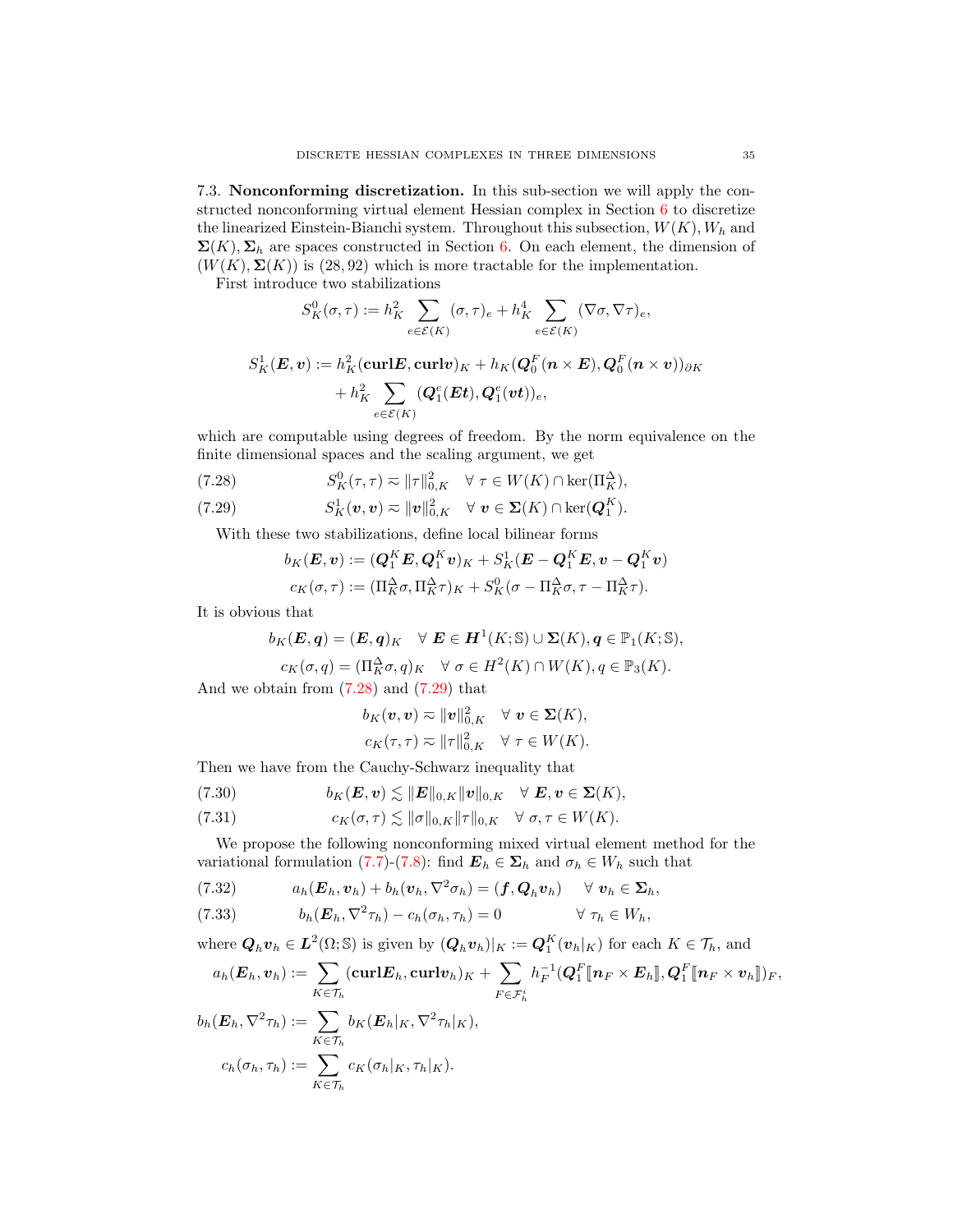7.3. Nonconforming discretization. In this sub-section we will apply the constructed nonconforming virtual element Hessian complex in Section [6](#page-23-3) to discretize the linearized Einstein-Bianchi system. Throughout this subsection,  $W(K)$ ,  $W<sub>h</sub>$  and  $\Sigma(K)$ ,  $\Sigma_h$  are spaces constructed in Section [6.](#page-23-3) On each element, the dimension of  $(W(K), \Sigma(K))$  is (28,92) which is more tractable for the implementation.

First introduce two stabilizations

$$
S_K^0(\sigma, \tau) := h_K^2 \sum_{e \in \mathcal{E}(K)} (\sigma, \tau)_e + h_K^4 \sum_{e \in \mathcal{E}(K)} (\nabla \sigma, \nabla \tau)_e,
$$
  

$$
S_K^1(\mathbf{E}, \mathbf{v}) := h_K^2 (\text{curl} \mathbf{E}, \text{curl} \mathbf{v})_K + h_K(\mathbf{Q}_0^F(\mathbf{n} \times \mathbf{E}), \mathbf{Q}_0^F(\mathbf{n} \times \mathbf{v}))_{\partial K}
$$

$$
+ h_K^2 \sum_{e \in \mathcal{E}(K)} (\mathbf{Q}_1^e(\mathbf{E} \mathbf{t}), \mathbf{Q}_1^e(\mathbf{v} \mathbf{t}))_e,
$$

which are computable using degrees of freedom. By the norm equivalence on the finite dimensional spaces and the scaling argument, we get

- <span id="page-34-0"></span>(7.28)  $S_K^0(\tau, \tau) \approx \|\tau\|_{0,K}^2 \quad \forall \ \tau \in W(K) \cap \ker(\Pi_K^{\Delta}),$
- <span id="page-34-1"></span>(7.29)  $S_K^1(\boldsymbol{v}, \boldsymbol{v}) \eqsim \|\boldsymbol{v}\|_{0,K}^2 \quad \forall \ \boldsymbol{v} \in \boldsymbol{\Sigma}(K) \cap \ker(\boldsymbol{Q}_1^K).$

With these two stabilizations, define local bilinear forms

$$
b_K(E, v) := (Q_1^K E, Q_1^K v)_K + S_K^1(E - Q_1^K E, v - Q_1^K v)
$$
  

$$
c_K(\sigma, \tau) := (\Pi_K^{\Delta} \sigma, \Pi_K^{\Delta} \tau)_K + S_K^0(\sigma - \Pi_K^{\Delta} \sigma, \tau - \Pi_K^{\Delta} \tau).
$$

It is obvious that

$$
b_K(E, q) = (E, q)_K \quad \forall \ E \in H^1(K; \mathbb{S}) \cup \Sigma(K), q \in \mathbb{P}_1(K; \mathbb{S}),
$$
  

$$
c_K(\sigma, q) = (\Pi_K^{\Delta} \sigma, q)_K \quad \forall \ \sigma \in H^2(K) \cap W(K), q \in \mathbb{P}_3(K).
$$

And we obtain from  $(7.28)$  and  $(7.29)$  that

and we obtain from 
$$
(7.28)
$$
 and  $(7.29)$  that

$$
b_K(\mathbf{v}, \mathbf{v}) \approx \|\mathbf{v}\|_{0, K}^2 \quad \forall \mathbf{v} \in \mathbf{\Sigma}(K),
$$
  

$$
c_K(\tau, \tau) \approx \|\tau\|_{0, K}^2 \quad \forall \ \tau \in W(K).
$$

Then we have from the Cauchy-Schwarz inequality that

<span id="page-34-2"></span>(7.30) 
$$
b_K(E, v) \lesssim ||E||_{0,K} ||v||_{0,K} \quad \forall \ E, v \in \Sigma(K),
$$

<span id="page-34-3"></span>(7.31) 
$$
c_K(\sigma,\tau) \lesssim \|\sigma\|_{0,K} \|\tau\|_{0,K} \quad \forall \ \sigma,\tau \in W(K).
$$

We propose the following nonconforming mixed virtual element method for the variational formulation [\(7.7\)](#page-29-2)-[\(7.8\)](#page-29-3): find  $\mathbf{E}_h \in \Sigma_h$  and  $\sigma_h \in W_h$  such that

<span id="page-34-4"></span>(7.32) 
$$
a_h(\boldsymbol{E}_h, \boldsymbol{v}_h) + b_h(\boldsymbol{v}_h, \nabla^2 \sigma_h) = (\boldsymbol{f}, \boldsymbol{Q}_h \boldsymbol{v}_h) \quad \forall \boldsymbol{v}_h \in \boldsymbol{\Sigma}_h,
$$

<span id="page-34-5"></span>(7.33) 
$$
b_h(E_h, \nabla^2 \tau_h) - c_h(\sigma_h, \tau_h) = 0 \qquad \forall \tau_h \in W_h,
$$

where  $\mathbf{Q}_h \mathbf{v}_h \in \mathbf{L}^2(\Omega; \mathbb{S})$  is given by  $(\mathbf{Q}_h \mathbf{v}_h)|_K := \mathbf{Q}_1^K(\mathbf{v}_h|_K)$  for each  $K \in \mathcal{T}_h$ , and

$$
a_h(\boldsymbol{E}_h,\boldsymbol{v}_h) := \sum_{K\in\mathcal{T}_h} (\boldsymbol{\mathrm{curl}} \boldsymbol{E}_h,\boldsymbol{\mathrm{curl}} \boldsymbol{v}_h)_K + \sum_{F\in\mathcal{F}_h^i} h_F^{-1}(\boldsymbol{Q}_1^F[\![\boldsymbol{n}_F\times\boldsymbol{E}_h]\!],\boldsymbol{Q}_1^F[\![\boldsymbol{n}_F\times\boldsymbol{v}_h]\!])_F,
$$
  
\n
$$
b_h(\boldsymbol{E}_h,\nabla^2\tau_h) := \sum_{K\in\mathcal{T}_h} b_K(\boldsymbol{E}_h|_K,\nabla^2\tau_h|_K),
$$
  
\n
$$
c_h(\sigma_h,\tau_h) := \sum_{K\in\mathcal{T}_h} c_K(\sigma_h|_K,\tau_h|_K).
$$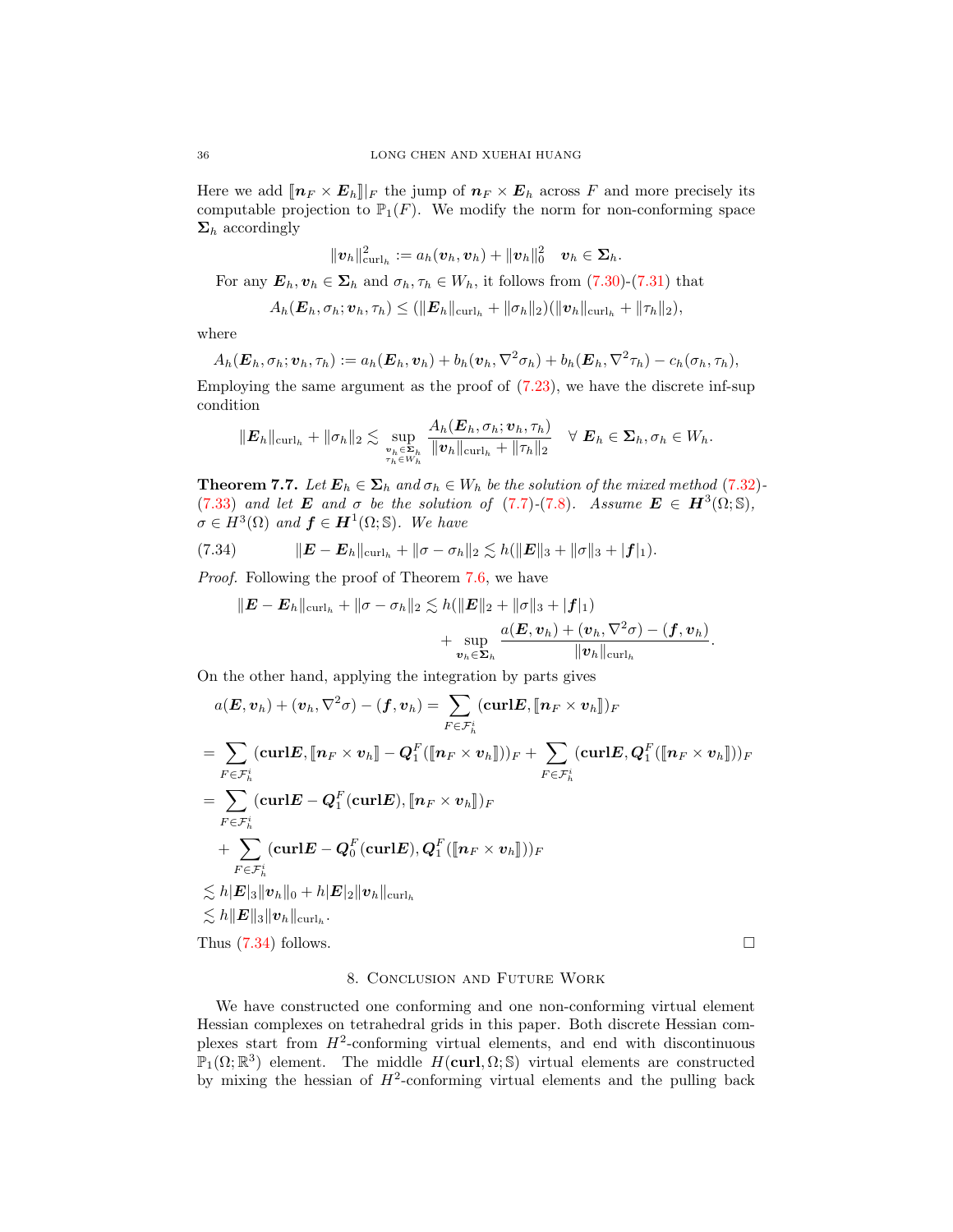Here we add  $[\![n_F \times E_h]\!] \vert_F$  the jump of  $n_F \times E_h$  across F and more precisely its computable projection to  $\mathbb{P}_1(F)$ . We modify the norm for non-conforming space  $\Sigma_h$  accordingly

$$
\|\boldsymbol{v}_h\|^2_{\textup{curl}_h}:=a_h(\boldsymbol{v}_h,\boldsymbol{v}_h)+\|\boldsymbol{v}_h\|^2_0\quad \boldsymbol{v}_h\in \boldsymbol{\Sigma}_h.
$$

For any  $\mathbf{E}_h, \mathbf{v}_h \in \Sigma_h$  and  $\sigma_h, \tau_h \in W_h$ , it follows from [\(7.30\)](#page-34-2)-[\(7.31\)](#page-34-3) that

$$
A_h(\boldsymbol{E}_h,\sigma_h;\boldsymbol{v}_h,\tau_h) \leq (\|\boldsymbol{E}_h\|_{\operatorname{curl}_h} + \|\sigma_h\|_2)(\|\boldsymbol{v}_h\|_{\operatorname{curl}_h} + \|\tau_h\|_2),
$$

where

$$
A_h(\boldsymbol{E}_h, \sigma_h; \boldsymbol{v}_h, \tau_h) := a_h(\boldsymbol{E}_h, \boldsymbol{v}_h) + b_h(\boldsymbol{v}_h, \nabla^2 \sigma_h) + b_h(\boldsymbol{E}_h, \nabla^2 \tau_h) - c_h(\sigma_h, \tau_h),
$$

Employing the same argument as the proof of [\(7.23\)](#page-31-4), we have the discrete inf-sup condition

$$
\|\boldsymbol{E}_h\|_{\operatorname{curl}_h} + \|\sigma_h\|_2 \lesssim \sup_{\substack{v_h \in \boldsymbol{\Sigma}_h \\ \tau_h \in W_h}} \frac{A_h(\boldsymbol{E}_h, \sigma_h; \boldsymbol{v}_h, \tau_h)}{\|\boldsymbol{v}_h\|_{\operatorname{curl}_h} + \|\tau_h\|_2} \quad \forall \boldsymbol{E}_h \in \boldsymbol{\Sigma}_h, \sigma_h \in W_h.
$$

**Theorem 7.7.** Let  $\mathbf{E}_h \in \Sigma_h$  and  $\sigma_h \in W_h$  be the solution of the mixed method [\(7.32\)](#page-34-4)-[\(7.33\)](#page-34-5) and let **E** and  $\sigma$  be the solution of [\(7.7\)](#page-29-2)-[\(7.8\)](#page-29-3). Assume  $\mathbf{E} \in \mathbf{H}^{3}(\Omega;\mathbb{S})$ ,  $\sigma \in H^3(\Omega)$  and  $\boldsymbol{f} \in \boldsymbol{H}^1(\Omega;\mathbb{S})$ . We have

(7.34) 
$$
\|E - E_h\|_{\text{curl}_h} + \|\sigma - \sigma_h\|_2 \lesssim h(\|E\|_3 + \|\sigma\|_3 + |f|_1).
$$

Proof. Following the proof of Theorem [7.6,](#page-33-0) we have

<span id="page-35-0"></span>
$$
\|\boldsymbol{E}-\boldsymbol{E}_h\|_{\operatorname{curl}_h}+\|\sigma-\sigma_h\|_2\lesssim h(\|\boldsymbol{E}\|_2+\|\sigma\|_3+|\boldsymbol{f}|_1)\\qquad \qquad +\sup_{\boldsymbol{v}_h\in\boldsymbol{\Sigma}_h}\frac{a(\boldsymbol{E},\boldsymbol{v}_h)+(\boldsymbol{v}_h,\nabla^2\sigma)-(\boldsymbol{f},\boldsymbol{v}_h)}{\|\boldsymbol{v}_h\|_{\operatorname{curl}_h}}.
$$

On the other hand, applying the integration by parts gives

$$
a(\boldsymbol{E}, \boldsymbol{v}_h) + (\boldsymbol{v}_h, \nabla^2 \sigma) - (\boldsymbol{f}, \boldsymbol{v}_h) = \sum_{F \in \mathcal{F}_h^i} (\boldsymbol{\operatorname{curl}} \boldsymbol{E}, [\![\boldsymbol{n}_F \times \boldsymbol{v}_h]\!])_F
$$
  
\n
$$
= \sum_{F \in \mathcal{F}_h^i} (\boldsymbol{\operatorname{curl}} \boldsymbol{E}, [\![\boldsymbol{n}_F \times \boldsymbol{v}_h]\!]) - \boldsymbol{Q}_1^F([\![\boldsymbol{n}_F \times \boldsymbol{v}_h]\!]))_F + \sum_{F \in \mathcal{F}_h^i} (\boldsymbol{\operatorname{curl}} \boldsymbol{E}, \boldsymbol{Q}_1^F([\![\boldsymbol{n}_F \times \boldsymbol{v}_h]\!]))_F
$$
  
\n
$$
= \sum_{F \in \mathcal{F}_h^i} (\boldsymbol{\operatorname{curl}} \boldsymbol{E} - \boldsymbol{Q}_1^F(\boldsymbol{\operatorname{curl}} \boldsymbol{E}), [\![\boldsymbol{n}_F \times \boldsymbol{v}_h]\!])_F
$$
  
\n
$$
+ \sum_{F \in \mathcal{F}_h^i} (\boldsymbol{\operatorname{curl}} \boldsymbol{E} - \boldsymbol{Q}_0^F(\boldsymbol{\operatorname{curl}} \boldsymbol{E}), \boldsymbol{Q}_1^F([\![\boldsymbol{n}_F \times \boldsymbol{v}_h]\!]))_F
$$
  
\n
$$
\leq h|\boldsymbol{E}|_3 \|\boldsymbol{v}_h\|_0 + h|\boldsymbol{E}|_2 \|\boldsymbol{v}_h\|_{\text{curl}_h}
$$
  
\n
$$
\leq h|\boldsymbol{E}|_3 \|\boldsymbol{v}_h\|_{\text{curl}_h}.
$$
  
\nThus (7.34) follows.

# 8. Conclusion and Future Work

We have constructed one conforming and one non-conforming virtual element Hessian complexes on tetrahedral grids in this paper. Both discrete Hessian complexes start from  $H^2$ -conforming virtual elements, and end with discontinuous  $\mathbb{P}_1(\Omega;\mathbb{R}^3)$  element. The middle  $H(\text{curl},\Omega;\mathbb{S})$  virtual elements are constructed by mixing the hessian of  $H^2$ -conforming virtual elements and the pulling back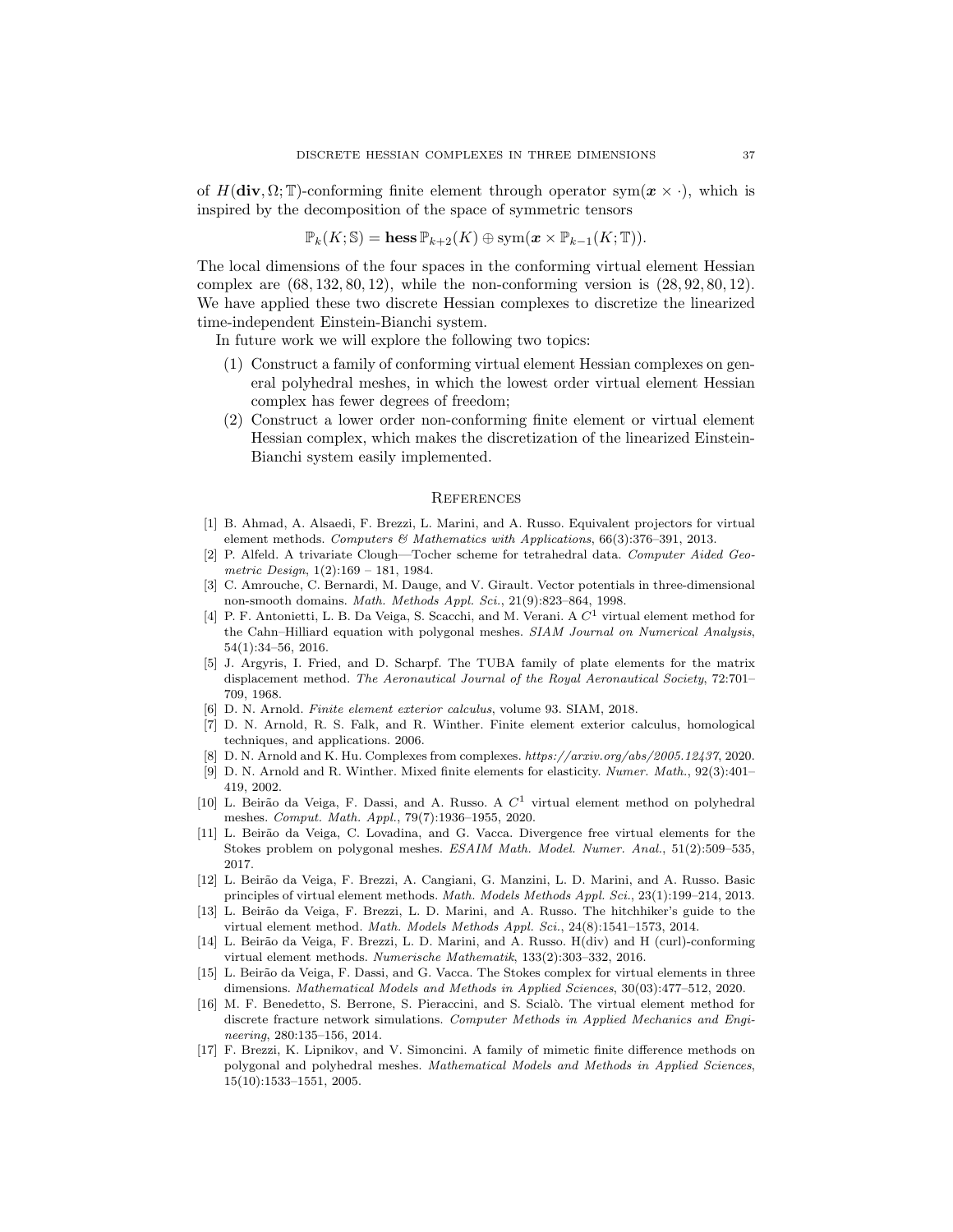of  $H(\text{div}, \Omega; \mathbb{T})$ -conforming finite element through operator sym $(\boldsymbol{x} \times \cdot)$ , which is inspired by the decomposition of the space of symmetric tensors

$$
\mathbb{P}_{k}(K; \mathbb{S}) = \text{hess}\, \mathbb{P}_{k+2}(K) \oplus \text{sym}(\boldsymbol{x} \times \mathbb{P}_{k-1}(K; \mathbb{T})).
$$

The local dimensions of the four spaces in the conforming virtual element Hessian complex are  $(68, 132, 80, 12)$ , while the non-conforming version is  $(28, 92, 80, 12)$ . We have applied these two discrete Hessian complexes to discretize the linearized time-independent Einstein-Bianchi system.

In future work we will explore the following two topics:

- (1) Construct a family of conforming virtual element Hessian complexes on general polyhedral meshes, in which the lowest order virtual element Hessian complex has fewer degrees of freedom;
- (2) Construct a lower order non-conforming finite element or virtual element Hessian complex, which makes the discretization of the linearized Einstein-Bianchi system easily implemented.

#### **REFERENCES**

- <span id="page-36-16"></span>[1] B. Ahmad, A. Alsaedi, F. Brezzi, L. Marini, and A. Russo. Equivalent projectors for virtual element methods. Computers & Mathematics with Applications, 66(3):376–391, 2013.
- <span id="page-36-14"></span>[2] P. Alfeld. A trivariate Clough—Tocher scheme for tetrahedral data. Computer Aided Geometric Design, 1(2):169 – 181, 1984.
- <span id="page-36-15"></span>[3] C. Amrouche, C. Bernardi, M. Dauge, and V. Girault. Vector potentials in three-dimensional non-smooth domains. Math. Methods Appl. Sci., 21(9):823–864, 1998.
- <span id="page-36-5"></span>[4] P. F. Antonietti, L. B. Da Veiga, S. Scacchi, and M. Verani. A  $C<sup>1</sup>$  virtual element method for the Cahn–Hilliard equation with polygonal meshes. SIAM Journal on Numerical Analysis, 54(1):34–56, 2016.
- <span id="page-36-10"></span>[5] J. Argyris, I. Fried, and D. Scharpf. The TUBA family of plate elements for the matrix displacement method. The Aeronautical Journal of the Royal Aeronautical Society, 72:701– 709, 1968.
- <span id="page-36-11"></span>[6] D. N. Arnold. Finite element exterior calculus, volume 93. SIAM, 2018.
- <span id="page-36-13"></span>[7] D. N. Arnold, R. S. Falk, and R. Winther. Finite element exterior calculus, homological techniques, and applications. 2006.
- <span id="page-36-0"></span>[8] D. N. Arnold and K. Hu. Complexes from complexes. https://arxiv.org/abs/2005.12437, 2020.
- <span id="page-36-12"></span>[9] D. N. Arnold and R. Winther. Mixed finite elements for elasticity. Numer. Math., 92(3):401– 419, 2002.
- <span id="page-36-6"></span>[10] L. Beirão da Veiga, F. Dassi, and A. Russo. A  $C<sup>1</sup>$  virtual element method on polyhedral meshes. Comput. Math. Appl., 79(7):1936–1955, 2020.
- <span id="page-36-7"></span>[11] L. Beirão da Veiga, C. Lovadina, and G. Vacca. Divergence free virtual elements for the Stokes problem on polygonal meshes. ESAIM Math. Model. Numer. Anal., 51(2):509–535, 2017.
- <span id="page-36-1"></span>[12] L. Beir˜ao da Veiga, F. Brezzi, A. Cangiani, G. Manzini, L. D. Marini, and A. Russo. Basic principles of virtual element methods. Math. Models Methods Appl. Sci., 23(1):199–214, 2013.
- <span id="page-36-2"></span>[13] L. Beirão da Veiga, F. Brezzi, L. D. Marini, and A. Russo. The hitchhiker's guide to the virtual element method. Math. Models Methods Appl. Sci., 24(8):1541–1573, 2014.
- <span id="page-36-8"></span>[14] L. Beirão da Veiga, F. Brezzi, L. D. Marini, and A. Russo. H(div) and H (curl)-conforming virtual element methods. Numerische Mathematik, 133(2):303–332, 2016.
- <span id="page-36-9"></span>[15] L. Beirão da Veiga, F. Dassi, and G. Vacca. The Stokes complex for virtual elements in three dimensions. Mathematical Models and Methods in Applied Sciences, 30(03):477–512, 2020.
- <span id="page-36-4"></span>[16] M. F. Benedetto, S. Berrone, S. Pieraccini, and S. Scialò. The virtual element method for discrete fracture network simulations. Computer Methods in Applied Mechanics and Engineering, 280:135–156, 2014.
- <span id="page-36-3"></span>[17] F. Brezzi, K. Lipnikov, and V. Simoncini. A family of mimetic finite difference methods on polygonal and polyhedral meshes. Mathematical Models and Methods in Applied Sciences, 15(10):1533–1551, 2005.